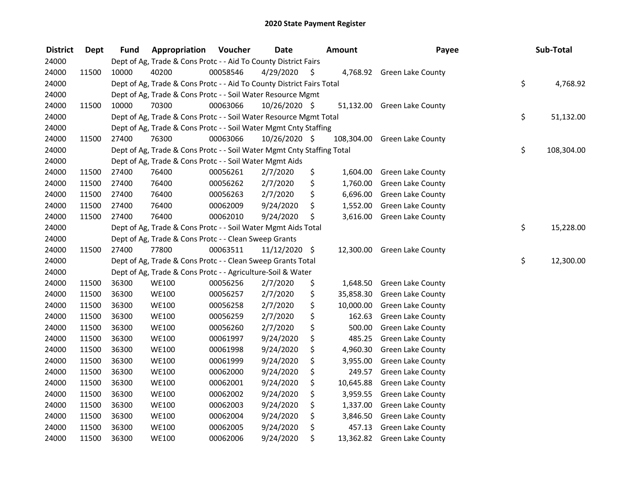| <b>District</b> | <b>Dept</b> | <b>Fund</b> | Appropriation                                                          | Voucher  | <b>Date</b>   | <b>Amount</b>   | Payee                        | Sub-Total        |
|-----------------|-------------|-------------|------------------------------------------------------------------------|----------|---------------|-----------------|------------------------------|------------------|
| 24000           |             |             | Dept of Ag, Trade & Cons Protc - - Aid To County District Fairs        |          |               |                 |                              |                  |
| 24000           | 11500       | 10000       | 40200                                                                  | 00058546 | 4/29/2020     | \$              | 4,768.92 Green Lake County   |                  |
| 24000           |             |             | Dept of Ag, Trade & Cons Protc - - Aid To County District Fairs Total  |          |               |                 |                              | \$<br>4,768.92   |
| 24000           |             |             | Dept of Ag, Trade & Cons Protc - - Soil Water Resource Mgmt            |          |               |                 |                              |                  |
| 24000           | 11500       | 10000       | 70300                                                                  | 00063066 | 10/26/2020 \$ | 51,132.00       | <b>Green Lake County</b>     |                  |
| 24000           |             |             | Dept of Ag, Trade & Cons Protc - - Soil Water Resource Mgmt Total      |          |               |                 |                              | \$<br>51,132.00  |
| 24000           |             |             | Dept of Ag, Trade & Cons Protc - - Soil Water Mgmt Cnty Staffing       |          |               |                 |                              |                  |
| 24000           | 11500       | 27400       | 76300                                                                  | 00063066 | 10/26/2020 \$ |                 | 108,304.00 Green Lake County |                  |
| 24000           |             |             | Dept of Ag, Trade & Cons Protc - - Soil Water Mgmt Cnty Staffing Total |          |               |                 |                              | \$<br>108,304.00 |
| 24000           |             |             | Dept of Ag, Trade & Cons Protc - - Soil Water Mgmt Aids                |          |               |                 |                              |                  |
| 24000           | 11500       | 27400       | 76400                                                                  | 00056261 | 2/7/2020      | \$<br>1,604.00  | Green Lake County            |                  |
| 24000           | 11500       | 27400       | 76400                                                                  | 00056262 | 2/7/2020      | \$<br>1,760.00  | <b>Green Lake County</b>     |                  |
| 24000           | 11500       | 27400       | 76400                                                                  | 00056263 | 2/7/2020      | \$<br>6,696.00  | <b>Green Lake County</b>     |                  |
| 24000           | 11500       | 27400       | 76400                                                                  | 00062009 | 9/24/2020     | \$<br>1,552.00  | Green Lake County            |                  |
| 24000           | 11500       | 27400       | 76400                                                                  | 00062010 | 9/24/2020     | \$<br>3,616.00  | Green Lake County            |                  |
| 24000           |             |             | Dept of Ag, Trade & Cons Protc - - Soil Water Mgmt Aids Total          |          |               |                 |                              | \$<br>15,228.00  |
| 24000           |             |             | Dept of Ag, Trade & Cons Protc - - Clean Sweep Grants                  |          |               |                 |                              |                  |
| 24000           | 11500       | 27400       | 77800                                                                  | 00063511 | 11/12/2020 \$ | 12,300.00       | Green Lake County            |                  |
| 24000           |             |             | Dept of Ag, Trade & Cons Protc - - Clean Sweep Grants Total            |          |               |                 |                              | \$<br>12,300.00  |
| 24000           |             |             | Dept of Ag, Trade & Cons Protc - - Agriculture-Soil & Water            |          |               |                 |                              |                  |
| 24000           | 11500       | 36300       | <b>WE100</b>                                                           | 00056256 | 2/7/2020      | \$<br>1,648.50  | Green Lake County            |                  |
| 24000           | 11500       | 36300       | <b>WE100</b>                                                           | 00056257 | 2/7/2020      | \$<br>35,858.30 | <b>Green Lake County</b>     |                  |
| 24000           | 11500       | 36300       | <b>WE100</b>                                                           | 00056258 | 2/7/2020      | \$<br>10,000.00 | Green Lake County            |                  |
| 24000           | 11500       | 36300       | <b>WE100</b>                                                           | 00056259 | 2/7/2020      | \$<br>162.63    | Green Lake County            |                  |
| 24000           | 11500       | 36300       | <b>WE100</b>                                                           | 00056260 | 2/7/2020      | \$<br>500.00    | Green Lake County            |                  |
| 24000           | 11500       | 36300       | <b>WE100</b>                                                           | 00061997 | 9/24/2020     | \$<br>485.25    | Green Lake County            |                  |
| 24000           | 11500       | 36300       | <b>WE100</b>                                                           | 00061998 | 9/24/2020     | \$<br>4,960.30  | Green Lake County            |                  |
| 24000           | 11500       | 36300       | <b>WE100</b>                                                           | 00061999 | 9/24/2020     | \$<br>3,955.00  | <b>Green Lake County</b>     |                  |
| 24000           | 11500       | 36300       | <b>WE100</b>                                                           | 00062000 | 9/24/2020     | \$<br>249.57    | <b>Green Lake County</b>     |                  |
| 24000           | 11500       | 36300       | <b>WE100</b>                                                           | 00062001 | 9/24/2020     | \$<br>10,645.88 | <b>Green Lake County</b>     |                  |
| 24000           | 11500       | 36300       | <b>WE100</b>                                                           | 00062002 | 9/24/2020     | \$<br>3,959.55  | <b>Green Lake County</b>     |                  |
| 24000           | 11500       | 36300       | <b>WE100</b>                                                           | 00062003 | 9/24/2020     | \$<br>1,337.00  | Green Lake County            |                  |
| 24000           | 11500       | 36300       | <b>WE100</b>                                                           | 00062004 | 9/24/2020     | \$<br>3,846.50  | <b>Green Lake County</b>     |                  |
| 24000           | 11500       | 36300       | <b>WE100</b>                                                           | 00062005 | 9/24/2020     | \$<br>457.13    | <b>Green Lake County</b>     |                  |
| 24000           | 11500       | 36300       | <b>WE100</b>                                                           | 00062006 | 9/24/2020     | \$<br>13,362.82 | <b>Green Lake County</b>     |                  |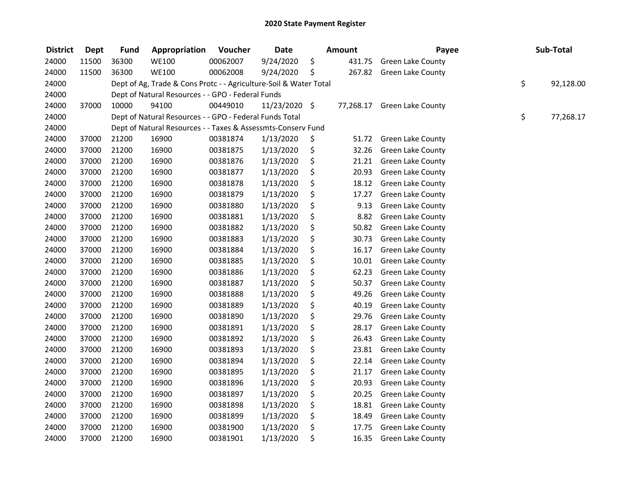| <b>District</b> | <b>Dept</b> | <b>Fund</b> | Appropriation                                                     | Voucher  | <b>Date</b>   | <b>Amount</b> | Payee                    | Sub-Total       |
|-----------------|-------------|-------------|-------------------------------------------------------------------|----------|---------------|---------------|--------------------------|-----------------|
| 24000           | 11500       | 36300       | WE100                                                             | 00062007 | 9/24/2020     | \$<br>431.75  | <b>Green Lake County</b> |                 |
| 24000           | 11500       | 36300       | <b>WE100</b>                                                      | 00062008 | 9/24/2020     | \$<br>267.82  | <b>Green Lake County</b> |                 |
| 24000           |             |             | Dept of Ag, Trade & Cons Protc - - Agriculture-Soil & Water Total |          |               |               |                          | \$<br>92,128.00 |
| 24000           |             |             | Dept of Natural Resources - - GPO - Federal Funds                 |          |               |               |                          |                 |
| 24000           | 37000       | 10000       | 94100                                                             | 00449010 | 11/23/2020 \$ | 77,268.17     | <b>Green Lake County</b> |                 |
| 24000           |             |             | Dept of Natural Resources - - GPO - Federal Funds Total           |          |               |               |                          | \$<br>77,268.17 |
| 24000           |             |             | Dept of Natural Resources - - Taxes & Assessmts-Conserv Fund      |          |               |               |                          |                 |
| 24000           | 37000       | 21200       | 16900                                                             | 00381874 | 1/13/2020     | \$<br>51.72   | <b>Green Lake County</b> |                 |
| 24000           | 37000       | 21200       | 16900                                                             | 00381875 | 1/13/2020     | \$<br>32.26   | <b>Green Lake County</b> |                 |
| 24000           | 37000       | 21200       | 16900                                                             | 00381876 | 1/13/2020     | \$<br>21.21   | Green Lake County        |                 |
| 24000           | 37000       | 21200       | 16900                                                             | 00381877 | 1/13/2020     | \$<br>20.93   | Green Lake County        |                 |
| 24000           | 37000       | 21200       | 16900                                                             | 00381878 | 1/13/2020     | \$<br>18.12   | Green Lake County        |                 |
| 24000           | 37000       | 21200       | 16900                                                             | 00381879 | 1/13/2020     | \$<br>17.27   | Green Lake County        |                 |
| 24000           | 37000       | 21200       | 16900                                                             | 00381880 | 1/13/2020     | \$<br>9.13    | Green Lake County        |                 |
| 24000           | 37000       | 21200       | 16900                                                             | 00381881 | 1/13/2020     | \$<br>8.82    | Green Lake County        |                 |
| 24000           | 37000       | 21200       | 16900                                                             | 00381882 | 1/13/2020     | \$<br>50.82   | Green Lake County        |                 |
| 24000           | 37000       | 21200       | 16900                                                             | 00381883 | 1/13/2020     | \$<br>30.73   | Green Lake County        |                 |
| 24000           | 37000       | 21200       | 16900                                                             | 00381884 | 1/13/2020     | \$<br>16.17   | Green Lake County        |                 |
| 24000           | 37000       | 21200       | 16900                                                             | 00381885 | 1/13/2020     | \$<br>10.01   | Green Lake County        |                 |
| 24000           | 37000       | 21200       | 16900                                                             | 00381886 | 1/13/2020     | \$<br>62.23   | <b>Green Lake County</b> |                 |
| 24000           | 37000       | 21200       | 16900                                                             | 00381887 | 1/13/2020     | \$<br>50.37   | Green Lake County        |                 |
| 24000           | 37000       | 21200       | 16900                                                             | 00381888 | 1/13/2020     | \$<br>49.26   | Green Lake County        |                 |
| 24000           | 37000       | 21200       | 16900                                                             | 00381889 | 1/13/2020     | \$<br>40.19   | Green Lake County        |                 |
| 24000           | 37000       | 21200       | 16900                                                             | 00381890 | 1/13/2020     | \$<br>29.76   | Green Lake County        |                 |
| 24000           | 37000       | 21200       | 16900                                                             | 00381891 | 1/13/2020     | \$<br>28.17   | Green Lake County        |                 |
| 24000           | 37000       | 21200       | 16900                                                             | 00381892 | 1/13/2020     | \$<br>26.43   | Green Lake County        |                 |
| 24000           | 37000       | 21200       | 16900                                                             | 00381893 | 1/13/2020     | \$<br>23.81   | <b>Green Lake County</b> |                 |
| 24000           | 37000       | 21200       | 16900                                                             | 00381894 | 1/13/2020     | \$<br>22.14   | <b>Green Lake County</b> |                 |
| 24000           | 37000       | 21200       | 16900                                                             | 00381895 | 1/13/2020     | \$<br>21.17   | Green Lake County        |                 |
| 24000           | 37000       | 21200       | 16900                                                             | 00381896 | 1/13/2020     | \$<br>20.93   | Green Lake County        |                 |
| 24000           | 37000       | 21200       | 16900                                                             | 00381897 | 1/13/2020     | \$<br>20.25   | Green Lake County        |                 |
| 24000           | 37000       | 21200       | 16900                                                             | 00381898 | 1/13/2020     | \$<br>18.81   | <b>Green Lake County</b> |                 |
| 24000           | 37000       | 21200       | 16900                                                             | 00381899 | 1/13/2020     | \$<br>18.49   | Green Lake County        |                 |
| 24000           | 37000       | 21200       | 16900                                                             | 00381900 | 1/13/2020     | \$<br>17.75   | Green Lake County        |                 |
| 24000           | 37000       | 21200       | 16900                                                             | 00381901 | 1/13/2020     | \$<br>16.35   | <b>Green Lake County</b> |                 |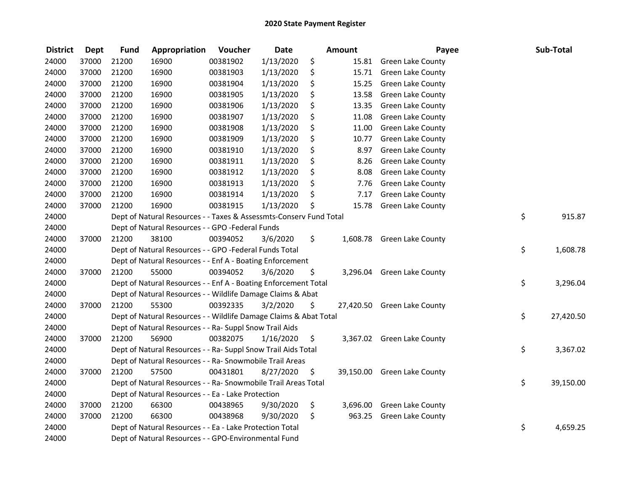| <b>District</b> | <b>Dept</b> | <b>Fund</b> | Appropriation                                                      | Voucher  | <b>Date</b> |     | <b>Amount</b> | Payee                       | Sub-Total       |
|-----------------|-------------|-------------|--------------------------------------------------------------------|----------|-------------|-----|---------------|-----------------------------|-----------------|
| 24000           | 37000       | 21200       | 16900                                                              | 00381902 | 1/13/2020   | \$  |               | 15.81 Green Lake County     |                 |
| 24000           | 37000       | 21200       | 16900                                                              | 00381903 | 1/13/2020   | \$  | 15.71         | Green Lake County           |                 |
| 24000           | 37000       | 21200       | 16900                                                              | 00381904 | 1/13/2020   | \$  | 15.25         | Green Lake County           |                 |
| 24000           | 37000       | 21200       | 16900                                                              | 00381905 | 1/13/2020   | \$  | 13.58         | Green Lake County           |                 |
| 24000           | 37000       | 21200       | 16900                                                              | 00381906 | 1/13/2020   | \$  | 13.35         | <b>Green Lake County</b>    |                 |
| 24000           | 37000       | 21200       | 16900                                                              | 00381907 | 1/13/2020   | \$  | 11.08         | <b>Green Lake County</b>    |                 |
| 24000           | 37000       | 21200       | 16900                                                              | 00381908 | 1/13/2020   | \$  | 11.00         | <b>Green Lake County</b>    |                 |
| 24000           | 37000       | 21200       | 16900                                                              | 00381909 | 1/13/2020   | \$  | 10.77         | Green Lake County           |                 |
| 24000           | 37000       | 21200       | 16900                                                              | 00381910 | 1/13/2020   | \$  | 8.97          | <b>Green Lake County</b>    |                 |
| 24000           | 37000       | 21200       | 16900                                                              | 00381911 | 1/13/2020   | \$  | 8.26          | Green Lake County           |                 |
| 24000           | 37000       | 21200       | 16900                                                              | 00381912 | 1/13/2020   | \$  | 8.08          | Green Lake County           |                 |
| 24000           | 37000       | 21200       | 16900                                                              | 00381913 | 1/13/2020   | \$  | 7.76          | <b>Green Lake County</b>    |                 |
| 24000           | 37000       | 21200       | 16900                                                              | 00381914 | 1/13/2020   | \$  | 7.17          | <b>Green Lake County</b>    |                 |
| 24000           | 37000       | 21200       | 16900                                                              | 00381915 | 1/13/2020   | \$  | 15.78         | <b>Green Lake County</b>    |                 |
| 24000           |             |             | Dept of Natural Resources - - Taxes & Assessmts-Conserv Fund Total |          |             |     |               |                             | \$<br>915.87    |
| 24000           |             |             | Dept of Natural Resources - - GPO -Federal Funds                   |          |             |     |               |                             |                 |
| 24000           | 37000       | 21200       | 38100                                                              | 00394052 | 3/6/2020    | \$  | 1,608.78      | <b>Green Lake County</b>    |                 |
| 24000           |             |             | Dept of Natural Resources - - GPO -Federal Funds Total             |          |             |     |               |                             | \$<br>1,608.78  |
| 24000           |             |             | Dept of Natural Resources - - Enf A - Boating Enforcement          |          |             |     |               |                             |                 |
| 24000           | 37000       | 21200       | 55000                                                              | 00394052 | 3/6/2020    | \$  |               | 3,296.04 Green Lake County  |                 |
| 24000           |             |             | Dept of Natural Resources - - Enf A - Boating Enforcement Total    |          |             |     |               |                             | \$<br>3,296.04  |
| 24000           |             |             | Dept of Natural Resources - - Wildlife Damage Claims & Abat        |          |             |     |               |                             |                 |
| 24000           | 37000       | 21200       | 55300                                                              | 00392335 | 3/2/2020    | \$  |               | 27,420.50 Green Lake County |                 |
| 24000           |             |             | Dept of Natural Resources - - Wildlife Damage Claims & Abat Total  |          |             |     |               |                             | \$<br>27,420.50 |
| 24000           |             |             | Dept of Natural Resources - - Ra- Suppl Snow Trail Aids            |          |             |     |               |                             |                 |
| 24000           | 37000       | 21200       | 56900                                                              | 00382075 | 1/16/2020   | \$. |               | 3,367.02 Green Lake County  |                 |
| 24000           |             |             | Dept of Natural Resources - - Ra- Suppl Snow Trail Aids Total      |          |             |     |               |                             | \$<br>3,367.02  |
| 24000           |             |             | Dept of Natural Resources - - Ra- Snowmobile Trail Areas           |          |             |     |               |                             |                 |
| 24000           | 37000       | 21200       | 57500                                                              | 00431801 | 8/27/2020   | \$  |               | 39,150.00 Green Lake County |                 |
| 24000           |             |             | Dept of Natural Resources - - Ra- Snowmobile Trail Areas Total     |          |             |     |               |                             | \$<br>39,150.00 |
| 24000           |             |             | Dept of Natural Resources - - Ea - Lake Protection                 |          |             |     |               |                             |                 |
| 24000           | 37000       | 21200       | 66300                                                              | 00438965 | 9/30/2020   | \$  |               | 3,696.00 Green Lake County  |                 |
| 24000           | 37000       | 21200       | 66300                                                              | 00438968 | 9/30/2020   | \$  | 963.25        | <b>Green Lake County</b>    |                 |
| 24000           |             |             | Dept of Natural Resources - - Ea - Lake Protection Total           |          |             |     |               |                             | \$<br>4,659.25  |
| 24000           |             |             | Dept of Natural Resources - - GPO-Environmental Fund               |          |             |     |               |                             |                 |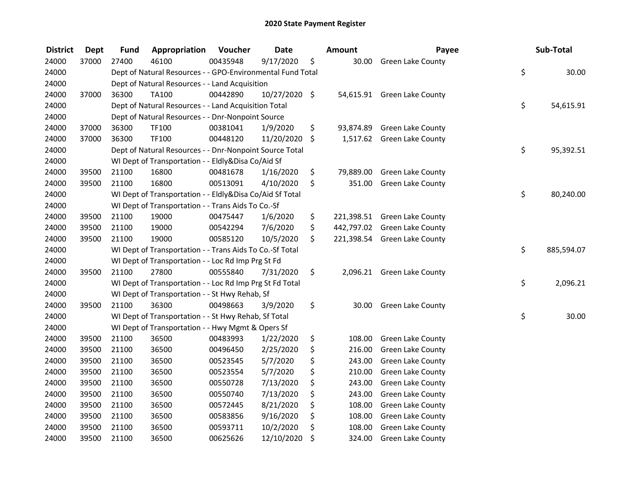| <b>District</b> | <b>Dept</b> | <b>Fund</b> | Appropriation                                              | Voucher  | <b>Date</b>   | <b>Amount</b>   | Payee                        | Sub-Total        |
|-----------------|-------------|-------------|------------------------------------------------------------|----------|---------------|-----------------|------------------------------|------------------|
| 24000           | 37000       | 27400       | 46100                                                      | 00435948 | 9/17/2020     | \$<br>30.00     | <b>Green Lake County</b>     |                  |
| 24000           |             |             | Dept of Natural Resources - - GPO-Environmental Fund Total |          |               |                 |                              | \$<br>30.00      |
| 24000           |             |             | Dept of Natural Resources - - Land Acquisition             |          |               |                 |                              |                  |
| 24000           | 37000       | 36300       | <b>TA100</b>                                               | 00442890 | 10/27/2020 \$ |                 | 54,615.91 Green Lake County  |                  |
| 24000           |             |             | Dept of Natural Resources - - Land Acquisition Total       |          |               |                 |                              | \$<br>54,615.91  |
| 24000           |             |             | Dept of Natural Resources - - Dnr-Nonpoint Source          |          |               |                 |                              |                  |
| 24000           | 37000       | 36300       | TF100                                                      | 00381041 | 1/9/2020      | \$              | 93,874.89 Green Lake County  |                  |
| 24000           | 37000       | 36300       | TF100                                                      | 00448120 | 11/20/2020    | \$              | 1,517.62 Green Lake County   |                  |
| 24000           |             |             | Dept of Natural Resources - - Dnr-Nonpoint Source Total    |          |               |                 |                              | \$<br>95,392.51  |
| 24000           |             |             | WI Dept of Transportation - - Eldly&Disa Co/Aid Sf         |          |               |                 |                              |                  |
| 24000           | 39500       | 21100       | 16800                                                      | 00481678 | 1/16/2020     | \$<br>79,889.00 | <b>Green Lake County</b>     |                  |
| 24000           | 39500       | 21100       | 16800                                                      | 00513091 | 4/10/2020     | \$<br>351.00    | <b>Green Lake County</b>     |                  |
| 24000           |             |             | WI Dept of Transportation - - Eldly&Disa Co/Aid Sf Total   |          |               |                 |                              | \$<br>80,240.00  |
| 24000           |             |             | WI Dept of Transportation - - Trans Aids To Co.-Sf         |          |               |                 |                              |                  |
| 24000           | 39500       | 21100       | 19000                                                      | 00475447 | 1/6/2020      | \$              | 221,398.51 Green Lake County |                  |
| 24000           | 39500       | 21100       | 19000                                                      | 00542294 | 7/6/2020      | \$              | 442,797.02 Green Lake County |                  |
| 24000           | 39500       | 21100       | 19000                                                      | 00585120 | 10/5/2020     | \$              | 221,398.54 Green Lake County |                  |
| 24000           |             |             | WI Dept of Transportation - - Trans Aids To Co.-Sf Total   |          |               |                 |                              | \$<br>885,594.07 |
| 24000           |             |             | WI Dept of Transportation - - Loc Rd Imp Prg St Fd         |          |               |                 |                              |                  |
| 24000           | 39500       | 21100       | 27800                                                      | 00555840 | 7/31/2020     | \$              | 2,096.21 Green Lake County   |                  |
| 24000           |             |             | WI Dept of Transportation - - Loc Rd Imp Prg St Fd Total   |          |               |                 |                              | \$<br>2,096.21   |
| 24000           |             |             | WI Dept of Transportation - - St Hwy Rehab, Sf             |          |               |                 |                              |                  |
| 24000           | 39500       | 21100       | 36300                                                      | 00498663 | 3/9/2020      | \$<br>30.00     | Green Lake County            |                  |
| 24000           |             |             | WI Dept of Transportation - - St Hwy Rehab, Sf Total       |          |               |                 |                              | \$<br>30.00      |
| 24000           |             |             | WI Dept of Transportation - - Hwy Mgmt & Opers Sf          |          |               |                 |                              |                  |
| 24000           | 39500       | 21100       | 36500                                                      | 00483993 | 1/22/2020     | \$<br>108.00    | Green Lake County            |                  |
| 24000           | 39500       | 21100       | 36500                                                      | 00496450 | 2/25/2020     | \$<br>216.00    | <b>Green Lake County</b>     |                  |
| 24000           | 39500       | 21100       | 36500                                                      | 00523545 | 5/7/2020      | \$<br>243.00    | <b>Green Lake County</b>     |                  |
| 24000           | 39500       | 21100       | 36500                                                      | 00523554 | 5/7/2020      | \$<br>210.00    | Green Lake County            |                  |
| 24000           | 39500       | 21100       | 36500                                                      | 00550728 | 7/13/2020     | \$<br>243.00    | Green Lake County            |                  |
| 24000           | 39500       | 21100       | 36500                                                      | 00550740 | 7/13/2020     | \$<br>243.00    | Green Lake County            |                  |
| 24000           | 39500       | 21100       | 36500                                                      | 00572445 | 8/21/2020     | \$<br>108.00    | <b>Green Lake County</b>     |                  |
| 24000           | 39500       | 21100       | 36500                                                      | 00583856 | 9/16/2020     | \$<br>108.00    | <b>Green Lake County</b>     |                  |
| 24000           | 39500       | 21100       | 36500                                                      | 00593711 | 10/2/2020     | \$<br>108.00    | <b>Green Lake County</b>     |                  |
| 24000           | 39500       | 21100       | 36500                                                      | 00625626 | 12/10/2020    | \$<br>324.00    | <b>Green Lake County</b>     |                  |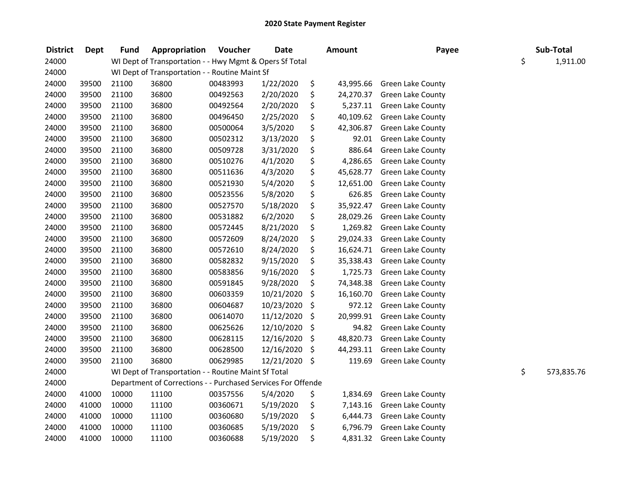| <b>District</b> | <b>Dept</b> | <b>Fund</b> | Appropriation                                                | Voucher  | <b>Date</b>   | <b>Amount</b>   | Payee                    | Sub-Total        |
|-----------------|-------------|-------------|--------------------------------------------------------------|----------|---------------|-----------------|--------------------------|------------------|
| 24000           |             |             | WI Dept of Transportation - - Hwy Mgmt & Opers Sf Total      |          |               |                 |                          | \$<br>1,911.00   |
| 24000           |             |             | WI Dept of Transportation - - Routine Maint Sf               |          |               |                 |                          |                  |
| 24000           | 39500       | 21100       | 36800                                                        | 00483993 | 1/22/2020     | \$<br>43,995.66 | <b>Green Lake County</b> |                  |
| 24000           | 39500       | 21100       | 36800                                                        | 00492563 | 2/20/2020     | \$<br>24,270.37 | <b>Green Lake County</b> |                  |
| 24000           | 39500       | 21100       | 36800                                                        | 00492564 | 2/20/2020     | \$<br>5,237.11  | <b>Green Lake County</b> |                  |
| 24000           | 39500       | 21100       | 36800                                                        | 00496450 | 2/25/2020     | \$<br>40,109.62 | <b>Green Lake County</b> |                  |
| 24000           | 39500       | 21100       | 36800                                                        | 00500064 | 3/5/2020      | \$<br>42,306.87 | <b>Green Lake County</b> |                  |
| 24000           | 39500       | 21100       | 36800                                                        | 00502312 | 3/13/2020     | \$<br>92.01     | <b>Green Lake County</b> |                  |
| 24000           | 39500       | 21100       | 36800                                                        | 00509728 | 3/31/2020     | \$<br>886.64    | <b>Green Lake County</b> |                  |
| 24000           | 39500       | 21100       | 36800                                                        | 00510276 | 4/1/2020      | \$<br>4,286.65  | <b>Green Lake County</b> |                  |
| 24000           | 39500       | 21100       | 36800                                                        | 00511636 | 4/3/2020      | \$<br>45,628.77 | <b>Green Lake County</b> |                  |
| 24000           | 39500       | 21100       | 36800                                                        | 00521930 | 5/4/2020      | \$<br>12,651.00 | Green Lake County        |                  |
| 24000           | 39500       | 21100       | 36800                                                        | 00523556 | 5/8/2020      | \$<br>626.85    | <b>Green Lake County</b> |                  |
| 24000           | 39500       | 21100       | 36800                                                        | 00527570 | 5/18/2020     | \$<br>35,922.47 | <b>Green Lake County</b> |                  |
| 24000           | 39500       | 21100       | 36800                                                        | 00531882 | 6/2/2020      | \$<br>28,029.26 | Green Lake County        |                  |
| 24000           | 39500       | 21100       | 36800                                                        | 00572445 | 8/21/2020     | 1,269.82        | <b>Green Lake County</b> |                  |
| 24000           | 39500       | 21100       | 36800                                                        | 00572609 | 8/24/2020     | \$<br>29,024.33 | <b>Green Lake County</b> |                  |
| 24000           | 39500       | 21100       | 36800                                                        | 00572610 | 8/24/2020     | \$<br>16,624.71 | Green Lake County        |                  |
| 24000           | 39500       | 21100       | 36800                                                        | 00582832 | 9/15/2020     | \$<br>35,338.43 | Green Lake County        |                  |
| 24000           | 39500       | 21100       | 36800                                                        | 00583856 | 9/16/2020     | \$<br>1,725.73  | Green Lake County        |                  |
| 24000           | 39500       | 21100       | 36800                                                        | 00591845 | 9/28/2020     | \$<br>74,348.38 | Green Lake County        |                  |
| 24000           | 39500       | 21100       | 36800                                                        | 00603359 | 10/21/2020    | \$<br>16,160.70 | Green Lake County        |                  |
| 24000           | 39500       | 21100       | 36800                                                        | 00604687 | 10/23/2020    | \$<br>972.12    | Green Lake County        |                  |
| 24000           | 39500       | 21100       | 36800                                                        | 00614070 | 11/12/2020    | \$<br>20,999.91 | Green Lake County        |                  |
| 24000           | 39500       | 21100       | 36800                                                        | 00625626 | 12/10/2020    | \$<br>94.82     | Green Lake County        |                  |
| 24000           | 39500       | 21100       | 36800                                                        | 00628115 | 12/16/2020    | \$<br>48,820.73 | Green Lake County        |                  |
| 24000           | 39500       | 21100       | 36800                                                        | 00628500 | 12/16/2020    | \$<br>44,293.11 | Green Lake County        |                  |
| 24000           | 39500       | 21100       | 36800                                                        | 00629985 | 12/21/2020 \$ | 119.69          | Green Lake County        |                  |
| 24000           |             |             | WI Dept of Transportation - - Routine Maint Sf Total         |          |               |                 |                          | \$<br>573,835.76 |
| 24000           |             |             | Department of Corrections - - Purchased Services For Offende |          |               |                 |                          |                  |
| 24000           | 41000       | 10000       | 11100                                                        | 00357556 | 5/4/2020      | \$<br>1,834.69  | Green Lake County        |                  |
| 24000           | 41000       | 10000       | 11100                                                        | 00360671 | 5/19/2020     | \$<br>7,143.16  | Green Lake County        |                  |
| 24000           | 41000       | 10000       | 11100                                                        | 00360680 | 5/19/2020     | \$<br>6,444.73  | Green Lake County        |                  |
| 24000           | 41000       | 10000       | 11100                                                        | 00360685 | 5/19/2020     | \$<br>6,796.79  | <b>Green Lake County</b> |                  |
| 24000           | 41000       | 10000       | 11100                                                        | 00360688 | 5/19/2020     | \$<br>4,831.32  | <b>Green Lake County</b> |                  |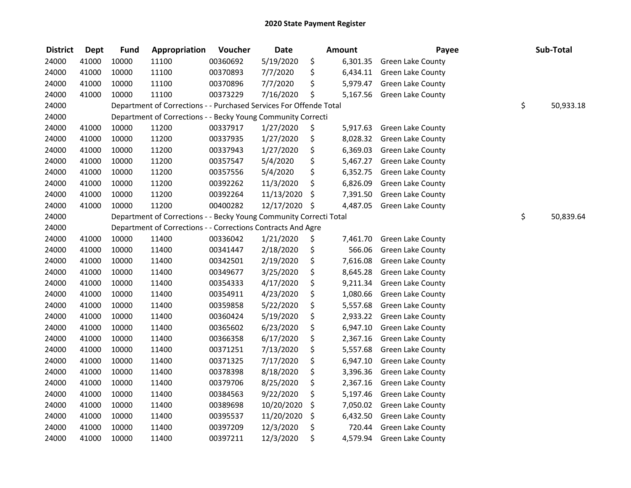| <b>District</b> | <b>Dept</b> | <b>Fund</b> | Appropriation                                                      | Voucher  | <b>Date</b>   | <b>Amount</b>  | Payee                    | Sub-Total       |
|-----------------|-------------|-------------|--------------------------------------------------------------------|----------|---------------|----------------|--------------------------|-----------------|
| 24000           | 41000       | 10000       | 11100                                                              | 00360692 | 5/19/2020     | \$<br>6,301.35 | <b>Green Lake County</b> |                 |
| 24000           | 41000       | 10000       | 11100                                                              | 00370893 | 7/7/2020      | \$<br>6,434.11 | Green Lake County        |                 |
| 24000           | 41000       | 10000       | 11100                                                              | 00370896 | 7/7/2020      | \$<br>5,979.47 | Green Lake County        |                 |
| 24000           | 41000       | 10000       | 11100                                                              | 00373229 | 7/16/2020     | \$<br>5,167.56 | Green Lake County        |                 |
| 24000           |             |             | Department of Corrections - - Purchased Services For Offende Total |          |               |                |                          | \$<br>50,933.18 |
| 24000           |             |             | Department of Corrections - - Becky Young Community Correcti       |          |               |                |                          |                 |
| 24000           | 41000       | 10000       | 11200                                                              | 00337917 | 1/27/2020     | \$<br>5,917.63 | <b>Green Lake County</b> |                 |
| 24000           | 41000       | 10000       | 11200                                                              | 00337935 | 1/27/2020     | \$<br>8,028.32 | Green Lake County        |                 |
| 24000           | 41000       | 10000       | 11200                                                              | 00337943 | 1/27/2020     | \$<br>6,369.03 | Green Lake County        |                 |
| 24000           | 41000       | 10000       | 11200                                                              | 00357547 | 5/4/2020      | \$<br>5,467.27 | <b>Green Lake County</b> |                 |
| 24000           | 41000       | 10000       | 11200                                                              | 00357556 | 5/4/2020      | \$<br>6,352.75 | <b>Green Lake County</b> |                 |
| 24000           | 41000       | 10000       | 11200                                                              | 00392262 | 11/3/2020     | \$<br>6,826.09 | Green Lake County        |                 |
| 24000           | 41000       | 10000       | 11200                                                              | 00392264 | 11/13/2020    | \$<br>7,391.50 | Green Lake County        |                 |
| 24000           | 41000       | 10000       | 11200                                                              | 00400282 | 12/17/2020 \$ | 4,487.05       | Green Lake County        |                 |
| 24000           |             |             | Department of Corrections - - Becky Young Community Correcti Total |          |               |                |                          | \$<br>50,839.64 |
| 24000           |             |             | Department of Corrections - - Corrections Contracts And Agre       |          |               |                |                          |                 |
| 24000           | 41000       | 10000       | 11400                                                              | 00336042 | 1/21/2020     | \$<br>7,461.70 | Green Lake County        |                 |
| 24000           | 41000       | 10000       | 11400                                                              | 00341447 | 2/18/2020     | \$<br>566.06   | Green Lake County        |                 |
| 24000           | 41000       | 10000       | 11400                                                              | 00342501 | 2/19/2020     | \$<br>7,616.08 | <b>Green Lake County</b> |                 |
| 24000           | 41000       | 10000       | 11400                                                              | 00349677 | 3/25/2020     | \$<br>8,645.28 | Green Lake County        |                 |
| 24000           | 41000       | 10000       | 11400                                                              | 00354333 | 4/17/2020     | \$<br>9,211.34 | Green Lake County        |                 |
| 24000           | 41000       | 10000       | 11400                                                              | 00354911 | 4/23/2020     | \$<br>1,080.66 | <b>Green Lake County</b> |                 |
| 24000           | 41000       | 10000       | 11400                                                              | 00359858 | 5/22/2020     | \$<br>5,557.68 | Green Lake County        |                 |
| 24000           | 41000       | 10000       | 11400                                                              | 00360424 | 5/19/2020     | \$<br>2,933.22 | Green Lake County        |                 |
| 24000           | 41000       | 10000       | 11400                                                              | 00365602 | 6/23/2020     | \$<br>6,947.10 | Green Lake County        |                 |
| 24000           | 41000       | 10000       | 11400                                                              | 00366358 | 6/17/2020     | \$<br>2,367.16 | Green Lake County        |                 |
| 24000           | 41000       | 10000       | 11400                                                              | 00371251 | 7/13/2020     | \$<br>5,557.68 | Green Lake County        |                 |
| 24000           | 41000       | 10000       | 11400                                                              | 00371325 | 7/17/2020     | \$<br>6,947.10 | <b>Green Lake County</b> |                 |
| 24000           | 41000       | 10000       | 11400                                                              | 00378398 | 8/18/2020     | \$<br>3,396.36 | <b>Green Lake County</b> |                 |
| 24000           | 41000       | 10000       | 11400                                                              | 00379706 | 8/25/2020     | \$<br>2,367.16 | <b>Green Lake County</b> |                 |
| 24000           | 41000       | 10000       | 11400                                                              | 00384563 | 9/22/2020     | \$<br>5,197.46 | <b>Green Lake County</b> |                 |
| 24000           | 41000       | 10000       | 11400                                                              | 00389698 | 10/20/2020    | \$<br>7,050.02 | Green Lake County        |                 |
| 24000           | 41000       | 10000       | 11400                                                              | 00395537 | 11/20/2020    | \$<br>6,432.50 | <b>Green Lake County</b> |                 |
| 24000           | 41000       | 10000       | 11400                                                              | 00397209 | 12/3/2020     | \$<br>720.44   | <b>Green Lake County</b> |                 |
| 24000           | 41000       | 10000       | 11400                                                              | 00397211 | 12/3/2020     | \$<br>4,579.94 | <b>Green Lake County</b> |                 |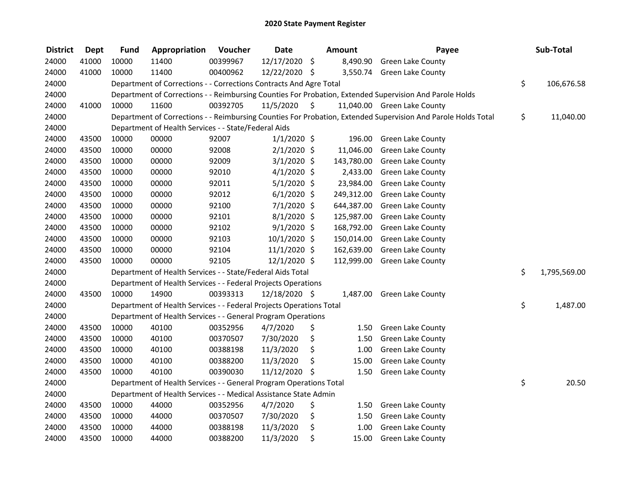| <b>District</b> | <b>Dept</b> | <b>Fund</b> | Appropriation                                                       | Voucher  | <b>Date</b>    | Amount      | Payee                                                                                                         | Sub-Total          |
|-----------------|-------------|-------------|---------------------------------------------------------------------|----------|----------------|-------------|---------------------------------------------------------------------------------------------------------------|--------------------|
| 24000           | 41000       | 10000       | 11400                                                               | 00399967 | 12/17/2020     | \$          | 8,490.90 Green Lake County                                                                                    |                    |
| 24000           | 41000       | 10000       | 11400                                                               | 00400962 | 12/22/2020 \$  |             | 3,550.74 Green Lake County                                                                                    |                    |
| 24000           |             |             | Department of Corrections - - Corrections Contracts And Agre Total  |          |                |             |                                                                                                               | \$<br>106,676.58   |
| 24000           |             |             |                                                                     |          |                |             | Department of Corrections - - Reimbursing Counties For Probation, Extended Supervision And Parole Holds       |                    |
| 24000           | 41000       | 10000       | 11600                                                               | 00392705 | 11/5/2020      | \$          | 11,040.00 Green Lake County                                                                                   |                    |
| 24000           |             |             |                                                                     |          |                |             | Department of Corrections - - Reimbursing Counties For Probation, Extended Supervision And Parole Holds Total | \$<br>11,040.00    |
| 24000           |             |             | Department of Health Services - - State/Federal Aids                |          |                |             |                                                                                                               |                    |
| 24000           | 43500       | 10000       | 00000                                                               | 92007    | $1/1/2020$ \$  | 196.00      | <b>Green Lake County</b>                                                                                      |                    |
| 24000           | 43500       | 10000       | 00000                                                               | 92008    | $2/1/2020$ \$  | 11,046.00   | <b>Green Lake County</b>                                                                                      |                    |
| 24000           | 43500       | 10000       | 00000                                                               | 92009    | $3/1/2020$ \$  | 143,780.00  | Green Lake County                                                                                             |                    |
| 24000           | 43500       | 10000       | 00000                                                               | 92010    | $4/1/2020$ \$  | 2,433.00    | <b>Green Lake County</b>                                                                                      |                    |
| 24000           | 43500       | 10000       | 00000                                                               | 92011    | $5/1/2020$ \$  | 23,984.00   | <b>Green Lake County</b>                                                                                      |                    |
| 24000           | 43500       | 10000       | 00000                                                               | 92012    | $6/1/2020$ \$  | 249,312.00  | <b>Green Lake County</b>                                                                                      |                    |
| 24000           | 43500       | 10000       | 00000                                                               | 92100    | $7/1/2020$ \$  | 644,387.00  | Green Lake County                                                                                             |                    |
| 24000           | 43500       | 10000       | 00000                                                               | 92101    | 8/1/2020 \$    | 125,987.00  | Green Lake County                                                                                             |                    |
| 24000           | 43500       | 10000       | 00000                                                               | 92102    | $9/1/2020$ \$  | 168,792.00  | <b>Green Lake County</b>                                                                                      |                    |
| 24000           | 43500       | 10000       | 00000                                                               | 92103    | 10/1/2020 \$   | 150,014.00  | <b>Green Lake County</b>                                                                                      |                    |
| 24000           | 43500       | 10000       | 00000                                                               | 92104    | $11/1/2020$ \$ | 162,639.00  | <b>Green Lake County</b>                                                                                      |                    |
| 24000           | 43500       | 10000       | 00000                                                               | 92105    | 12/1/2020 \$   |             | 112,999.00 Green Lake County                                                                                  |                    |
| 24000           |             |             | Department of Health Services - - State/Federal Aids Total          |          |                |             |                                                                                                               | \$<br>1,795,569.00 |
| 24000           |             |             | Department of Health Services - - Federal Projects Operations       |          |                |             |                                                                                                               |                    |
| 24000           | 43500       | 10000       | 14900                                                               | 00393313 | 12/18/2020 \$  |             | 1,487.00 Green Lake County                                                                                    |                    |
| 24000           |             |             | Department of Health Services - - Federal Projects Operations Total |          |                |             |                                                                                                               | \$<br>1,487.00     |
| 24000           |             |             | Department of Health Services - - General Program Operations        |          |                |             |                                                                                                               |                    |
| 24000           | 43500       | 10000       | 40100                                                               | 00352956 | 4/7/2020       | \$<br>1.50  | <b>Green Lake County</b>                                                                                      |                    |
| 24000           | 43500       | 10000       | 40100                                                               | 00370507 | 7/30/2020      | \$<br>1.50  | Green Lake County                                                                                             |                    |
| 24000           | 43500       | 10000       | 40100                                                               | 00388198 | 11/3/2020      | \$<br>1.00  | Green Lake County                                                                                             |                    |
| 24000           | 43500       | 10000       | 40100                                                               | 00388200 | 11/3/2020      | \$<br>15.00 | <b>Green Lake County</b>                                                                                      |                    |
| 24000           | 43500       | 10000       | 40100                                                               | 00390030 | 11/12/2020     | \$<br>1.50  | <b>Green Lake County</b>                                                                                      |                    |
| 24000           |             |             | Department of Health Services - - General Program Operations Total  |          |                |             |                                                                                                               | \$<br>20.50        |
| 24000           |             |             | Department of Health Services - - Medical Assistance State Admin    |          |                |             |                                                                                                               |                    |
| 24000           | 43500       | 10000       | 44000                                                               | 00352956 | 4/7/2020       | \$<br>1.50  | <b>Green Lake County</b>                                                                                      |                    |
| 24000           | 43500       | 10000       | 44000                                                               | 00370507 | 7/30/2020      | \$<br>1.50  | <b>Green Lake County</b>                                                                                      |                    |
| 24000           | 43500       | 10000       | 44000                                                               | 00388198 | 11/3/2020      | \$<br>1.00  | <b>Green Lake County</b>                                                                                      |                    |
| 24000           | 43500       | 10000       | 44000                                                               | 00388200 | 11/3/2020      | \$<br>15.00 | <b>Green Lake County</b>                                                                                      |                    |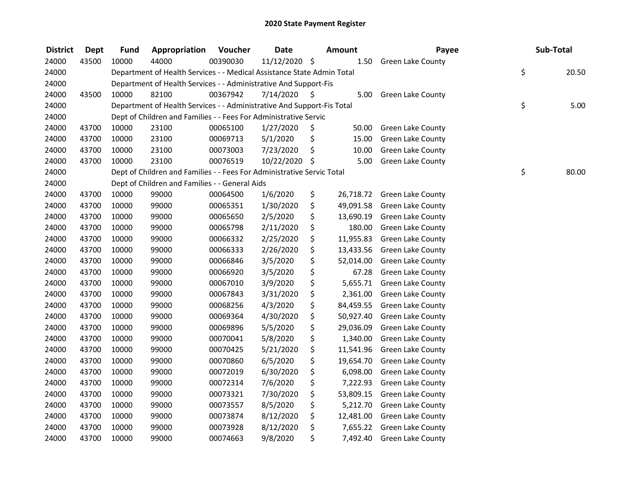| <b>District</b> | <b>Dept</b> | <b>Fund</b> | Appropriation                                                          | Voucher  | <b>Date</b>   | <b>Amount</b>   | Payee                    | Sub-Total   |
|-----------------|-------------|-------------|------------------------------------------------------------------------|----------|---------------|-----------------|--------------------------|-------------|
| 24000           | 43500       | 10000       | 44000                                                                  | 00390030 | 11/12/2020 \$ | 1.50            | <b>Green Lake County</b> |             |
| 24000           |             |             | Department of Health Services - - Medical Assistance State Admin Total |          |               |                 |                          | \$<br>20.50 |
| 24000           |             |             | Department of Health Services - - Administrative And Support-Fis       |          |               |                 |                          |             |
| 24000           | 43500       | 10000       | 82100                                                                  | 00367942 | 7/14/2020     | \$<br>5.00      | <b>Green Lake County</b> |             |
| 24000           |             |             | Department of Health Services - - Administrative And Support-Fis Total |          |               |                 |                          | \$<br>5.00  |
| 24000           |             |             | Dept of Children and Families - - Fees For Administrative Servic       |          |               |                 |                          |             |
| 24000           | 43700       | 10000       | 23100                                                                  | 00065100 | 1/27/2020     | \$<br>50.00     | <b>Green Lake County</b> |             |
| 24000           | 43700       | 10000       | 23100                                                                  | 00069713 | 5/1/2020      | \$<br>15.00     | Green Lake County        |             |
| 24000           | 43700       | 10000       | 23100                                                                  | 00073003 | 7/23/2020     | \$<br>10.00     | Green Lake County        |             |
| 24000           | 43700       | 10000       | 23100                                                                  | 00076519 | 10/22/2020 \$ | 5.00            | <b>Green Lake County</b> |             |
| 24000           |             |             | Dept of Children and Families - - Fees For Administrative Servic Total |          |               |                 |                          | \$<br>80.00 |
| 24000           |             |             | Dept of Children and Families - - General Aids                         |          |               |                 |                          |             |
| 24000           | 43700       | 10000       | 99000                                                                  | 00064500 | 1/6/2020      | \$<br>26,718.72 | <b>Green Lake County</b> |             |
| 24000           | 43700       | 10000       | 99000                                                                  | 00065351 | 1/30/2020     | \$<br>49,091.58 | Green Lake County        |             |
| 24000           | 43700       | 10000       | 99000                                                                  | 00065650 | 2/5/2020      | \$<br>13,690.19 | Green Lake County        |             |
| 24000           | 43700       | 10000       | 99000                                                                  | 00065798 | 2/11/2020     | \$<br>180.00    | <b>Green Lake County</b> |             |
| 24000           | 43700       | 10000       | 99000                                                                  | 00066332 | 2/25/2020     | \$<br>11,955.83 | Green Lake County        |             |
| 24000           | 43700       | 10000       | 99000                                                                  | 00066333 | 2/26/2020     | \$<br>13,433.56 | Green Lake County        |             |
| 24000           | 43700       | 10000       | 99000                                                                  | 00066846 | 3/5/2020      | \$<br>52,014.00 | <b>Green Lake County</b> |             |
| 24000           | 43700       | 10000       | 99000                                                                  | 00066920 | 3/5/2020      | \$<br>67.28     | Green Lake County        |             |
| 24000           | 43700       | 10000       | 99000                                                                  | 00067010 | 3/9/2020      | \$<br>5,655.71  | Green Lake County        |             |
| 24000           | 43700       | 10000       | 99000                                                                  | 00067843 | 3/31/2020     | \$<br>2,361.00  | <b>Green Lake County</b> |             |
| 24000           | 43700       | 10000       | 99000                                                                  | 00068256 | 4/3/2020      | \$<br>84,459.55 | Green Lake County        |             |
| 24000           | 43700       | 10000       | 99000                                                                  | 00069364 | 4/30/2020     | \$<br>50,927.40 | <b>Green Lake County</b> |             |
| 24000           | 43700       | 10000       | 99000                                                                  | 00069896 | 5/5/2020      | \$<br>29,036.09 | <b>Green Lake County</b> |             |
| 24000           | 43700       | 10000       | 99000                                                                  | 00070041 | 5/8/2020      | \$<br>1,340.00  | Green Lake County        |             |
| 24000           | 43700       | 10000       | 99000                                                                  | 00070425 | 5/21/2020     | \$<br>11,541.96 | Green Lake County        |             |
| 24000           | 43700       | 10000       | 99000                                                                  | 00070860 | 6/5/2020      | \$<br>19,654.70 | <b>Green Lake County</b> |             |
| 24000           | 43700       | 10000       | 99000                                                                  | 00072019 | 6/30/2020     | \$<br>6,098.00  | <b>Green Lake County</b> |             |
| 24000           | 43700       | 10000       | 99000                                                                  | 00072314 | 7/6/2020      | \$<br>7,222.93  | <b>Green Lake County</b> |             |
| 24000           | 43700       | 10000       | 99000                                                                  | 00073321 | 7/30/2020     | \$<br>53,809.15 | <b>Green Lake County</b> |             |
| 24000           | 43700       | 10000       | 99000                                                                  | 00073557 | 8/5/2020      | \$<br>5,212.70  | Green Lake County        |             |
| 24000           | 43700       | 10000       | 99000                                                                  | 00073874 | 8/12/2020     | \$<br>12,481.00 | <b>Green Lake County</b> |             |
| 24000           | 43700       | 10000       | 99000                                                                  | 00073928 | 8/12/2020     | \$<br>7,655.22  | <b>Green Lake County</b> |             |
| 24000           | 43700       | 10000       | 99000                                                                  | 00074663 | 9/8/2020      | \$<br>7,492.40  | <b>Green Lake County</b> |             |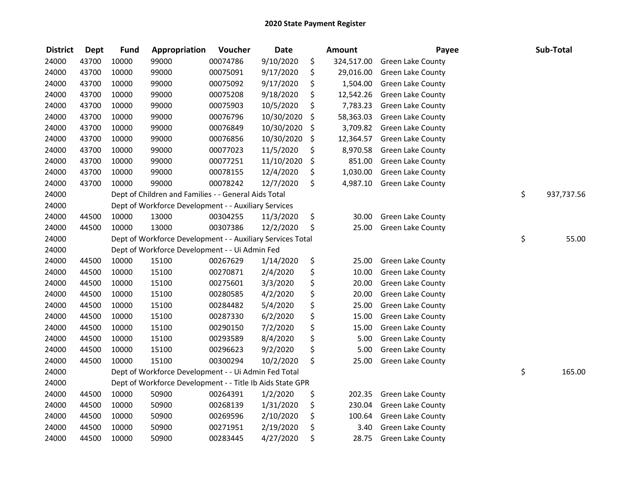| <b>District</b> | <b>Dept</b> | <b>Fund</b> | Appropriation                                              | Voucher  | <b>Date</b> | Amount           | Payee                    | Sub-Total        |
|-----------------|-------------|-------------|------------------------------------------------------------|----------|-------------|------------------|--------------------------|------------------|
| 24000           | 43700       | 10000       | 99000                                                      | 00074786 | 9/10/2020   | \$<br>324,517.00 | Green Lake County        |                  |
| 24000           | 43700       | 10000       | 99000                                                      | 00075091 | 9/17/2020   | \$<br>29,016.00  | Green Lake County        |                  |
| 24000           | 43700       | 10000       | 99000                                                      | 00075092 | 9/17/2020   | \$<br>1,504.00   | Green Lake County        |                  |
| 24000           | 43700       | 10000       | 99000                                                      | 00075208 | 9/18/2020   | \$<br>12,542.26  | Green Lake County        |                  |
| 24000           | 43700       | 10000       | 99000                                                      | 00075903 | 10/5/2020   | \$<br>7,783.23   | <b>Green Lake County</b> |                  |
| 24000           | 43700       | 10000       | 99000                                                      | 00076796 | 10/30/2020  | \$<br>58,363.03  | <b>Green Lake County</b> |                  |
| 24000           | 43700       | 10000       | 99000                                                      | 00076849 | 10/30/2020  | \$<br>3,709.82   | <b>Green Lake County</b> |                  |
| 24000           | 43700       | 10000       | 99000                                                      | 00076856 | 10/30/2020  | \$<br>12,364.57  | <b>Green Lake County</b> |                  |
| 24000           | 43700       | 10000       | 99000                                                      | 00077023 | 11/5/2020   | \$<br>8,970.58   | Green Lake County        |                  |
| 24000           | 43700       | 10000       | 99000                                                      | 00077251 | 11/10/2020  | \$<br>851.00     | Green Lake County        |                  |
| 24000           | 43700       | 10000       | 99000                                                      | 00078155 | 12/4/2020   | \$<br>1,030.00   | <b>Green Lake County</b> |                  |
| 24000           | 43700       | 10000       | 99000                                                      | 00078242 | 12/7/2020   | \$<br>4,987.10   | Green Lake County        |                  |
| 24000           |             |             | Dept of Children and Families - - General Aids Total       |          |             |                  |                          | \$<br>937,737.56 |
| 24000           |             |             | Dept of Workforce Development - - Auxiliary Services       |          |             |                  |                          |                  |
| 24000           | 44500       | 10000       | 13000                                                      | 00304255 | 11/3/2020   | \$<br>30.00      | Green Lake County        |                  |
| 24000           | 44500       | 10000       | 13000                                                      | 00307386 | 12/2/2020   | \$<br>25.00      | Green Lake County        |                  |
| 24000           |             |             | Dept of Workforce Development - - Auxiliary Services Total |          |             |                  |                          | \$<br>55.00      |
| 24000           |             |             | Dept of Workforce Development - - Ui Admin Fed             |          |             |                  |                          |                  |
| 24000           | 44500       | 10000       | 15100                                                      | 00267629 | 1/14/2020   | \$<br>25.00      | Green Lake County        |                  |
| 24000           | 44500       | 10000       | 15100                                                      | 00270871 | 2/4/2020    | \$<br>10.00      | Green Lake County        |                  |
| 24000           | 44500       | 10000       | 15100                                                      | 00275601 | 3/3/2020    | \$<br>20.00      | Green Lake County        |                  |
| 24000           | 44500       | 10000       | 15100                                                      | 00280585 | 4/2/2020    | \$<br>20.00      | Green Lake County        |                  |
| 24000           | 44500       | 10000       | 15100                                                      | 00284482 | 5/4/2020    | \$<br>25.00      | Green Lake County        |                  |
| 24000           | 44500       | 10000       | 15100                                                      | 00287330 | 6/2/2020    | \$<br>15.00      | Green Lake County        |                  |
| 24000           | 44500       | 10000       | 15100                                                      | 00290150 | 7/2/2020    | \$<br>15.00      | Green Lake County        |                  |
| 24000           | 44500       | 10000       | 15100                                                      | 00293589 | 8/4/2020    | \$<br>5.00       | Green Lake County        |                  |
| 24000           | 44500       | 10000       | 15100                                                      | 00296623 | 9/2/2020    | \$<br>5.00       | Green Lake County        |                  |
| 24000           | 44500       | 10000       | 15100                                                      | 00300294 | 10/2/2020   | \$<br>25.00      | Green Lake County        |                  |
| 24000           |             |             | Dept of Workforce Development - - Ui Admin Fed Total       |          |             |                  |                          | \$<br>165.00     |
| 24000           |             |             | Dept of Workforce Development - - Title Ib Aids State GPR  |          |             |                  |                          |                  |
| 24000           | 44500       | 10000       | 50900                                                      | 00264391 | 1/2/2020    | \$<br>202.35     | Green Lake County        |                  |
| 24000           | 44500       | 10000       | 50900                                                      | 00268139 | 1/31/2020   | \$<br>230.04     | Green Lake County        |                  |
| 24000           | 44500       | 10000       | 50900                                                      | 00269596 | 2/10/2020   | \$<br>100.64     | Green Lake County        |                  |
| 24000           | 44500       | 10000       | 50900                                                      | 00271951 | 2/19/2020   | \$<br>3.40       | Green Lake County        |                  |
| 24000           | 44500       | 10000       | 50900                                                      | 00283445 | 4/27/2020   | \$<br>28.75      | <b>Green Lake County</b> |                  |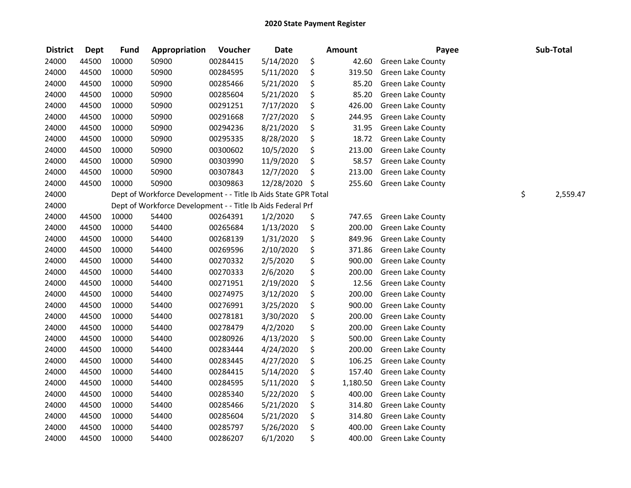| <b>District</b> | <b>Dept</b> | <b>Fund</b> | Appropriation                                                   | Voucher  | <b>Date</b> |               | <b>Amount</b> | Payee                    | Sub-Total      |
|-----------------|-------------|-------------|-----------------------------------------------------------------|----------|-------------|---------------|---------------|--------------------------|----------------|
| 24000           | 44500       | 10000       | 50900                                                           | 00284415 | 5/14/2020   | \$            | 42.60         | Green Lake County        |                |
| 24000           | 44500       | 10000       | 50900                                                           | 00284595 | 5/11/2020   | \$            | 319.50        | Green Lake County        |                |
| 24000           | 44500       | 10000       | 50900                                                           | 00285466 | 5/21/2020   | \$            | 85.20         | Green Lake County        |                |
| 24000           | 44500       | 10000       | 50900                                                           | 00285604 | 5/21/2020   | \$            | 85.20         | Green Lake County        |                |
| 24000           | 44500       | 10000       | 50900                                                           | 00291251 | 7/17/2020   | \$            | 426.00        | Green Lake County        |                |
| 24000           | 44500       | 10000       | 50900                                                           | 00291668 | 7/27/2020   | \$            | 244.95        | <b>Green Lake County</b> |                |
| 24000           | 44500       | 10000       | 50900                                                           | 00294236 | 8/21/2020   | \$            | 31.95         | <b>Green Lake County</b> |                |
| 24000           | 44500       | 10000       | 50900                                                           | 00295335 | 8/28/2020   | \$            | 18.72         | <b>Green Lake County</b> |                |
| 24000           | 44500       | 10000       | 50900                                                           | 00300602 | 10/5/2020   | \$            | 213.00        | Green Lake County        |                |
| 24000           | 44500       | 10000       | 50900                                                           | 00303990 | 11/9/2020   | \$            | 58.57         | Green Lake County        |                |
| 24000           | 44500       | 10000       | 50900                                                           | 00307843 | 12/7/2020   | \$            | 213.00        | Green Lake County        |                |
| 24000           | 44500       | 10000       | 50900                                                           | 00309863 | 12/28/2020  | $\frac{1}{2}$ | 255.60        | Green Lake County        |                |
| 24000           |             |             | Dept of Workforce Development - - Title Ib Aids State GPR Total |          |             |               |               |                          | \$<br>2,559.47 |
| 24000           |             |             | Dept of Workforce Development - - Title Ib Aids Federal Prf     |          |             |               |               |                          |                |
| 24000           | 44500       | 10000       | 54400                                                           | 00264391 | 1/2/2020    | \$            | 747.65        | <b>Green Lake County</b> |                |
| 24000           | 44500       | 10000       | 54400                                                           | 00265684 | 1/13/2020   | \$            | 200.00        | <b>Green Lake County</b> |                |
| 24000           | 44500       | 10000       | 54400                                                           | 00268139 | 1/31/2020   | \$            | 849.96        | Green Lake County        |                |
| 24000           | 44500       | 10000       | 54400                                                           | 00269596 | 2/10/2020   | \$            | 371.86        | Green Lake County        |                |
| 24000           | 44500       | 10000       | 54400                                                           | 00270332 | 2/5/2020    | \$            | 900.00        | <b>Green Lake County</b> |                |
| 24000           | 44500       | 10000       | 54400                                                           | 00270333 | 2/6/2020    | \$            | 200.00        | Green Lake County        |                |
| 24000           | 44500       | 10000       | 54400                                                           | 00271951 | 2/19/2020   | \$            | 12.56         | Green Lake County        |                |
| 24000           | 44500       | 10000       | 54400                                                           | 00274975 | 3/12/2020   | \$            | 200.00        | Green Lake County        |                |
| 24000           | 44500       | 10000       | 54400                                                           | 00276991 | 3/25/2020   | \$            | 900.00        | Green Lake County        |                |
| 24000           | 44500       | 10000       | 54400                                                           | 00278181 | 3/30/2020   | \$            | 200.00        | Green Lake County        |                |
| 24000           | 44500       | 10000       | 54400                                                           | 00278479 | 4/2/2020    | \$            | 200.00        | Green Lake County        |                |
| 24000           | 44500       | 10000       | 54400                                                           | 00280926 | 4/13/2020   | \$            | 500.00        | Green Lake County        |                |
| 24000           | 44500       | 10000       | 54400                                                           | 00283444 | 4/24/2020   | \$            | 200.00        | Green Lake County        |                |
| 24000           | 44500       | 10000       | 54400                                                           | 00283445 | 4/27/2020   | \$            | 106.25        | Green Lake County        |                |
| 24000           | 44500       | 10000       | 54400                                                           | 00284415 | 5/14/2020   | \$            | 157.40        | Green Lake County        |                |
| 24000           | 44500       | 10000       | 54400                                                           | 00284595 | 5/11/2020   | \$            | 1,180.50      | Green Lake County        |                |
| 24000           | 44500       | 10000       | 54400                                                           | 00285340 | 5/22/2020   | \$            | 400.00        | <b>Green Lake County</b> |                |
| 24000           | 44500       | 10000       | 54400                                                           | 00285466 | 5/21/2020   | \$            | 314.80        | <b>Green Lake County</b> |                |
| 24000           | 44500       | 10000       | 54400                                                           | 00285604 | 5/21/2020   | \$            | 314.80        | <b>Green Lake County</b> |                |
| 24000           | 44500       | 10000       | 54400                                                           | 00285797 | 5/26/2020   | \$            | 400.00        | Green Lake County        |                |
| 24000           | 44500       | 10000       | 54400                                                           | 00286207 | 6/1/2020    | \$            | 400.00        | Green Lake County        |                |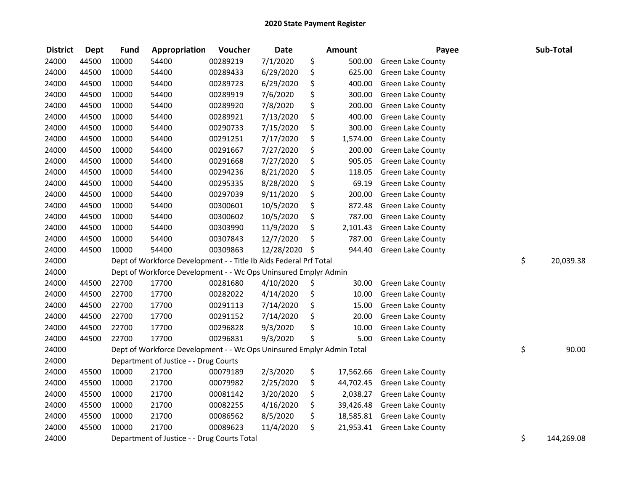| <b>District</b> | <b>Dept</b> | <b>Fund</b> | Appropriation                                                         | Voucher  | <b>Date</b> | Amount          | Payee                       | Sub-Total        |
|-----------------|-------------|-------------|-----------------------------------------------------------------------|----------|-------------|-----------------|-----------------------------|------------------|
| 24000           | 44500       | 10000       | 54400                                                                 | 00289219 | 7/1/2020    | \$<br>500.00    | <b>Green Lake County</b>    |                  |
| 24000           | 44500       | 10000       | 54400                                                                 | 00289433 | 6/29/2020   | \$<br>625.00    | Green Lake County           |                  |
| 24000           | 44500       | 10000       | 54400                                                                 | 00289723 | 6/29/2020   | \$<br>400.00    | <b>Green Lake County</b>    |                  |
| 24000           | 44500       | 10000       | 54400                                                                 | 00289919 | 7/6/2020    | \$<br>300.00    | <b>Green Lake County</b>    |                  |
| 24000           | 44500       | 10000       | 54400                                                                 | 00289920 | 7/8/2020    | \$<br>200.00    | <b>Green Lake County</b>    |                  |
| 24000           | 44500       | 10000       | 54400                                                                 | 00289921 | 7/13/2020   | \$<br>400.00    | <b>Green Lake County</b>    |                  |
| 24000           | 44500       | 10000       | 54400                                                                 | 00290733 | 7/15/2020   | \$<br>300.00    | Green Lake County           |                  |
| 24000           | 44500       | 10000       | 54400                                                                 | 00291251 | 7/17/2020   | \$<br>1,574.00  | Green Lake County           |                  |
| 24000           | 44500       | 10000       | 54400                                                                 | 00291667 | 7/27/2020   | \$<br>200.00    | Green Lake County           |                  |
| 24000           | 44500       | 10000       | 54400                                                                 | 00291668 | 7/27/2020   | \$<br>905.05    | <b>Green Lake County</b>    |                  |
| 24000           | 44500       | 10000       | 54400                                                                 | 00294236 | 8/21/2020   | \$<br>118.05    | Green Lake County           |                  |
| 24000           | 44500       | 10000       | 54400                                                                 | 00295335 | 8/28/2020   | \$<br>69.19     | Green Lake County           |                  |
| 24000           | 44500       | 10000       | 54400                                                                 | 00297039 | 9/11/2020   | \$<br>200.00    | <b>Green Lake County</b>    |                  |
| 24000           | 44500       | 10000       | 54400                                                                 | 00300601 | 10/5/2020   | \$<br>872.48    | Green Lake County           |                  |
| 24000           | 44500       | 10000       | 54400                                                                 | 00300602 | 10/5/2020   | \$<br>787.00    | Green Lake County           |                  |
| 24000           | 44500       | 10000       | 54400                                                                 | 00303990 | 11/9/2020   | \$<br>2,101.43  | <b>Green Lake County</b>    |                  |
| 24000           | 44500       | 10000       | 54400                                                                 | 00307843 | 12/7/2020   | \$<br>787.00    | <b>Green Lake County</b>    |                  |
| 24000           | 44500       | 10000       | 54400                                                                 | 00309863 | 12/28/2020  | \$<br>944.40    | Green Lake County           |                  |
| 24000           |             |             | Dept of Workforce Development - - Title Ib Aids Federal Prf Total     |          |             |                 |                             | \$<br>20,039.38  |
| 24000           |             |             | Dept of Workforce Development - - Wc Ops Uninsured Emplyr Admin       |          |             |                 |                             |                  |
| 24000           | 44500       | 22700       | 17700                                                                 | 00281680 | 4/10/2020   | \$<br>30.00     | Green Lake County           |                  |
| 24000           | 44500       | 22700       | 17700                                                                 | 00282022 | 4/14/2020   | \$<br>10.00     | <b>Green Lake County</b>    |                  |
| 24000           | 44500       | 22700       | 17700                                                                 | 00291113 | 7/14/2020   | \$<br>15.00     | Green Lake County           |                  |
| 24000           | 44500       | 22700       | 17700                                                                 | 00291152 | 7/14/2020   | \$<br>20.00     | Green Lake County           |                  |
| 24000           | 44500       | 22700       | 17700                                                                 | 00296828 | 9/3/2020    | \$<br>10.00     | Green Lake County           |                  |
| 24000           | 44500       | 22700       | 17700                                                                 | 00296831 | 9/3/2020    | \$<br>5.00      | Green Lake County           |                  |
| 24000           |             |             | Dept of Workforce Development - - Wc Ops Uninsured Emplyr Admin Total |          |             |                 |                             | \$<br>90.00      |
| 24000           |             |             | Department of Justice - - Drug Courts                                 |          |             |                 |                             |                  |
| 24000           | 45500       | 10000       | 21700                                                                 | 00079189 | 2/3/2020    | \$<br>17,562.66 | <b>Green Lake County</b>    |                  |
| 24000           | 45500       | 10000       | 21700                                                                 | 00079982 | 2/25/2020   | \$<br>44,702.45 | <b>Green Lake County</b>    |                  |
| 24000           | 45500       | 10000       | 21700                                                                 | 00081142 | 3/20/2020   | \$<br>2,038.27  | Green Lake County           |                  |
| 24000           | 45500       | 10000       | 21700                                                                 | 00082255 | 4/16/2020   | \$<br>39,426.48 | Green Lake County           |                  |
| 24000           | 45500       | 10000       | 21700                                                                 | 00086562 | 8/5/2020    | \$              | 18,585.81 Green Lake County |                  |
| 24000           | 45500       | 10000       | 21700                                                                 | 00089623 | 11/4/2020   | \$<br>21,953.41 | <b>Green Lake County</b>    |                  |
| 24000           |             |             | Department of Justice - - Drug Courts Total                           |          |             |                 |                             | \$<br>144,269.08 |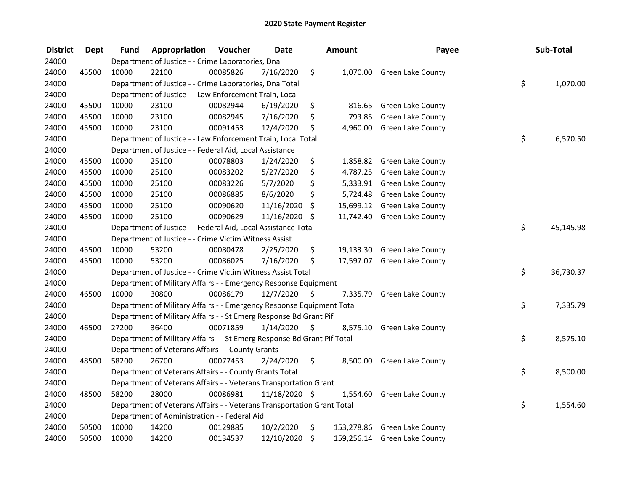| <b>District</b> | <b>Dept</b> | <b>Fund</b> | Appropriation                                                           | Voucher  | <b>Date</b>   |         | Amount    | Payee                        | Sub-Total       |
|-----------------|-------------|-------------|-------------------------------------------------------------------------|----------|---------------|---------|-----------|------------------------------|-----------------|
| 24000           |             |             | Department of Justice - - Crime Laboratories, Dna                       |          |               |         |           |                              |                 |
| 24000           | 45500       | 10000       | 22100                                                                   | 00085826 | 7/16/2020     | \$      |           | 1,070.00 Green Lake County   |                 |
| 24000           |             |             | Department of Justice - - Crime Laboratories, Dna Total                 |          |               |         |           |                              | \$<br>1,070.00  |
| 24000           |             |             | Department of Justice - - Law Enforcement Train, Local                  |          |               |         |           |                              |                 |
| 24000           | 45500       | 10000       | 23100                                                                   | 00082944 | 6/19/2020     | \$      | 816.65    | <b>Green Lake County</b>     |                 |
| 24000           | 45500       | 10000       | 23100                                                                   | 00082945 | 7/16/2020     | \$      | 793.85    | Green Lake County            |                 |
| 24000           | 45500       | 10000       | 23100                                                                   | 00091453 | 12/4/2020     | \$      |           | 4,960.00 Green Lake County   |                 |
| 24000           |             |             | Department of Justice - - Law Enforcement Train, Local Total            |          |               |         |           |                              | \$<br>6,570.50  |
| 24000           |             |             | Department of Justice - - Federal Aid, Local Assistance                 |          |               |         |           |                              |                 |
| 24000           | 45500       | 10000       | 25100                                                                   | 00078803 | 1/24/2020     | \$      | 1,858.82  | <b>Green Lake County</b>     |                 |
| 24000           | 45500       | 10000       | 25100                                                                   | 00083202 | 5/27/2020     | \$      | 4,787.25  | <b>Green Lake County</b>     |                 |
| 24000           | 45500       | 10000       | 25100                                                                   | 00083226 | 5/7/2020      | \$      | 5,333.91  | <b>Green Lake County</b>     |                 |
| 24000           | 45500       | 10000       | 25100                                                                   | 00086885 | 8/6/2020      | \$      | 5,724.48  | Green Lake County            |                 |
| 24000           | 45500       | 10000       | 25100                                                                   | 00090620 | 11/16/2020    | \$      | 15,699.12 | Green Lake County            |                 |
| 24000           | 45500       | 10000       | 25100                                                                   | 00090629 | 11/16/2020    | -\$     | 11,742.40 | Green Lake County            |                 |
| 24000           |             |             | Department of Justice - - Federal Aid, Local Assistance Total           |          |               |         |           |                              | \$<br>45,145.98 |
| 24000           |             |             | Department of Justice - - Crime Victim Witness Assist                   |          |               |         |           |                              |                 |
| 24000           | 45500       | 10000       | 53200                                                                   | 00080478 | 2/25/2020     | \$      | 19,133.30 | Green Lake County            |                 |
| 24000           | 45500       | 10000       | 53200                                                                   | 00086025 | 7/16/2020     | \$      |           | 17,597.07 Green Lake County  |                 |
| 24000           |             |             | Department of Justice - - Crime Victim Witness Assist Total             |          |               |         |           |                              | \$<br>36,730.37 |
| 24000           |             |             | Department of Military Affairs - - Emergency Response Equipment         |          |               |         |           |                              |                 |
| 24000           | 46500       | 10000       | 30800                                                                   | 00086179 | 12/7/2020     | \$      | 7,335.79  | <b>Green Lake County</b>     |                 |
| 24000           |             |             | Department of Military Affairs - - Emergency Response Equipment Total   |          |               |         |           |                              | \$<br>7,335.79  |
| 24000           |             |             | Department of Military Affairs - - St Emerg Response Bd Grant Pif       |          |               |         |           |                              |                 |
| 24000           | 46500       | 27200       | 36400                                                                   | 00071859 | 1/14/2020     | $\zeta$ | 8,575.10  | <b>Green Lake County</b>     |                 |
| 24000           |             |             | Department of Military Affairs - - St Emerg Response Bd Grant Pif Total |          |               |         |           |                              | \$<br>8,575.10  |
| 24000           |             |             | Department of Veterans Affairs - - County Grants                        |          |               |         |           |                              |                 |
| 24000           | 48500       | 58200       | 26700                                                                   | 00077453 | 2/24/2020     | \$      |           | 8,500.00 Green Lake County   |                 |
| 24000           |             |             | Department of Veterans Affairs - - County Grants Total                  |          |               |         |           |                              | \$<br>8,500.00  |
| 24000           |             |             | Department of Veterans Affairs - - Veterans Transportation Grant        |          |               |         |           |                              |                 |
| 24000           | 48500       | 58200       | 28000                                                                   | 00086981 | 11/18/2020 \$ |         | 1,554.60  | <b>Green Lake County</b>     |                 |
| 24000           |             |             | Department of Veterans Affairs - - Veterans Transportation Grant Total  |          |               |         |           |                              | \$<br>1,554.60  |
| 24000           |             |             | Department of Administration - - Federal Aid                            |          |               |         |           |                              |                 |
| 24000           | 50500       | 10000       | 14200                                                                   | 00129885 | 10/2/2020     | \$      |           | 153,278.86 Green Lake County |                 |
| 24000           | 50500       | 10000       | 14200                                                                   | 00134537 | 12/10/2020    | \$      |           | 159,256.14 Green Lake County |                 |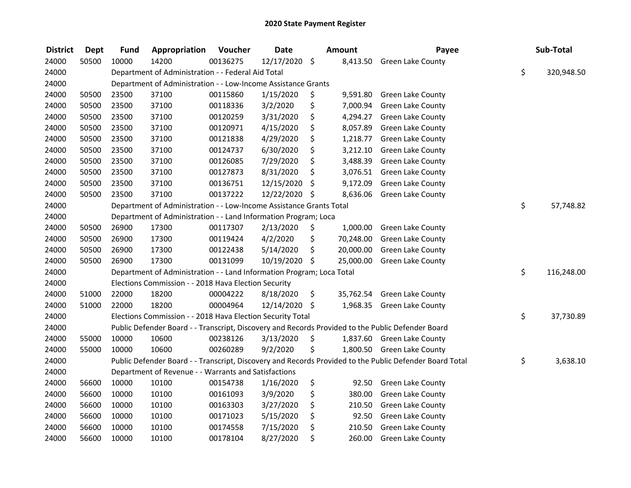| <b>District</b> | Dept  | <b>Fund</b> | Appropriation                                                         | Voucher  | <b>Date</b>   | <b>Amount</b>   | Payee                                                                                                   | Sub-Total        |
|-----------------|-------|-------------|-----------------------------------------------------------------------|----------|---------------|-----------------|---------------------------------------------------------------------------------------------------------|------------------|
| 24000           | 50500 | 10000       | 14200                                                                 | 00136275 | 12/17/2020 \$ | 8,413.50        | <b>Green Lake County</b>                                                                                |                  |
| 24000           |       |             | Department of Administration - - Federal Aid Total                    |          |               |                 |                                                                                                         | \$<br>320,948.50 |
| 24000           |       |             | Department of Administration - - Low-Income Assistance Grants         |          |               |                 |                                                                                                         |                  |
| 24000           | 50500 | 23500       | 37100                                                                 | 00115860 | 1/15/2020     | \$<br>9,591.80  | <b>Green Lake County</b>                                                                                |                  |
| 24000           | 50500 | 23500       | 37100                                                                 | 00118336 | 3/2/2020      | \$<br>7,000.94  | <b>Green Lake County</b>                                                                                |                  |
| 24000           | 50500 | 23500       | 37100                                                                 | 00120259 | 3/31/2020     | \$<br>4,294.27  | <b>Green Lake County</b>                                                                                |                  |
| 24000           | 50500 | 23500       | 37100                                                                 | 00120971 | 4/15/2020     | \$<br>8,057.89  | <b>Green Lake County</b>                                                                                |                  |
| 24000           | 50500 | 23500       | 37100                                                                 | 00121838 | 4/29/2020     | \$<br>1,218.77  | Green Lake County                                                                                       |                  |
| 24000           | 50500 | 23500       | 37100                                                                 | 00124737 | 6/30/2020     | \$<br>3,212.10  | Green Lake County                                                                                       |                  |
| 24000           | 50500 | 23500       | 37100                                                                 | 00126085 | 7/29/2020     | \$<br>3,488.39  | <b>Green Lake County</b>                                                                                |                  |
| 24000           | 50500 | 23500       | 37100                                                                 | 00127873 | 8/31/2020     | \$<br>3,076.51  | <b>Green Lake County</b>                                                                                |                  |
| 24000           | 50500 | 23500       | 37100                                                                 | 00136751 | 12/15/2020    | \$<br>9,172.09  | <b>Green Lake County</b>                                                                                |                  |
| 24000           | 50500 | 23500       | 37100                                                                 | 00137222 | 12/22/2020    | \$<br>8,636.06  | <b>Green Lake County</b>                                                                                |                  |
| 24000           |       |             | Department of Administration - - Low-Income Assistance Grants Total   |          |               |                 |                                                                                                         | \$<br>57,748.82  |
| 24000           |       |             | Department of Administration - - Land Information Program; Loca       |          |               |                 |                                                                                                         |                  |
| 24000           | 50500 | 26900       | 17300                                                                 | 00117307 | 2/13/2020     | \$<br>1,000.00  | <b>Green Lake County</b>                                                                                |                  |
| 24000           | 50500 | 26900       | 17300                                                                 | 00119424 | 4/2/2020      | \$<br>70,248.00 | Green Lake County                                                                                       |                  |
| 24000           | 50500 | 26900       | 17300                                                                 | 00122438 | 5/14/2020     | \$<br>20,000.00 | <b>Green Lake County</b>                                                                                |                  |
| 24000           | 50500 | 26900       | 17300                                                                 | 00131099 | 10/19/2020 \$ | 25,000.00       | <b>Green Lake County</b>                                                                                |                  |
| 24000           |       |             | Department of Administration - - Land Information Program; Loca Total |          |               |                 |                                                                                                         | \$<br>116,248.00 |
| 24000           |       |             | Elections Commission - - 2018 Hava Election Security                  |          |               |                 |                                                                                                         |                  |
| 24000           | 51000 | 22000       | 18200                                                                 | 00004222 | 8/18/2020     | \$<br>35,762.54 | <b>Green Lake County</b>                                                                                |                  |
| 24000           | 51000 | 22000       | 18200                                                                 | 00004964 | 12/14/2020 \$ |                 | 1,968.35 Green Lake County                                                                              |                  |
| 24000           |       |             | Elections Commission - - 2018 Hava Election Security Total            |          |               |                 |                                                                                                         | \$<br>37,730.89  |
| 24000           |       |             |                                                                       |          |               |                 | Public Defender Board - - Transcript, Discovery and Records Provided to the Public Defender Board       |                  |
| 24000           | 55000 | 10000       | 10600                                                                 | 00238126 | 3/13/2020     | \$              | 1,837.60 Green Lake County                                                                              |                  |
| 24000           | 55000 | 10000       | 10600                                                                 | 00260289 | 9/2/2020      | \$              | 1,800.50 Green Lake County                                                                              |                  |
| 24000           |       |             |                                                                       |          |               |                 | Public Defender Board - - Transcript, Discovery and Records Provided to the Public Defender Board Total | \$<br>3,638.10   |
| 24000           |       |             | Department of Revenue - - Warrants and Satisfactions                  |          |               |                 |                                                                                                         |                  |
| 24000           | 56600 | 10000       | 10100                                                                 | 00154738 | 1/16/2020     | \$<br>92.50     | Green Lake County                                                                                       |                  |
| 24000           | 56600 | 10000       | 10100                                                                 | 00161093 | 3/9/2020      | \$<br>380.00    | Green Lake County                                                                                       |                  |
| 24000           | 56600 | 10000       | 10100                                                                 | 00163303 | 3/27/2020     | \$<br>210.50    | Green Lake County                                                                                       |                  |
| 24000           | 56600 | 10000       | 10100                                                                 | 00171023 | 5/15/2020     | \$<br>92.50     | <b>Green Lake County</b>                                                                                |                  |
| 24000           | 56600 | 10000       | 10100                                                                 | 00174558 | 7/15/2020     | \$<br>210.50    | <b>Green Lake County</b>                                                                                |                  |
| 24000           | 56600 | 10000       | 10100                                                                 | 00178104 | 8/27/2020     | \$<br>260.00    | <b>Green Lake County</b>                                                                                |                  |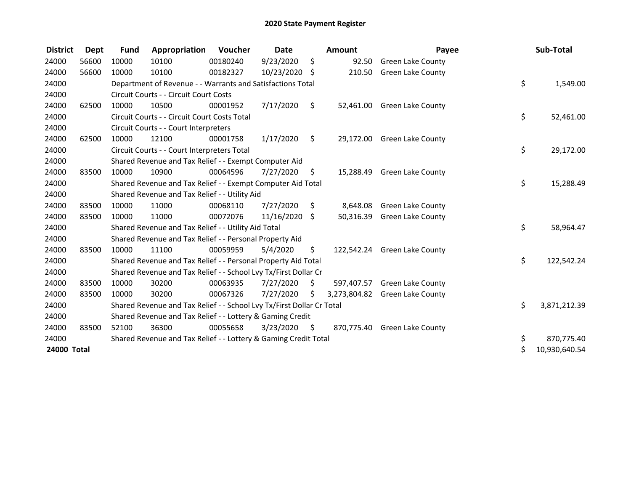| <b>District</b> | <b>Dept</b> | <b>Fund</b> | Appropriation                                                         | Voucher  | Date          |    | <b>Amount</b> | Payee                        | Sub-Total           |
|-----------------|-------------|-------------|-----------------------------------------------------------------------|----------|---------------|----|---------------|------------------------------|---------------------|
| 24000           | 56600       | 10000       | 10100                                                                 | 00180240 | 9/23/2020     | \$ | 92.50         | <b>Green Lake County</b>     |                     |
| 24000           | 56600       | 10000       | 10100                                                                 | 00182327 | 10/23/2020 \$ |    | 210.50        | <b>Green Lake County</b>     |                     |
| 24000           |             |             | Department of Revenue - - Warrants and Satisfactions Total            |          |               |    |               |                              | \$<br>1,549.00      |
| 24000           |             |             | Circuit Courts - - Circuit Court Costs                                |          |               |    |               |                              |                     |
| 24000           | 62500       | 10000       | 10500                                                                 | 00001952 | 7/17/2020     | \$ |               | 52,461.00 Green Lake County  |                     |
| 24000           |             |             | Circuit Courts - - Circuit Court Costs Total                          |          |               |    |               |                              | \$<br>52,461.00     |
| 24000           |             |             | Circuit Courts - - Court Interpreters                                 |          |               |    |               |                              |                     |
| 24000           | 62500       | 10000       | 12100                                                                 | 00001758 | 1/17/2020     | \$ |               | 29,172.00 Green Lake County  |                     |
| 24000           |             |             | Circuit Courts - - Court Interpreters Total                           |          |               |    |               |                              | \$<br>29,172.00     |
| 24000           |             |             | Shared Revenue and Tax Relief - - Exempt Computer Aid                 |          |               |    |               |                              |                     |
| 24000           | 83500       | 10000       | 10900                                                                 | 00064596 | 7/27/2020     | S. |               | 15,288.49 Green Lake County  |                     |
| 24000           |             |             | Shared Revenue and Tax Relief - - Exempt Computer Aid Total           |          |               |    |               |                              | \$<br>15,288.49     |
| 24000           |             |             | Shared Revenue and Tax Relief - - Utility Aid                         |          |               |    |               |                              |                     |
| 24000           | 83500       | 10000       | 11000                                                                 | 00068110 | 7/27/2020     | \$ | 8,648.08      | <b>Green Lake County</b>     |                     |
| 24000           | 83500       | 10000       | 11000                                                                 | 00072076 | 11/16/2020    | \$ | 50,316.39     | <b>Green Lake County</b>     |                     |
| 24000           |             |             | Shared Revenue and Tax Relief - - Utility Aid Total                   |          |               |    |               |                              | \$<br>58,964.47     |
| 24000           |             |             | Shared Revenue and Tax Relief - - Personal Property Aid               |          |               |    |               |                              |                     |
| 24000           | 83500       | 10000       | 11100                                                                 | 00059959 | 5/4/2020      | \$ |               | 122,542.24 Green Lake County |                     |
| 24000           |             |             | Shared Revenue and Tax Relief - - Personal Property Aid Total         |          |               |    |               |                              | \$<br>122,542.24    |
| 24000           |             |             | Shared Revenue and Tax Relief - - School Lvy Tx/First Dollar Cr       |          |               |    |               |                              |                     |
| 24000           | 83500       | 10000       | 30200                                                                 | 00063935 | 7/27/2020     | \$ | 597,407.57    | <b>Green Lake County</b>     |                     |
| 24000           | 83500       | 10000       | 30200                                                                 | 00067326 | 7/27/2020     | Ś. | 3,273,804.82  | <b>Green Lake County</b>     |                     |
| 24000           |             |             | Shared Revenue and Tax Relief - - School Lvy Tx/First Dollar Cr Total |          |               |    |               |                              | \$<br>3,871,212.39  |
| 24000           |             |             | Shared Revenue and Tax Relief - - Lottery & Gaming Credit             |          |               |    |               |                              |                     |
| 24000           | 83500       | 52100       | 36300                                                                 | 00055658 | 3/23/2020     | \$ |               | 870,775.40 Green Lake County |                     |
| 24000           |             |             | Shared Revenue and Tax Relief - - Lottery & Gaming Credit Total       |          |               |    |               |                              | \$<br>870,775.40    |
| 24000 Total     |             |             |                                                                       |          |               |    |               |                              | \$<br>10,930,640.54 |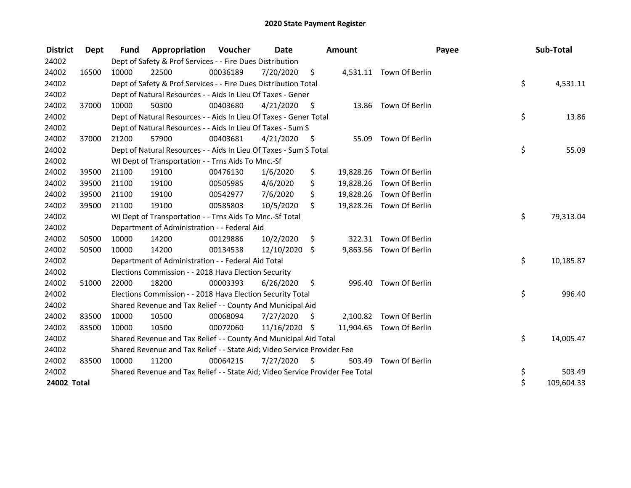| <b>District</b> | <b>Dept</b> | <b>Fund</b> | <b>Appropriation Voucher</b>                                                  |          | Date          |         | <b>Amount</b> |                          | Payee | Sub-Total  |
|-----------------|-------------|-------------|-------------------------------------------------------------------------------|----------|---------------|---------|---------------|--------------------------|-------|------------|
| 24002           |             |             | Dept of Safety & Prof Services - - Fire Dues Distribution                     |          |               |         |               |                          |       |            |
| 24002           | 16500       | 10000       | 22500                                                                         | 00036189 | 7/20/2020     | \$      |               | 4,531.11 Town Of Berlin  |       |            |
| 24002           |             |             | Dept of Safety & Prof Services - - Fire Dues Distribution Total               |          |               |         |               |                          | \$    | 4,531.11   |
| 24002           |             |             | Dept of Natural Resources - - Aids In Lieu Of Taxes - Gener                   |          |               |         |               |                          |       |            |
| 24002           | 37000       | 10000       | 50300                                                                         | 00403680 | 4/21/2020     | - \$    |               | 13.86 Town Of Berlin     |       |            |
| 24002           |             |             | Dept of Natural Resources - - Aids In Lieu Of Taxes - Gener Total             |          |               |         |               |                          | \$    | 13.86      |
| 24002           |             |             | Dept of Natural Resources - - Aids In Lieu Of Taxes - Sum S                   |          |               |         |               |                          |       |            |
| 24002           | 37000       | 21200       | 57900                                                                         | 00403681 | 4/21/2020     | - \$    | 55.09         | Town Of Berlin           |       |            |
| 24002           |             |             | Dept of Natural Resources - - Aids In Lieu Of Taxes - Sum S Total             |          |               |         |               |                          | \$    | 55.09      |
| 24002           |             |             | WI Dept of Transportation - - Trns Aids To Mnc.-Sf                            |          |               |         |               |                          |       |            |
| 24002           | 39500       | 21100       | 19100                                                                         | 00476130 | 1/6/2020      | \$      |               | 19,828.26 Town Of Berlin |       |            |
| 24002           | 39500       | 21100       | 19100                                                                         | 00505985 | 4/6/2020      | \$      | 19,828.26     | Town Of Berlin           |       |            |
| 24002           | 39500       | 21100       | 19100                                                                         | 00542977 | 7/6/2020      | \$      |               | 19,828.26 Town Of Berlin |       |            |
| 24002           | 39500       | 21100       | 19100                                                                         | 00585803 | 10/5/2020     | \$      |               | 19,828.26 Town Of Berlin |       |            |
| 24002           |             |             | WI Dept of Transportation - - Trns Aids To Mnc.-Sf Total                      |          |               |         |               |                          | \$    | 79,313.04  |
| 24002           |             |             | Department of Administration - - Federal Aid                                  |          |               |         |               |                          |       |            |
| 24002           | 50500       | 10000       | 14200                                                                         | 00129886 | 10/2/2020     | \$      | 322.31        | Town Of Berlin           |       |            |
| 24002           | 50500       | 10000       | 14200                                                                         | 00134538 | 12/10/2020    | \$      |               | 9,863.56 Town Of Berlin  |       |            |
| 24002           |             |             | Department of Administration - - Federal Aid Total                            |          |               |         |               |                          | \$    | 10,185.87  |
| 24002           |             |             | Elections Commission - - 2018 Hava Election Security                          |          |               |         |               |                          |       |            |
| 24002           | 51000       | 22000       | 18200                                                                         | 00003393 | 6/26/2020     | $\zeta$ |               | 996.40 Town Of Berlin    |       |            |
| 24002           |             |             | Elections Commission - - 2018 Hava Election Security Total                    |          |               |         |               |                          | \$    | 996.40     |
| 24002           |             |             | Shared Revenue and Tax Relief - - County And Municipal Aid                    |          |               |         |               |                          |       |            |
| 24002           | 83500       | 10000       | 10500                                                                         | 00068094 | 7/27/2020     | \$      |               | 2,100.82 Town Of Berlin  |       |            |
| 24002           | 83500       | 10000       | 10500                                                                         | 00072060 | 11/16/2020 \$ |         |               | 11,904.65 Town Of Berlin |       |            |
| 24002           |             |             | Shared Revenue and Tax Relief - - County And Municipal Aid Total              |          |               |         |               |                          | \$    | 14,005.47  |
| 24002           |             |             | Shared Revenue and Tax Relief - - State Aid; Video Service Provider Fee       |          |               |         |               |                          |       |            |
| 24002           | 83500       | 10000       | 11200                                                                         | 00064215 | 7/27/2020     | - \$    | 503.49        | Town Of Berlin           |       |            |
| 24002           |             |             | Shared Revenue and Tax Relief - - State Aid; Video Service Provider Fee Total |          |               |         |               |                          | \$    | 503.49     |
| 24002 Total     |             |             |                                                                               |          |               |         |               |                          | \$    | 109,604.33 |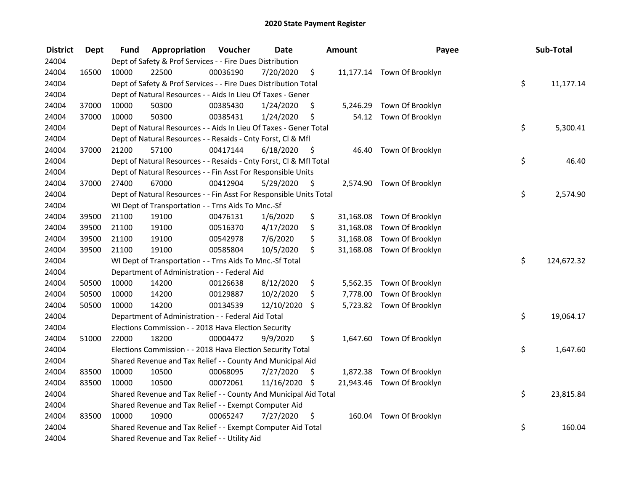| <b>District</b> | <b>Dept</b> | Fund  | Appropriation                                                      | Voucher  | <b>Date</b>   |      | <b>Amount</b> | Payee                      | Sub-Total        |
|-----------------|-------------|-------|--------------------------------------------------------------------|----------|---------------|------|---------------|----------------------------|------------------|
| 24004           |             |       | Dept of Safety & Prof Services - - Fire Dues Distribution          |          |               |      |               |                            |                  |
| 24004           | 16500       | 10000 | 22500                                                              | 00036190 | 7/20/2020     | \$   |               | 11,177.14 Town Of Brooklyn |                  |
| 24004           |             |       | Dept of Safety & Prof Services - - Fire Dues Distribution Total    |          |               |      |               |                            | \$<br>11,177.14  |
| 24004           |             |       | Dept of Natural Resources - - Aids In Lieu Of Taxes - Gener        |          |               |      |               |                            |                  |
| 24004           | 37000       | 10000 | 50300                                                              | 00385430 | 1/24/2020     | \$   |               | 5,246.29 Town Of Brooklyn  |                  |
| 24004           | 37000       | 10000 | 50300                                                              | 00385431 | 1/24/2020     | \$   |               | 54.12 Town Of Brooklyn     |                  |
| 24004           |             |       | Dept of Natural Resources - - Aids In Lieu Of Taxes - Gener Total  |          |               |      |               |                            | \$<br>5,300.41   |
| 24004           |             |       | Dept of Natural Resources - - Resaids - Cnty Forst, Cl & Mfl       |          |               |      |               |                            |                  |
| 24004           | 37000       | 21200 | 57100                                                              | 00417144 | 6/18/2020     | - \$ |               | 46.40 Town Of Brooklyn     |                  |
| 24004           |             |       | Dept of Natural Resources - - Resaids - Cnty Forst, Cl & Mfl Total |          |               |      |               |                            | \$<br>46.40      |
| 24004           |             |       | Dept of Natural Resources - - Fin Asst For Responsible Units       |          |               |      |               |                            |                  |
| 24004           | 37000       | 27400 | 67000                                                              | 00412904 | 5/29/2020     | \$   |               | 2,574.90 Town Of Brooklyn  |                  |
| 24004           |             |       | Dept of Natural Resources - - Fin Asst For Responsible Units Total |          |               |      |               |                            | \$<br>2,574.90   |
| 24004           |             |       | WI Dept of Transportation - - Trns Aids To Mnc.-Sf                 |          |               |      |               |                            |                  |
| 24004           | 39500       | 21100 | 19100                                                              | 00476131 | 1/6/2020      | \$   | 31,168.08     | Town Of Brooklyn           |                  |
| 24004           | 39500       | 21100 | 19100                                                              | 00516370 | 4/17/2020     | \$   | 31,168.08     | Town Of Brooklyn           |                  |
| 24004           | 39500       | 21100 | 19100                                                              | 00542978 | 7/6/2020      | \$   | 31,168.08     | Town Of Brooklyn           |                  |
| 24004           | 39500       | 21100 | 19100                                                              | 00585804 | 10/5/2020     | \$   |               | 31,168.08 Town Of Brooklyn |                  |
| 24004           |             |       | WI Dept of Transportation - - Trns Aids To Mnc.-Sf Total           |          |               |      |               |                            | \$<br>124,672.32 |
| 24004           |             |       | Department of Administration - - Federal Aid                       |          |               |      |               |                            |                  |
| 24004           | 50500       | 10000 | 14200                                                              | 00126638 | 8/12/2020     | \$   |               | 5,562.35 Town Of Brooklyn  |                  |
| 24004           | 50500       | 10000 | 14200                                                              | 00129887 | 10/2/2020     | \$   |               | 7,778.00 Town Of Brooklyn  |                  |
| 24004           | 50500       | 10000 | 14200                                                              | 00134539 | 12/10/2020    | \$   |               | 5,723.82 Town Of Brooklyn  |                  |
| 24004           |             |       | Department of Administration - - Federal Aid Total                 |          |               |      |               |                            | \$<br>19,064.17  |
| 24004           |             |       | Elections Commission - - 2018 Hava Election Security               |          |               |      |               |                            |                  |
| 24004           | 51000       | 22000 | 18200                                                              | 00004472 | 9/9/2020      | \$   |               | 1,647.60 Town Of Brooklyn  |                  |
| 24004           |             |       | Elections Commission - - 2018 Hava Election Security Total         |          |               |      |               |                            | \$<br>1,647.60   |
| 24004           |             |       | Shared Revenue and Tax Relief - - County And Municipal Aid         |          |               |      |               |                            |                  |
| 24004           | 83500       | 10000 | 10500                                                              | 00068095 | 7/27/2020     | \$   |               | 1,872.38 Town Of Brooklyn  |                  |
| 24004           | 83500       | 10000 | 10500                                                              | 00072061 | 11/16/2020 \$ |      |               | 21,943.46 Town Of Brooklyn |                  |
| 24004           |             |       | Shared Revenue and Tax Relief - - County And Municipal Aid Total   |          |               |      |               |                            | \$<br>23,815.84  |
| 24004           |             |       | Shared Revenue and Tax Relief - - Exempt Computer Aid              |          |               |      |               |                            |                  |
| 24004           | 83500       | 10000 | 10900                                                              | 00065247 | 7/27/2020     | \$   |               | 160.04 Town Of Brooklyn    |                  |
| 24004           |             |       | Shared Revenue and Tax Relief - - Exempt Computer Aid Total        |          |               |      |               |                            | \$<br>160.04     |
| 24004           |             |       | Shared Revenue and Tax Relief - - Utility Aid                      |          |               |      |               |                            |                  |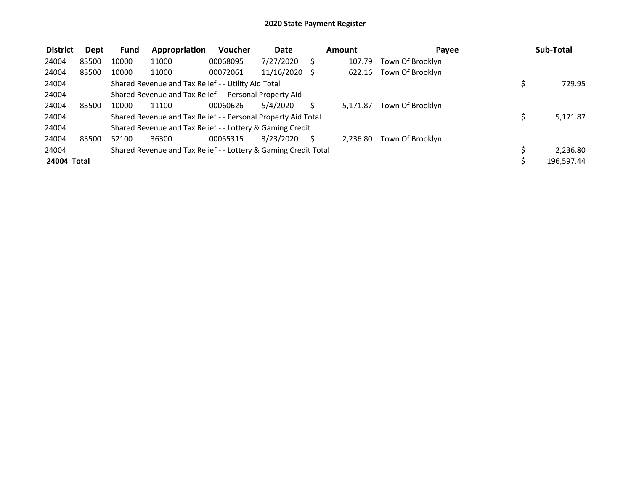| <b>District</b> | Dept  | <b>Fund</b> | Appropriation                                                   | <b>Voucher</b> | Date          | Amount   | Pavee            | Sub-Total  |
|-----------------|-------|-------------|-----------------------------------------------------------------|----------------|---------------|----------|------------------|------------|
| 24004           | 83500 | 10000       | 11000                                                           | 00068095       | 7/27/2020     | 107.79   | Town Of Brooklyn |            |
| 24004           | 83500 | 10000       | 11000                                                           | 00072061       | 11/16/2020 \$ | 622.16   | Town Of Brooklyn |            |
| 24004           |       |             | Shared Revenue and Tax Relief - - Utility Aid Total             |                |               |          |                  | 729.95     |
| 24004           |       |             | Shared Revenue and Tax Relief - - Personal Property Aid         |                |               |          |                  |            |
| 24004           | 83500 | 10000       | 11100                                                           | 00060626       | 5/4/2020      | 5.171.87 | Town Of Brooklyn |            |
| 24004           |       |             | Shared Revenue and Tax Relief - - Personal Property Aid Total   |                |               |          |                  | 5,171.87   |
| 24004           |       |             | Shared Revenue and Tax Relief - - Lottery & Gaming Credit       |                |               |          |                  |            |
| 24004           | 83500 | 52100       | 36300                                                           | 00055315       | 3/23/2020     | 2.236.80 | Town Of Brooklyn |            |
| 24004           |       |             | Shared Revenue and Tax Relief - - Lottery & Gaming Credit Total |                |               |          |                  | 2,236.80   |
| 24004 Total     |       |             |                                                                 |                |               |          |                  | 196,597.44 |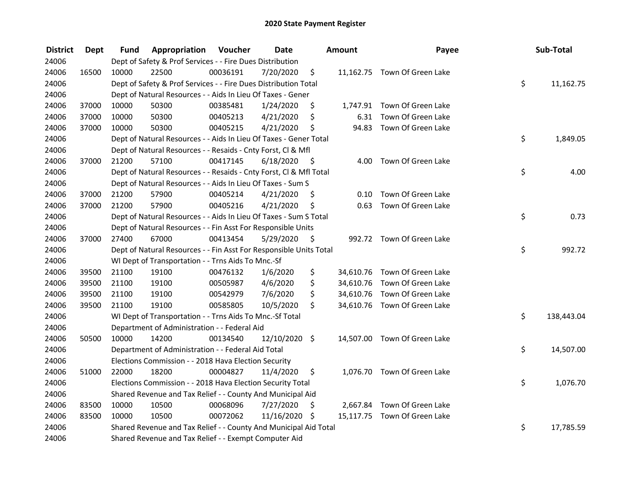| <b>District</b> | <b>Dept</b> | Fund  | Appropriation                                                      | Voucher  | <b>Date</b>   |      | <b>Amount</b> | Payee                        | Sub-Total        |
|-----------------|-------------|-------|--------------------------------------------------------------------|----------|---------------|------|---------------|------------------------------|------------------|
| 24006           |             |       | Dept of Safety & Prof Services - - Fire Dues Distribution          |          |               |      |               |                              |                  |
| 24006           | 16500       | 10000 | 22500                                                              | 00036191 | 7/20/2020     | \$   |               | 11,162.75 Town Of Green Lake |                  |
| 24006           |             |       | Dept of Safety & Prof Services - - Fire Dues Distribution Total    |          |               |      |               |                              | \$<br>11,162.75  |
| 24006           |             |       | Dept of Natural Resources - - Aids In Lieu Of Taxes - Gener        |          |               |      |               |                              |                  |
| 24006           | 37000       | 10000 | 50300                                                              | 00385481 | 1/24/2020     | \$   |               | 1,747.91 Town Of Green Lake  |                  |
| 24006           | 37000       | 10000 | 50300                                                              | 00405213 | 4/21/2020     | \$   | 6.31          | Town Of Green Lake           |                  |
| 24006           | 37000       | 10000 | 50300                                                              | 00405215 | 4/21/2020     | \$   |               | 94.83 Town Of Green Lake     |                  |
| 24006           |             |       | Dept of Natural Resources - - Aids In Lieu Of Taxes - Gener Total  |          |               |      |               |                              | \$<br>1,849.05   |
| 24006           |             |       | Dept of Natural Resources - - Resaids - Cnty Forst, Cl & Mfl       |          |               |      |               |                              |                  |
| 24006           | 37000       | 21200 | 57100                                                              | 00417145 | 6/18/2020     | - \$ |               | 4.00 Town Of Green Lake      |                  |
| 24006           |             |       | Dept of Natural Resources - - Resaids - Cnty Forst, Cl & Mfl Total |          |               |      |               |                              | \$<br>4.00       |
| 24006           |             |       | Dept of Natural Resources - - Aids In Lieu Of Taxes - Sum S        |          |               |      |               |                              |                  |
| 24006           | 37000       | 21200 | 57900                                                              | 00405214 | 4/21/2020     | \$.  | 0.10          | Town Of Green Lake           |                  |
| 24006           | 37000       | 21200 | 57900                                                              | 00405216 | 4/21/2020     | \$   | 0.63          | Town Of Green Lake           |                  |
| 24006           |             |       | Dept of Natural Resources - - Aids In Lieu Of Taxes - Sum S Total  |          |               |      |               |                              | \$<br>0.73       |
| 24006           |             |       | Dept of Natural Resources - - Fin Asst For Responsible Units       |          |               |      |               |                              |                  |
| 24006           | 37000       | 27400 | 67000                                                              | 00413454 | 5/29/2020     | \$   |               | 992.72 Town Of Green Lake    |                  |
| 24006           |             |       | Dept of Natural Resources - - Fin Asst For Responsible Units Total |          |               |      |               |                              | \$<br>992.72     |
| 24006           |             |       | WI Dept of Transportation - - Trns Aids To Mnc.-Sf                 |          |               |      |               |                              |                  |
| 24006           | 39500       | 21100 | 19100                                                              | 00476132 | 1/6/2020      | \$   |               | 34,610.76 Town Of Green Lake |                  |
| 24006           | 39500       | 21100 | 19100                                                              | 00505987 | 4/6/2020      | \$   |               | 34,610.76 Town Of Green Lake |                  |
| 24006           | 39500       | 21100 | 19100                                                              | 00542979 | 7/6/2020      | \$   |               | 34,610.76 Town Of Green Lake |                  |
| 24006           | 39500       | 21100 | 19100                                                              | 00585805 | 10/5/2020     | \$   |               | 34,610.76 Town Of Green Lake |                  |
| 24006           |             |       | WI Dept of Transportation - - Trns Aids To Mnc.-Sf Total           |          |               |      |               |                              | \$<br>138,443.04 |
| 24006           |             |       | Department of Administration - - Federal Aid                       |          |               |      |               |                              |                  |
| 24006           | 50500       | 10000 | 14200                                                              | 00134540 | 12/10/2020 \$ |      |               | 14,507.00 Town Of Green Lake |                  |
| 24006           |             |       | Department of Administration - - Federal Aid Total                 |          |               |      |               |                              | \$<br>14,507.00  |
| 24006           |             |       | Elections Commission - - 2018 Hava Election Security               |          |               |      |               |                              |                  |
| 24006           | 51000       | 22000 | 18200                                                              | 00004827 | 11/4/2020     | \$   |               | 1,076.70 Town Of Green Lake  |                  |
| 24006           |             |       | Elections Commission - - 2018 Hava Election Security Total         |          |               |      |               |                              | \$<br>1,076.70   |
| 24006           |             |       | Shared Revenue and Tax Relief - - County And Municipal Aid         |          |               |      |               |                              |                  |
| 24006           | 83500       | 10000 | 10500                                                              | 00068096 | 7/27/2020     | \$   |               | 2,667.84 Town Of Green Lake  |                  |
| 24006           | 83500       | 10000 | 10500                                                              | 00072062 | 11/16/2020 \$ |      |               | 15,117.75 Town Of Green Lake |                  |
| 24006           |             |       | Shared Revenue and Tax Relief - - County And Municipal Aid Total   |          |               |      |               |                              | \$<br>17,785.59  |
| 24006           |             |       | Shared Revenue and Tax Relief - - Exempt Computer Aid              |          |               |      |               |                              |                  |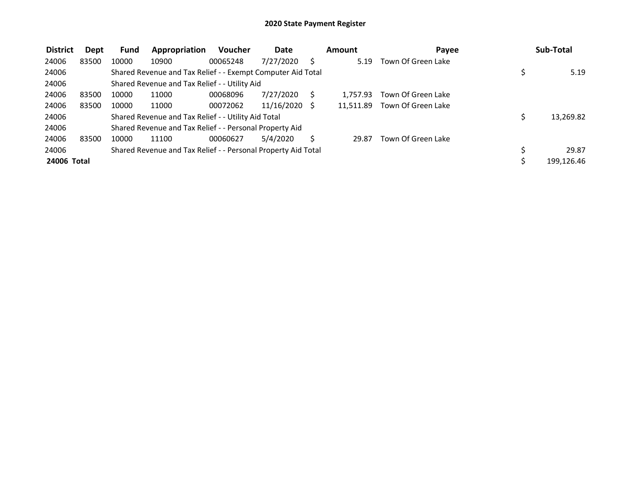| <b>District</b> | Dept  | <b>Fund</b> | Appropriation                                                 | <b>Voucher</b> | Date            | Amount    | Payee              | Sub-Total  |
|-----------------|-------|-------------|---------------------------------------------------------------|----------------|-----------------|-----------|--------------------|------------|
| 24006           | 83500 | 10000       | 10900                                                         | 00065248       | 7/27/2020       | 5.19      | Town Of Green Lake |            |
| 24006           |       |             | Shared Revenue and Tax Relief - - Exempt Computer Aid Total   |                |                 |           |                    | 5.19       |
| 24006           |       |             | Shared Revenue and Tax Relief - - Utility Aid                 |                |                 |           |                    |            |
| 24006           | 83500 | 10000       | 11000                                                         | 00068096       | 7/27/2020       | 1.757.93  | Town Of Green Lake |            |
| 24006           | 83500 | 10000       | 11000                                                         | 00072062       | $11/16/2020$ \$ | 11.511.89 | Town Of Green Lake |            |
| 24006           |       |             | Shared Revenue and Tax Relief - - Utility Aid Total           |                |                 |           |                    | 13,269.82  |
| 24006           |       |             | Shared Revenue and Tax Relief - - Personal Property Aid       |                |                 |           |                    |            |
| 24006           | 83500 | 10000       | 11100                                                         | 00060627       | 5/4/2020        | 29.87     | Town Of Green Lake |            |
| 24006           |       |             | Shared Revenue and Tax Relief - - Personal Property Aid Total |                |                 |           |                    | 29.87      |
| 24006 Total     |       |             |                                                               |                |                 |           |                    | 199,126.46 |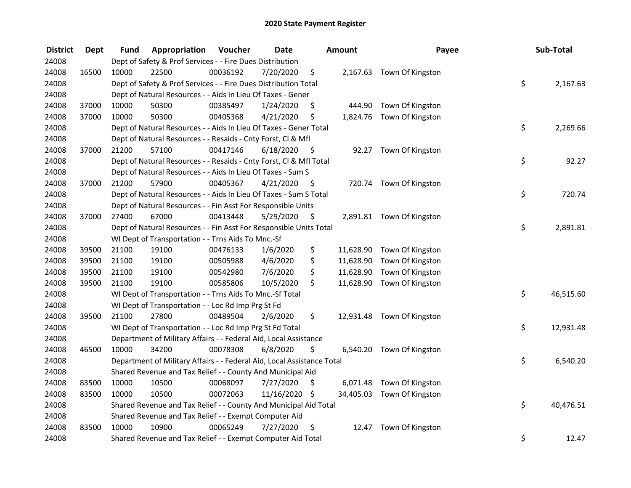| <b>District</b> | <b>Dept</b> | Fund  | Appropriation                                                          | Voucher  | <b>Date</b>   |      | Amount    | Payee                      | Sub-Total       |
|-----------------|-------------|-------|------------------------------------------------------------------------|----------|---------------|------|-----------|----------------------------|-----------------|
| 24008           |             |       | Dept of Safety & Prof Services - - Fire Dues Distribution              |          |               |      |           |                            |                 |
| 24008           | 16500       | 10000 | 22500                                                                  | 00036192 | 7/20/2020     | \$   |           | 2,167.63 Town Of Kingston  |                 |
| 24008           |             |       | Dept of Safety & Prof Services - - Fire Dues Distribution Total        |          |               |      |           |                            | \$<br>2,167.63  |
| 24008           |             |       | Dept of Natural Resources - - Aids In Lieu Of Taxes - Gener            |          |               |      |           |                            |                 |
| 24008           | 37000       | 10000 | 50300                                                                  | 00385497 | 1/24/2020     | \$   | 444.90    | Town Of Kingston           |                 |
| 24008           | 37000       | 10000 | 50300                                                                  | 00405368 | 4/21/2020     | \$   |           | 1,824.76 Town Of Kingston  |                 |
| 24008           |             |       | Dept of Natural Resources - - Aids In Lieu Of Taxes - Gener Total      |          |               |      |           |                            | \$<br>2,269.66  |
| 24008           |             |       | Dept of Natural Resources - - Resaids - Cnty Forst, Cl & Mfl           |          |               |      |           |                            |                 |
| 24008           | 37000       | 21200 | 57100                                                                  | 00417146 | 6/18/2020     | - \$ |           | 92.27 Town Of Kingston     |                 |
| 24008           |             |       | Dept of Natural Resources - - Resaids - Cnty Forst, Cl & Mfl Total     |          |               |      |           |                            | \$<br>92.27     |
| 24008           |             |       | Dept of Natural Resources - - Aids In Lieu Of Taxes - Sum S            |          |               |      |           |                            |                 |
| 24008           | 37000       | 21200 | 57900                                                                  | 00405367 | 4/21/2020     | -\$  |           | 720.74 Town Of Kingston    |                 |
| 24008           |             |       | Dept of Natural Resources - - Aids In Lieu Of Taxes - Sum S Total      |          |               |      |           |                            | \$<br>720.74    |
| 24008           |             |       | Dept of Natural Resources - - Fin Asst For Responsible Units           |          |               |      |           |                            |                 |
| 24008           | 37000       | 27400 | 67000                                                                  | 00413448 | 5/29/2020     | \$   |           | 2,891.81 Town Of Kingston  |                 |
| 24008           |             |       | Dept of Natural Resources - - Fin Asst For Responsible Units Total     |          |               |      |           |                            | \$<br>2,891.81  |
| 24008           |             |       | WI Dept of Transportation - - Trns Aids To Mnc.-Sf                     |          |               |      |           |                            |                 |
| 24008           | 39500       | 21100 | 19100                                                                  | 00476133 | 1/6/2020      | \$   | 11,628.90 | Town Of Kingston           |                 |
| 24008           | 39500       | 21100 | 19100                                                                  | 00505988 | 4/6/2020      | \$   | 11,628.90 | Town Of Kingston           |                 |
| 24008           | 39500       | 21100 | 19100                                                                  | 00542980 | 7/6/2020      | \$   | 11,628.90 | Town Of Kingston           |                 |
| 24008           | 39500       | 21100 | 19100                                                                  | 00585806 | 10/5/2020     | \$   |           | 11,628.90 Town Of Kingston |                 |
| 24008           |             |       | WI Dept of Transportation - - Trns Aids To Mnc.-Sf Total               |          |               |      |           |                            | \$<br>46,515.60 |
| 24008           |             |       | WI Dept of Transportation - - Loc Rd Imp Prg St Fd                     |          |               |      |           |                            |                 |
| 24008           | 39500       | 21100 | 27800                                                                  | 00489504 | 2/6/2020      | \$.  |           | 12,931.48 Town Of Kingston |                 |
| 24008           |             |       | WI Dept of Transportation - - Loc Rd Imp Prg St Fd Total               |          |               |      |           |                            | \$<br>12,931.48 |
| 24008           |             |       | Department of Military Affairs - - Federal Aid, Local Assistance       |          |               |      |           |                            |                 |
| 24008           | 46500       | 10000 | 34200                                                                  | 00078308 | 6/8/2020      | \$   |           | 6,540.20 Town Of Kingston  |                 |
| 24008           |             |       | Department of Military Affairs - - Federal Aid, Local Assistance Total |          |               |      |           |                            | \$<br>6,540.20  |
| 24008           |             |       | Shared Revenue and Tax Relief - - County And Municipal Aid             |          |               |      |           |                            |                 |
| 24008           | 83500       | 10000 | 10500                                                                  | 00068097 | 7/27/2020     | \$   |           | 6,071.48 Town Of Kingston  |                 |
| 24008           | 83500       | 10000 | 10500                                                                  | 00072063 | 11/16/2020 \$ |      |           | 34,405.03 Town Of Kingston |                 |
| 24008           |             |       | Shared Revenue and Tax Relief - - County And Municipal Aid Total       |          |               |      |           |                            | \$<br>40,476.51 |
| 24008           |             |       | Shared Revenue and Tax Relief - - Exempt Computer Aid                  |          |               |      |           |                            |                 |
| 24008           | 83500       | 10000 | 10900                                                                  | 00065249 | 7/27/2020     | \$   | 12.47     | Town Of Kingston           |                 |
| 24008           |             |       | Shared Revenue and Tax Relief - - Exempt Computer Aid Total            |          |               |      |           |                            | \$<br>12.47     |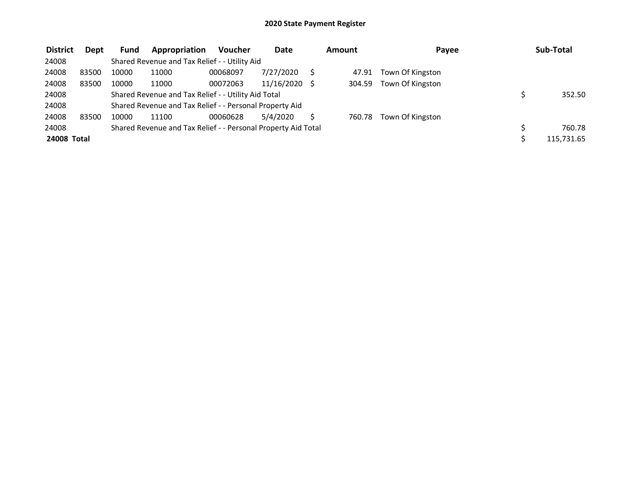| <b>District</b> | <b>Dept</b> | Fund  | Appropriation                                                 | <b>Voucher</b> | Date       | Amount | Payee            | Sub-Total  |
|-----------------|-------------|-------|---------------------------------------------------------------|----------------|------------|--------|------------------|------------|
| 24008           |             |       | Shared Revenue and Tax Relief - - Utility Aid                 |                |            |        |                  |            |
| 24008           | 83500       | 10000 | 11000                                                         | 00068097       | 7/27/2020  | 47.91  | Town Of Kingston |            |
| 24008           | 83500       | 10000 | 11000                                                         | 00072063       | 11/16/2020 | 304.59 | Town Of Kingston |            |
| 24008           |             |       | Shared Revenue and Tax Relief - - Utility Aid Total           |                |            |        |                  | 352.50     |
| 24008           |             |       | Shared Revenue and Tax Relief - - Personal Property Aid       |                |            |        |                  |            |
| 24008           | 83500       | 10000 | 11100                                                         | 00060628       | 5/4/2020   | 760.78 | Town Of Kingston |            |
| 24008           |             |       | Shared Revenue and Tax Relief - - Personal Property Aid Total |                |            |        |                  | 760.78     |
| 24008 Total     |             |       |                                                               |                |            |        |                  | 115,731.65 |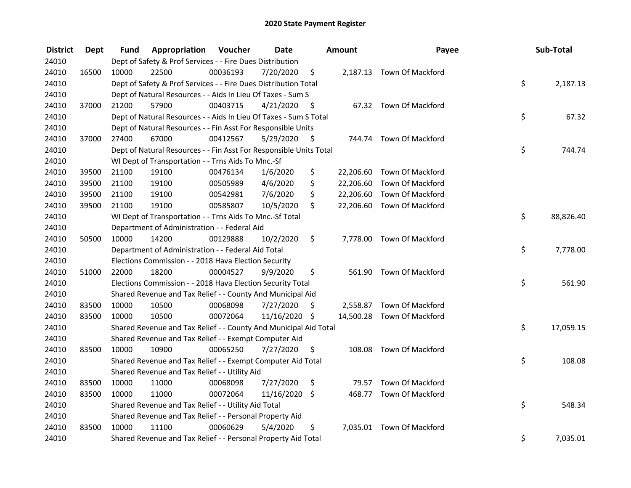| <b>District</b> | <b>Dept</b> | Fund  | Appropriation                                                      | Voucher  | <b>Date</b>   |      | Amount    | Payee                      | Sub-Total       |
|-----------------|-------------|-------|--------------------------------------------------------------------|----------|---------------|------|-----------|----------------------------|-----------------|
| 24010           |             |       | Dept of Safety & Prof Services - - Fire Dues Distribution          |          |               |      |           |                            |                 |
| 24010           | 16500       | 10000 | 22500                                                              | 00036193 | 7/20/2020     | \$   |           | 2,187.13 Town Of Mackford  |                 |
| 24010           |             |       | Dept of Safety & Prof Services - - Fire Dues Distribution Total    |          |               |      |           |                            | \$<br>2,187.13  |
| 24010           |             |       | Dept of Natural Resources - - Aids In Lieu Of Taxes - Sum S        |          |               |      |           |                            |                 |
| 24010           | 37000       | 21200 | 57900                                                              | 00403715 | 4/21/2020     | - \$ |           | 67.32 Town Of Mackford     |                 |
| 24010           |             |       | Dept of Natural Resources - - Aids In Lieu Of Taxes - Sum S Total  |          |               |      |           |                            | \$<br>67.32     |
| 24010           |             |       | Dept of Natural Resources - - Fin Asst For Responsible Units       |          |               |      |           |                            |                 |
| 24010           | 37000       | 27400 | 67000                                                              | 00412567 | 5/29/2020     | - \$ |           | 744.74 Town Of Mackford    |                 |
| 24010           |             |       | Dept of Natural Resources - - Fin Asst For Responsible Units Total |          |               |      |           |                            | \$<br>744.74    |
| 24010           |             |       | WI Dept of Transportation - - Trns Aids To Mnc.-Sf                 |          |               |      |           |                            |                 |
| 24010           | 39500       | 21100 | 19100                                                              | 00476134 | 1/6/2020      | \$   | 22,206.60 | Town Of Mackford           |                 |
| 24010           | 39500       | 21100 | 19100                                                              | 00505989 | 4/6/2020      | \$   | 22,206.60 | Town Of Mackford           |                 |
| 24010           | 39500       | 21100 | 19100                                                              | 00542981 | 7/6/2020      | \$   | 22,206.60 | Town Of Mackford           |                 |
| 24010           | 39500       | 21100 | 19100                                                              | 00585807 | 10/5/2020     | \$   |           | 22,206.60 Town Of Mackford |                 |
| 24010           |             |       | WI Dept of Transportation - - Trns Aids To Mnc.-Sf Total           |          |               |      |           |                            | \$<br>88,826.40 |
| 24010           |             |       | Department of Administration - - Federal Aid                       |          |               |      |           |                            |                 |
| 24010           | 50500       | 10000 | 14200                                                              | 00129888 | 10/2/2020     | \$   |           | 7,778.00 Town Of Mackford  |                 |
| 24010           |             |       | Department of Administration - - Federal Aid Total                 |          |               |      |           |                            | \$<br>7,778.00  |
| 24010           |             |       | Elections Commission - - 2018 Hava Election Security               |          |               |      |           |                            |                 |
| 24010           | 51000       | 22000 | 18200                                                              | 00004527 | 9/9/2020      | \$   |           | 561.90 Town Of Mackford    |                 |
| 24010           |             |       | Elections Commission - - 2018 Hava Election Security Total         |          |               |      |           |                            | \$<br>561.90    |
| 24010           |             |       | Shared Revenue and Tax Relief - - County And Municipal Aid         |          |               |      |           |                            |                 |
| 24010           | 83500       | 10000 | 10500                                                              | 00068098 | 7/27/2020     | S    |           | 2,558.87 Town Of Mackford  |                 |
| 24010           | 83500       | 10000 | 10500                                                              | 00072064 | 11/16/2020 \$ |      |           | 14,500.28 Town Of Mackford |                 |
| 24010           |             |       | Shared Revenue and Tax Relief - - County And Municipal Aid Total   |          |               |      |           |                            | \$<br>17,059.15 |
| 24010           |             |       | Shared Revenue and Tax Relief - - Exempt Computer Aid              |          |               |      |           |                            |                 |
| 24010           | 83500       | 10000 | 10900                                                              | 00065250 | 7/27/2020     | \$   |           | 108.08 Town Of Mackford    |                 |
| 24010           |             |       | Shared Revenue and Tax Relief - - Exempt Computer Aid Total        |          |               |      |           |                            | \$<br>108.08    |
| 24010           |             |       | Shared Revenue and Tax Relief - - Utility Aid                      |          |               |      |           |                            |                 |
| 24010           | 83500       | 10000 | 11000                                                              | 00068098 | 7/27/2020     | \$   | 79.57     | <b>Town Of Mackford</b>    |                 |
| 24010           | 83500       | 10000 | 11000                                                              | 00072064 | 11/16/2020    | \$   |           | 468.77 Town Of Mackford    |                 |
| 24010           |             |       | Shared Revenue and Tax Relief - - Utility Aid Total                |          |               |      |           |                            | \$<br>548.34    |
| 24010           |             |       | Shared Revenue and Tax Relief - - Personal Property Aid            |          |               |      |           |                            |                 |
| 24010           | 83500       | 10000 | 11100                                                              | 00060629 | 5/4/2020      | \$   |           | 7,035.01 Town Of Mackford  |                 |
| 24010           |             |       | Shared Revenue and Tax Relief - - Personal Property Aid Total      |          |               |      |           |                            | \$<br>7,035.01  |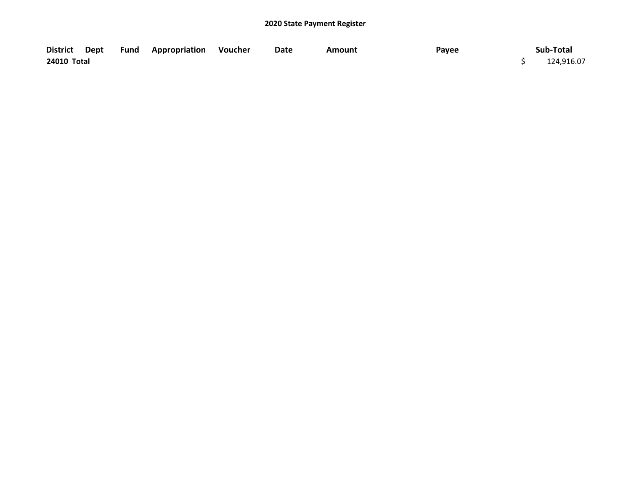|             |  | District Dept Fund Appropriation Voucher | Date | Amount | Payee | Sub-Total  |
|-------------|--|------------------------------------------|------|--------|-------|------------|
| 24010 Total |  |                                          |      |        |       | 124,916.07 |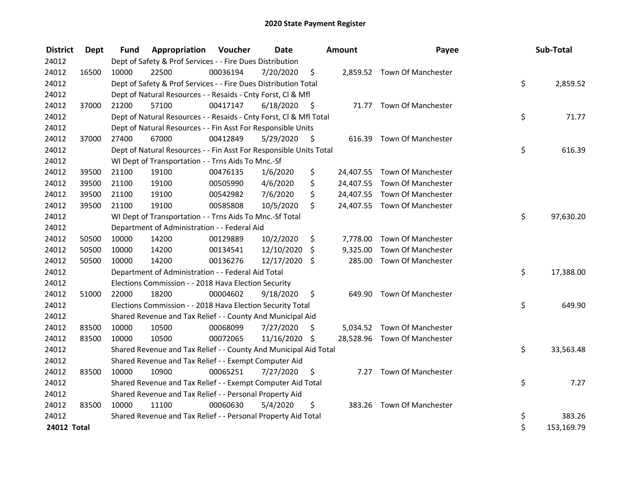| <b>District</b> | Dept  | <b>Fund</b> | Appropriation                                                      | Voucher  | <b>Date</b>   |      | <b>Amount</b> | Payee                        | Sub-Total        |
|-----------------|-------|-------------|--------------------------------------------------------------------|----------|---------------|------|---------------|------------------------------|------------------|
| 24012           |       |             | Dept of Safety & Prof Services - - Fire Dues Distribution          |          |               |      |               |                              |                  |
| 24012           | 16500 | 10000       | 22500                                                              | 00036194 | 7/20/2020     | \$   |               | 2,859.52 Town Of Manchester  |                  |
| 24012           |       |             | Dept of Safety & Prof Services - - Fire Dues Distribution Total    |          |               |      |               |                              | \$<br>2,859.52   |
| 24012           |       |             | Dept of Natural Resources - - Resaids - Cnty Forst, Cl & Mfl       |          |               |      |               |                              |                  |
| 24012           | 37000 | 21200       | 57100                                                              | 00417147 | 6/18/2020     | - \$ |               | 71.77 Town Of Manchester     |                  |
| 24012           |       |             | Dept of Natural Resources - - Resaids - Cnty Forst, Cl & Mfl Total |          |               |      |               |                              | \$<br>71.77      |
| 24012           |       |             | Dept of Natural Resources - - Fin Asst For Responsible Units       |          |               |      |               |                              |                  |
| 24012           | 37000 | 27400       | 67000                                                              | 00412849 | 5/29/2020     | S    | 616.39        | Town Of Manchester           |                  |
| 24012           |       |             | Dept of Natural Resources - - Fin Asst For Responsible Units Total |          |               |      |               |                              | \$<br>616.39     |
| 24012           |       |             | WI Dept of Transportation - - Trns Aids To Mnc.-Sf                 |          |               |      |               |                              |                  |
| 24012           | 39500 | 21100       | 19100                                                              | 00476135 | 1/6/2020      | \$   |               | 24,407.55 Town Of Manchester |                  |
| 24012           | 39500 | 21100       | 19100                                                              | 00505990 | 4/6/2020      | \$   |               | 24,407.55 Town Of Manchester |                  |
| 24012           | 39500 | 21100       | 19100                                                              | 00542982 | 7/6/2020      | \$   |               | 24,407.55 Town Of Manchester |                  |
| 24012           | 39500 | 21100       | 19100                                                              | 00585808 | 10/5/2020     | \$   |               | 24,407.55 Town Of Manchester |                  |
| 24012           |       |             | WI Dept of Transportation - - Trns Aids To Mnc.-Sf Total           |          |               |      |               |                              | \$<br>97,630.20  |
| 24012           |       |             | Department of Administration - - Federal Aid                       |          |               |      |               |                              |                  |
| 24012           | 50500 | 10000       | 14200                                                              | 00129889 | 10/2/2020     | \$   |               | 7,778.00 Town Of Manchester  |                  |
| 24012           | 50500 | 10000       | 14200                                                              | 00134541 | 12/10/2020    | \$   | 9,325.00      | Town Of Manchester           |                  |
| 24012           | 50500 | 10000       | 14200                                                              | 00136276 | 12/17/2020 \$ |      |               | 285.00 Town Of Manchester    |                  |
| 24012           |       |             | Department of Administration - - Federal Aid Total                 |          |               |      |               |                              | \$<br>17,388.00  |
| 24012           |       |             | Elections Commission - - 2018 Hava Election Security               |          |               |      |               |                              |                  |
| 24012           | 51000 | 22000       | 18200                                                              | 00004602 | 9/18/2020     | \$   | 649.90        | Town Of Manchester           |                  |
| 24012           |       |             | Elections Commission - - 2018 Hava Election Security Total         |          |               |      |               |                              | \$<br>649.90     |
| 24012           |       |             | Shared Revenue and Tax Relief - - County And Municipal Aid         |          |               |      |               |                              |                  |
| 24012           | 83500 | 10000       | 10500                                                              | 00068099 | 7/27/2020     | \$   |               | 5,034.52 Town Of Manchester  |                  |
| 24012           | 83500 | 10000       | 10500                                                              | 00072065 | 11/16/2020 \$ |      |               | 28,528.96 Town Of Manchester |                  |
| 24012           |       |             | Shared Revenue and Tax Relief - - County And Municipal Aid Total   |          |               |      |               |                              | \$<br>33,563.48  |
| 24012           |       |             | Shared Revenue and Tax Relief - - Exempt Computer Aid              |          |               |      |               |                              |                  |
| 24012           | 83500 | 10000       | 10900                                                              | 00065251 | 7/27/2020     | \$   | 7.27          | <b>Town Of Manchester</b>    |                  |
| 24012           |       |             | Shared Revenue and Tax Relief - - Exempt Computer Aid Total        |          |               |      |               |                              | \$<br>7.27       |
| 24012           |       |             | Shared Revenue and Tax Relief - - Personal Property Aid            |          |               |      |               |                              |                  |
| 24012           | 83500 | 10000       | 11100                                                              | 00060630 | 5/4/2020      | \$   |               | 383.26 Town Of Manchester    |                  |
| 24012           |       |             | Shared Revenue and Tax Relief - - Personal Property Aid Total      |          |               |      |               |                              | \$<br>383.26     |
| 24012 Total     |       |             |                                                                    |          |               |      |               |                              | \$<br>153,169.79 |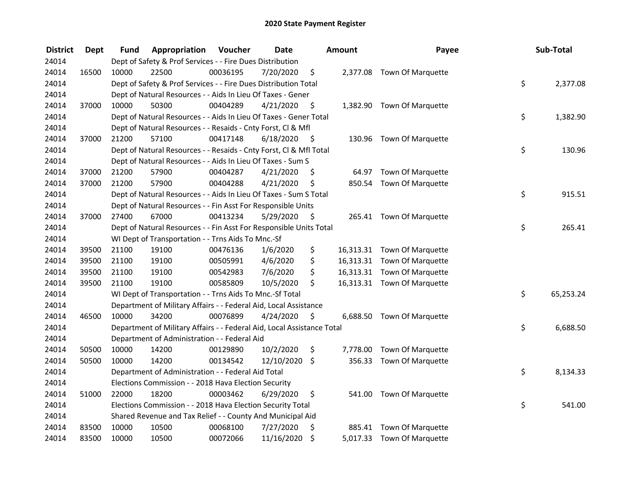| <b>District</b> | <b>Dept</b> | Fund  | Appropriation                                                          | Voucher  | <b>Date</b> |         | Amount   | Payee                       | Sub-Total       |
|-----------------|-------------|-------|------------------------------------------------------------------------|----------|-------------|---------|----------|-----------------------------|-----------------|
| 24014           |             |       | Dept of Safety & Prof Services - - Fire Dues Distribution              |          |             |         |          |                             |                 |
| 24014           | 16500       | 10000 | 22500                                                                  | 00036195 | 7/20/2020   | \$      |          | 2,377.08 Town Of Marquette  |                 |
| 24014           |             |       | Dept of Safety & Prof Services - - Fire Dues Distribution Total        |          |             |         |          |                             | \$<br>2,377.08  |
| 24014           |             |       | Dept of Natural Resources - - Aids In Lieu Of Taxes - Gener            |          |             |         |          |                             |                 |
| 24014           | 37000       | 10000 | 50300                                                                  | 00404289 | 4/21/2020   | \$      |          | 1,382.90 Town Of Marquette  |                 |
| 24014           |             |       | Dept of Natural Resources - - Aids In Lieu Of Taxes - Gener Total      |          |             |         |          |                             | \$<br>1,382.90  |
| 24014           |             |       | Dept of Natural Resources - - Resaids - Cnty Forst, Cl & Mfl           |          |             |         |          |                             |                 |
| 24014           | 37000       | 21200 | 57100                                                                  | 00417148 | 6/18/2020   | - \$    |          | 130.96 Town Of Marquette    |                 |
| 24014           |             |       | Dept of Natural Resources - - Resaids - Cnty Forst, Cl & Mfl Total     |          |             |         |          |                             | \$<br>130.96    |
| 24014           |             |       | Dept of Natural Resources - - Aids In Lieu Of Taxes - Sum S            |          |             |         |          |                             |                 |
| 24014           | 37000       | 21200 | 57900                                                                  | 00404287 | 4/21/2020   | \$.     |          | 64.97 Town Of Marquette     |                 |
| 24014           | 37000       | 21200 | 57900                                                                  | 00404288 | 4/21/2020   | \$      |          | 850.54 Town Of Marquette    |                 |
| 24014           |             |       | Dept of Natural Resources - - Aids In Lieu Of Taxes - Sum S Total      |          |             |         |          |                             | \$<br>915.51    |
| 24014           |             |       | Dept of Natural Resources - - Fin Asst For Responsible Units           |          |             |         |          |                             |                 |
| 24014           | 37000       | 27400 | 67000                                                                  | 00413234 | 5/29/2020   | \$      |          | 265.41 Town Of Marquette    |                 |
| 24014           |             |       | Dept of Natural Resources - - Fin Asst For Responsible Units Total     |          |             |         |          |                             | \$<br>265.41    |
| 24014           |             |       | WI Dept of Transportation - - Trns Aids To Mnc.-Sf                     |          |             |         |          |                             |                 |
| 24014           | 39500       | 21100 | 19100                                                                  | 00476136 | 1/6/2020    | \$      |          | 16,313.31 Town Of Marquette |                 |
| 24014           | 39500       | 21100 | 19100                                                                  | 00505991 | 4/6/2020    | \$      |          | 16,313.31 Town Of Marquette |                 |
| 24014           | 39500       | 21100 | 19100                                                                  | 00542983 | 7/6/2020    | \$      |          | 16,313.31 Town Of Marquette |                 |
| 24014           | 39500       | 21100 | 19100                                                                  | 00585809 | 10/5/2020   | \$      |          | 16,313.31 Town Of Marquette |                 |
| 24014           |             |       | WI Dept of Transportation - - Trns Aids To Mnc.-Sf Total               |          |             |         |          |                             | \$<br>65,253.24 |
| 24014           |             |       | Department of Military Affairs - - Federal Aid, Local Assistance       |          |             |         |          |                             |                 |
| 24014           | 46500       | 10000 | 34200                                                                  | 00076899 | 4/24/2020   | \$      |          | 6,688.50 Town Of Marquette  |                 |
| 24014           |             |       | Department of Military Affairs - - Federal Aid, Local Assistance Total |          |             |         |          |                             | \$<br>6,688.50  |
| 24014           |             |       | Department of Administration - - Federal Aid                           |          |             |         |          |                             |                 |
| 24014           | 50500       | 10000 | 14200                                                                  | 00129890 | 10/2/2020   | \$      | 7,778.00 | <b>Town Of Marquette</b>    |                 |
| 24014           | 50500       | 10000 | 14200                                                                  | 00134542 | 12/10/2020  | \$      |          | 356.33 Town Of Marquette    |                 |
| 24014           |             |       | Department of Administration - - Federal Aid Total                     |          |             |         |          |                             | \$<br>8,134.33  |
| 24014           |             |       | Elections Commission - - 2018 Hava Election Security                   |          |             |         |          |                             |                 |
| 24014           | 51000       | 22000 | 18200                                                                  | 00003462 | 6/29/2020   | \$      | 541.00   | Town Of Marquette           |                 |
| 24014           |             |       | Elections Commission - - 2018 Hava Election Security Total             |          |             |         |          |                             | \$<br>541.00    |
| 24014           |             |       | Shared Revenue and Tax Relief - - County And Municipal Aid             |          |             |         |          |                             |                 |
| 24014           | 83500       | 10000 | 10500                                                                  | 00068100 | 7/27/2020   | \$      |          | 885.41 Town Of Marquette    |                 |
| 24014           | 83500       | 10000 | 10500                                                                  | 00072066 | 11/16/2020  | $\zeta$ |          | 5,017.33 Town Of Marquette  |                 |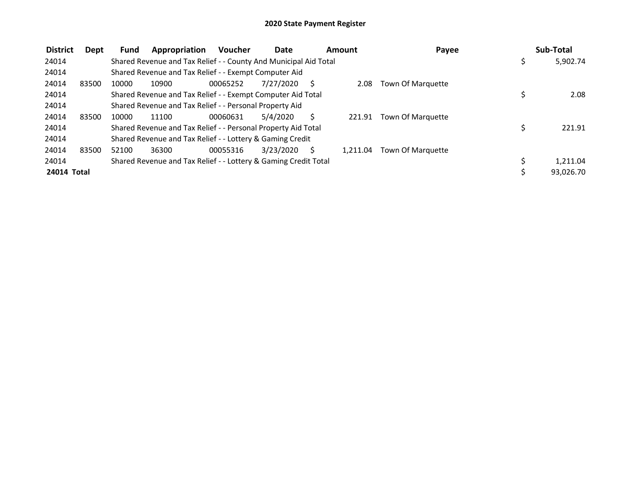| <b>District</b> | Dept  | Fund  | Appropriation                                                    | <b>Voucher</b> | <b>Date</b> |   | Amount   | Payee                    |   | Sub-Total |
|-----------------|-------|-------|------------------------------------------------------------------|----------------|-------------|---|----------|--------------------------|---|-----------|
| 24014           |       |       | Shared Revenue and Tax Relief - - County And Municipal Aid Total |                |             |   |          |                          |   | 5,902.74  |
| 24014           |       |       | Shared Revenue and Tax Relief - - Exempt Computer Aid            |                |             |   |          |                          |   |           |
| 24014           | 83500 | 10000 | 10900                                                            | 00065252       | 7/27/2020   | S | 2.08     | Town Of Marquette        |   |           |
| 24014           |       |       | Shared Revenue and Tax Relief - - Exempt Computer Aid Total      |                |             |   |          |                          |   | 2.08      |
| 24014           |       |       | Shared Revenue and Tax Relief - - Personal Property Aid          |                |             |   |          |                          |   |           |
| 24014           | 83500 | 10000 | 11100                                                            | 00060631       | 5/4/2020    |   | 221.91   | Town Of Marquette        |   |           |
| 24014           |       |       | Shared Revenue and Tax Relief - - Personal Property Aid Total    |                |             |   |          |                          |   | 221.91    |
| 24014           |       |       | Shared Revenue and Tax Relief - - Lottery & Gaming Credit        |                |             |   |          |                          |   |           |
| 24014           | 83500 | 52100 | 36300                                                            | 00055316       | 3/23/2020   | S | 1.211.04 | <b>Town Of Marquette</b> |   |           |
| 24014           |       |       | Shared Revenue and Tax Relief - - Lottery & Gaming Credit Total  |                |             |   |          |                          | Ś | 1,211.04  |
| 24014 Total     |       |       |                                                                  |                |             |   |          |                          |   | 93,026.70 |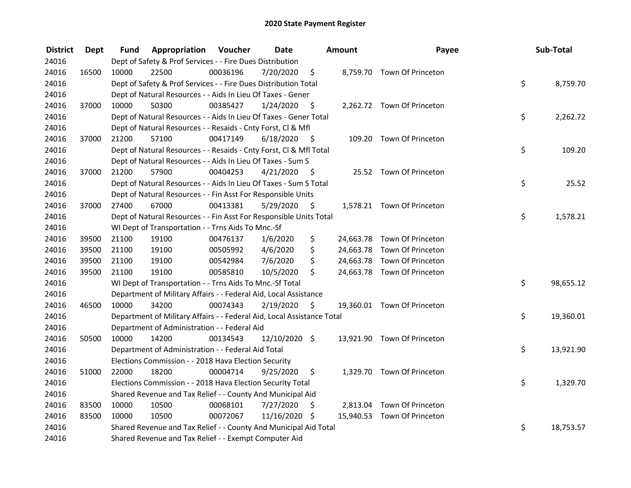| <b>District</b> | <b>Dept</b> | Fund  | <b>Appropriation Voucher</b>                                           |          | <b>Date</b>   |      | Amount | Payee                       | Sub-Total       |
|-----------------|-------------|-------|------------------------------------------------------------------------|----------|---------------|------|--------|-----------------------------|-----------------|
| 24016           |             |       | Dept of Safety & Prof Services - - Fire Dues Distribution              |          |               |      |        |                             |                 |
| 24016           | 16500       | 10000 | 22500                                                                  | 00036196 | 7/20/2020     | \$   |        | 8,759.70 Town Of Princeton  |                 |
| 24016           |             |       | Dept of Safety & Prof Services - - Fire Dues Distribution Total        |          |               |      |        |                             | \$<br>8,759.70  |
| 24016           |             |       | Dept of Natural Resources - - Aids In Lieu Of Taxes - Gener            |          |               |      |        |                             |                 |
| 24016           | 37000       | 10000 | 50300                                                                  | 00385427 | 1/24/2020     | - \$ |        | 2,262.72 Town Of Princeton  |                 |
| 24016           |             |       | Dept of Natural Resources - - Aids In Lieu Of Taxes - Gener Total      |          |               |      |        |                             | \$<br>2,262.72  |
| 24016           |             |       | Dept of Natural Resources - - Resaids - Cnty Forst, Cl & Mfl           |          |               |      |        |                             |                 |
| 24016           | 37000       | 21200 | 57100                                                                  | 00417149 | 6/18/2020     | - \$ |        | 109.20 Town Of Princeton    |                 |
| 24016           |             |       | Dept of Natural Resources - - Resaids - Cnty Forst, Cl & Mfl Total     |          |               |      |        |                             | \$<br>109.20    |
| 24016           |             |       | Dept of Natural Resources - - Aids In Lieu Of Taxes - Sum S            |          |               |      |        |                             |                 |
| 24016           | 37000       | 21200 | 57900                                                                  | 00404253 | 4/21/2020     | - \$ |        | 25.52 Town Of Princeton     |                 |
| 24016           |             |       | Dept of Natural Resources - - Aids In Lieu Of Taxes - Sum S Total      |          |               |      |        |                             | \$<br>25.52     |
| 24016           |             |       | Dept of Natural Resources - - Fin Asst For Responsible Units           |          |               |      |        |                             |                 |
| 24016           | 37000       | 27400 | 67000                                                                  | 00413381 | 5/29/2020     | -\$  |        | 1,578.21 Town Of Princeton  |                 |
| 24016           |             |       | Dept of Natural Resources - - Fin Asst For Responsible Units Total     |          |               |      |        |                             | \$<br>1,578.21  |
| 24016           |             |       | WI Dept of Transportation - - Trns Aids To Mnc.-Sf                     |          |               |      |        |                             |                 |
| 24016           | 39500       | 21100 | 19100                                                                  | 00476137 | 1/6/2020      | \$   |        | 24,663.78 Town Of Princeton |                 |
| 24016           | 39500       | 21100 | 19100                                                                  | 00505992 | 4/6/2020      | \$   |        | 24,663.78 Town Of Princeton |                 |
| 24016           | 39500       | 21100 | 19100                                                                  | 00542984 | 7/6/2020      | \$   |        | 24,663.78 Town Of Princeton |                 |
| 24016           | 39500       | 21100 | 19100                                                                  | 00585810 | 10/5/2020     | \$   |        | 24,663.78 Town Of Princeton |                 |
| 24016           |             |       | WI Dept of Transportation - - Trns Aids To Mnc.-Sf Total               |          |               |      |        |                             | \$<br>98,655.12 |
| 24016           |             |       | Department of Military Affairs - - Federal Aid, Local Assistance       |          |               |      |        |                             |                 |
| 24016           | 46500       | 10000 | 34200                                                                  | 00074343 | 2/19/2020     | \$   |        | 19,360.01 Town Of Princeton |                 |
| 24016           |             |       | Department of Military Affairs - - Federal Aid, Local Assistance Total |          |               |      |        |                             | \$<br>19,360.01 |
| 24016           |             |       | Department of Administration - - Federal Aid                           |          |               |      |        |                             |                 |
| 24016           | 50500       | 10000 | 14200                                                                  | 00134543 | 12/10/2020 \$ |      |        | 13,921.90 Town Of Princeton |                 |
| 24016           |             |       | Department of Administration - - Federal Aid Total                     |          |               |      |        |                             | \$<br>13,921.90 |
| 24016           |             |       | Elections Commission - - 2018 Hava Election Security                   |          |               |      |        |                             |                 |
| 24016           | 51000       | 22000 | 18200                                                                  | 00004714 | 9/25/2020     | \$   |        | 1,329.70 Town Of Princeton  |                 |
| 24016           |             |       | Elections Commission - - 2018 Hava Election Security Total             |          |               |      |        |                             | \$<br>1,329.70  |
| 24016           |             |       | Shared Revenue and Tax Relief - - County And Municipal Aid             |          |               |      |        |                             |                 |
| 24016           | 83500       | 10000 | 10500                                                                  | 00068101 | 7/27/2020     | \$   |        | 2,813.04 Town Of Princeton  |                 |
| 24016           | 83500       | 10000 | 10500                                                                  | 00072067 | 11/16/2020 \$ |      |        | 15,940.53 Town Of Princeton |                 |
| 24016           |             |       | Shared Revenue and Tax Relief - - County And Municipal Aid Total       |          |               |      |        |                             | \$<br>18,753.57 |
| 24016           |             |       | Shared Revenue and Tax Relief - - Exempt Computer Aid                  |          |               |      |        |                             |                 |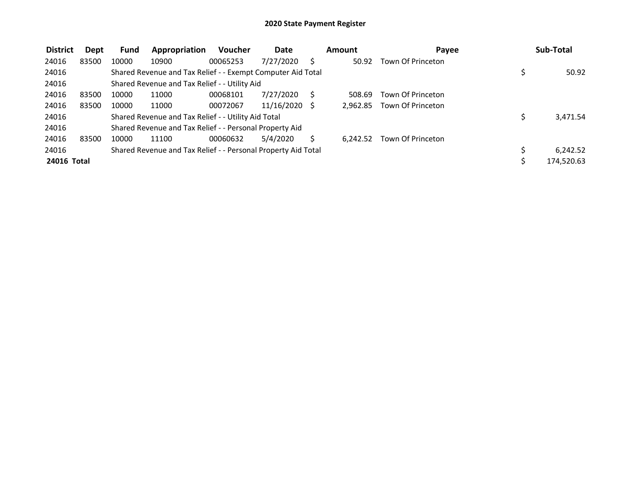| <b>District</b> | Dept  | <b>Fund</b> | Appropriation                                                 | <b>Voucher</b> | <b>Date</b>     | Amount   | Payee             | Sub-Total  |
|-----------------|-------|-------------|---------------------------------------------------------------|----------------|-----------------|----------|-------------------|------------|
| 24016           | 83500 | 10000       | 10900                                                         | 00065253       | 7/27/2020       | 50.92    | Town Of Princeton |            |
| 24016           |       |             | Shared Revenue and Tax Relief - - Exempt Computer Aid Total   |                |                 |          |                   | 50.92      |
| 24016           |       |             | Shared Revenue and Tax Relief - - Utility Aid                 |                |                 |          |                   |            |
| 24016           | 83500 | 10000       | 11000                                                         | 00068101       | 7/27/2020       | 508.69   | Town Of Princeton |            |
| 24016           | 83500 | 10000       | 11000                                                         | 00072067       | $11/16/2020$ \$ | 2.962.85 | Town Of Princeton |            |
| 24016           |       |             | Shared Revenue and Tax Relief - - Utility Aid Total           |                |                 |          |                   | 3,471.54   |
| 24016           |       |             | Shared Revenue and Tax Relief - - Personal Property Aid       |                |                 |          |                   |            |
| 24016           | 83500 | 10000       | 11100                                                         | 00060632       | 5/4/2020        | 6.242.52 | Town Of Princeton |            |
| 24016           |       |             | Shared Revenue and Tax Relief - - Personal Property Aid Total |                |                 |          |                   | 6,242.52   |
| 24016 Total     |       |             |                                                               |                |                 |          |                   | 174,520.63 |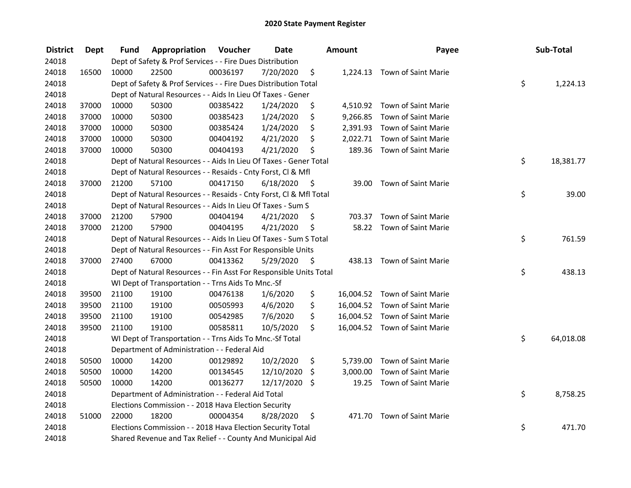| <b>District</b> | <b>Dept</b> | Fund  | Appropriation                                                      | Voucher  | <b>Date</b>   |      | Amount   | Payee                         | Sub-Total       |
|-----------------|-------------|-------|--------------------------------------------------------------------|----------|---------------|------|----------|-------------------------------|-----------------|
| 24018           |             |       | Dept of Safety & Prof Services - - Fire Dues Distribution          |          |               |      |          |                               |                 |
| 24018           | 16500       | 10000 | 22500                                                              | 00036197 | 7/20/2020     | \$   |          | 1,224.13 Town of Saint Marie  |                 |
| 24018           |             |       | Dept of Safety & Prof Services - - Fire Dues Distribution Total    |          |               |      |          |                               | \$<br>1,224.13  |
| 24018           |             |       | Dept of Natural Resources - - Aids In Lieu Of Taxes - Gener        |          |               |      |          |                               |                 |
| 24018           | 37000       | 10000 | 50300                                                              | 00385422 | 1/24/2020     | \$   |          | 4,510.92 Town of Saint Marie  |                 |
| 24018           | 37000       | 10000 | 50300                                                              | 00385423 | 1/24/2020     | \$   |          | 9,266.85 Town of Saint Marie  |                 |
| 24018           | 37000       | 10000 | 50300                                                              | 00385424 | 1/24/2020     | \$   |          | 2,391.93 Town of Saint Marie  |                 |
| 24018           | 37000       | 10000 | 50300                                                              | 00404192 | 4/21/2020     | \$   |          | 2,022.71 Town of Saint Marie  |                 |
| 24018           | 37000       | 10000 | 50300                                                              | 00404193 | 4/21/2020     | \$   |          | 189.36 Town of Saint Marie    |                 |
| 24018           |             |       | Dept of Natural Resources - - Aids In Lieu Of Taxes - Gener Total  |          |               |      |          |                               | \$<br>18,381.77 |
| 24018           |             |       | Dept of Natural Resources - - Resaids - Cnty Forst, Cl & Mfl       |          |               |      |          |                               |                 |
| 24018           | 37000       | 21200 | 57100                                                              | 00417150 | 6/18/2020     | - \$ | 39.00    | <b>Town of Saint Marie</b>    |                 |
| 24018           |             |       | Dept of Natural Resources - - Resaids - Cnty Forst, CI & Mfl Total |          |               |      |          |                               | \$<br>39.00     |
| 24018           |             |       | Dept of Natural Resources - - Aids In Lieu Of Taxes - Sum S        |          |               |      |          |                               |                 |
| 24018           | 37000       | 21200 | 57900                                                              | 00404194 | 4/21/2020     | \$,  |          | 703.37 Town of Saint Marie    |                 |
| 24018           | 37000       | 21200 | 57900                                                              | 00404195 | 4/21/2020     | \$   |          | 58.22 Town of Saint Marie     |                 |
| 24018           |             |       | Dept of Natural Resources - - Aids In Lieu Of Taxes - Sum S Total  |          |               |      |          |                               | \$<br>761.59    |
| 24018           |             |       | Dept of Natural Resources - - Fin Asst For Responsible Units       |          |               |      |          |                               |                 |
| 24018           | 37000       | 27400 | 67000                                                              | 00413362 | 5/29/2020     | - \$ |          | 438.13 Town of Saint Marie    |                 |
| 24018           |             |       | Dept of Natural Resources - - Fin Asst For Responsible Units Total |          |               |      |          |                               | \$<br>438.13    |
| 24018           |             |       | WI Dept of Transportation - - Trns Aids To Mnc.-Sf                 |          |               |      |          |                               |                 |
| 24018           | 39500       | 21100 | 19100                                                              | 00476138 | 1/6/2020      | \$   |          | 16,004.52 Town of Saint Marie |                 |
| 24018           | 39500       | 21100 | 19100                                                              | 00505993 | 4/6/2020      | \$   |          | 16,004.52 Town of Saint Marie |                 |
| 24018           | 39500       | 21100 | 19100                                                              | 00542985 | 7/6/2020      | \$   |          | 16,004.52 Town of Saint Marie |                 |
| 24018           | 39500       | 21100 | 19100                                                              | 00585811 | 10/5/2020     | \$   |          | 16,004.52 Town of Saint Marie |                 |
| 24018           |             |       | WI Dept of Transportation - - Trns Aids To Mnc.-Sf Total           |          |               |      |          |                               | \$<br>64,018.08 |
| 24018           |             |       | Department of Administration - - Federal Aid                       |          |               |      |          |                               |                 |
| 24018           | 50500       | 10000 | 14200                                                              | 00129892 | 10/2/2020     | \$   | 5,739.00 | Town of Saint Marie           |                 |
| 24018           | 50500       | 10000 | 14200                                                              | 00134545 | 12/10/2020    | \$   | 3,000.00 | Town of Saint Marie           |                 |
| 24018           | 50500       | 10000 | 14200                                                              | 00136277 | 12/17/2020 \$ |      | 19.25    | Town of Saint Marie           |                 |
| 24018           |             |       | Department of Administration - - Federal Aid Total                 |          |               |      |          |                               | \$<br>8,758.25  |
| 24018           |             |       | Elections Commission - - 2018 Hava Election Security               |          |               |      |          |                               |                 |
| 24018           | 51000       | 22000 | 18200                                                              | 00004354 | 8/28/2020     | \$   |          | 471.70 Town of Saint Marie    |                 |
| 24018           |             |       | Elections Commission - - 2018 Hava Election Security Total         |          |               |      |          |                               | \$<br>471.70    |
| 24018           |             |       | Shared Revenue and Tax Relief - - County And Municipal Aid         |          |               |      |          |                               |                 |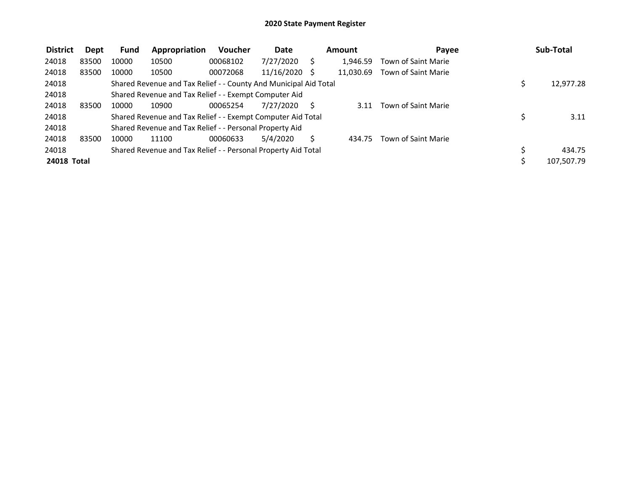| <b>District</b> | Dept  | Fund  | Appropriation                                                    | Voucher  | Date       | Amount    | Pavee               | Sub-Total  |
|-----------------|-------|-------|------------------------------------------------------------------|----------|------------|-----------|---------------------|------------|
| 24018           | 83500 | 10000 | 10500                                                            | 00068102 | 7/27/2020  | 1,946.59  | Town of Saint Marie |            |
| 24018           | 83500 | 10000 | 10500                                                            | 00072068 | 11/16/2020 | 11.030.69 | Town of Saint Marie |            |
| 24018           |       |       | Shared Revenue and Tax Relief - - County And Municipal Aid Total |          |            |           |                     | 12,977.28  |
| 24018           |       |       | Shared Revenue and Tax Relief - - Exempt Computer Aid            |          |            |           |                     |            |
| 24018           | 83500 | 10000 | 10900                                                            | 00065254 | 7/27/2020  | 3.11      | Town of Saint Marie |            |
| 24018           |       |       | Shared Revenue and Tax Relief - - Exempt Computer Aid Total      |          |            |           |                     | 3.11       |
| 24018           |       |       | Shared Revenue and Tax Relief - - Personal Property Aid          |          |            |           |                     |            |
| 24018           | 83500 | 10000 | 11100                                                            | 00060633 | 5/4/2020   | 434.75    | Town of Saint Marie |            |
| 24018           |       |       | Shared Revenue and Tax Relief - - Personal Property Aid Total    |          |            |           |                     | 434.75     |
| 24018 Total     |       |       |                                                                  |          |            |           |                     | 107,507.79 |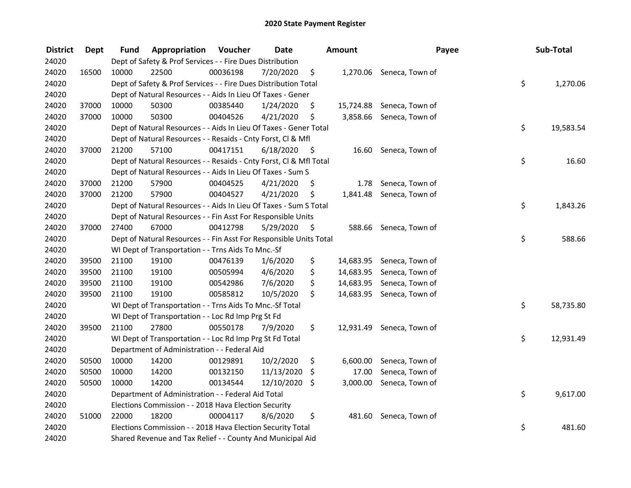| <b>District</b> | <b>Dept</b> | Fund  | Appropriation                                                      | Voucher  | <b>Date</b> |      | Amount    | Payee                     | Sub-Total       |
|-----------------|-------------|-------|--------------------------------------------------------------------|----------|-------------|------|-----------|---------------------------|-----------------|
| 24020           |             |       | Dept of Safety & Prof Services - - Fire Dues Distribution          |          |             |      |           |                           |                 |
| 24020           | 16500       | 10000 | 22500                                                              | 00036198 | 7/20/2020   | \$   |           | 1,270.06 Seneca, Town of  |                 |
| 24020           |             |       | Dept of Safety & Prof Services - - Fire Dues Distribution Total    |          |             |      |           |                           | \$<br>1,270.06  |
| 24020           |             |       | Dept of Natural Resources - - Aids In Lieu Of Taxes - Gener        |          |             |      |           |                           |                 |
| 24020           | 37000       | 10000 | 50300                                                              | 00385440 | 1/24/2020   | \$   |           | 15,724.88 Seneca, Town of |                 |
| 24020           | 37000       | 10000 | 50300                                                              | 00404526 | 4/21/2020   | \$   |           | 3,858.66 Seneca, Town of  |                 |
| 24020           |             |       | Dept of Natural Resources - - Aids In Lieu Of Taxes - Gener Total  |          |             |      |           |                           | \$<br>19,583.54 |
| 24020           |             |       | Dept of Natural Resources - - Resaids - Cnty Forst, Cl & Mfl       |          |             |      |           |                           |                 |
| 24020           | 37000       | 21200 | 57100                                                              | 00417151 | 6/18/2020   | - \$ |           | 16.60 Seneca, Town of     |                 |
| 24020           |             |       | Dept of Natural Resources - - Resaids - Cnty Forst, Cl & Mfl Total |          |             |      |           |                           | \$<br>16.60     |
| 24020           |             |       | Dept of Natural Resources - - Aids In Lieu Of Taxes - Sum S        |          |             |      |           |                           |                 |
| 24020           | 37000       | 21200 | 57900                                                              | 00404525 | 4/21/2020   | \$   | 1.78      | Seneca, Town of           |                 |
| 24020           | 37000       | 21200 | 57900                                                              | 00404527 | 4/21/2020   | \$   | 1,841.48  | Seneca, Town of           |                 |
| 24020           |             |       | Dept of Natural Resources - - Aids In Lieu Of Taxes - Sum S Total  |          |             |      |           |                           | \$<br>1,843.26  |
| 24020           |             |       | Dept of Natural Resources - - Fin Asst For Responsible Units       |          |             |      |           |                           |                 |
| 24020           | 37000       | 27400 | 67000                                                              | 00412798 | 5/29/2020   | \$   | 588.66    | Seneca, Town of           |                 |
| 24020           |             |       | Dept of Natural Resources - - Fin Asst For Responsible Units Total |          |             |      |           |                           | \$<br>588.66    |
| 24020           |             |       | WI Dept of Transportation - - Trns Aids To Mnc.-Sf                 |          |             |      |           |                           |                 |
| 24020           | 39500       | 21100 | 19100                                                              | 00476139 | 1/6/2020    | \$   | 14,683.95 | Seneca, Town of           |                 |
| 24020           | 39500       | 21100 | 19100                                                              | 00505994 | 4/6/2020    | \$   |           | 14,683.95 Seneca, Town of |                 |
| 24020           | 39500       | 21100 | 19100                                                              | 00542986 | 7/6/2020    | \$   |           | 14,683.95 Seneca, Town of |                 |
| 24020           | 39500       | 21100 | 19100                                                              | 00585812 | 10/5/2020   | \$   |           | 14,683.95 Seneca, Town of |                 |
| 24020           |             |       | WI Dept of Transportation - - Trns Aids To Mnc.-Sf Total           |          |             |      |           |                           | \$<br>58,735.80 |
| 24020           |             |       | WI Dept of Transportation - - Loc Rd Imp Prg St Fd                 |          |             |      |           |                           |                 |
| 24020           | 39500       | 21100 | 27800                                                              | 00550178 | 7/9/2020    | \$   |           | 12,931.49 Seneca, Town of |                 |
| 24020           |             |       | WI Dept of Transportation - - Loc Rd Imp Prg St Fd Total           |          |             |      |           |                           | \$<br>12,931.49 |
| 24020           |             |       | Department of Administration - - Federal Aid                       |          |             |      |           |                           |                 |
| 24020           | 50500       | 10000 | 14200                                                              | 00129891 | 10/2/2020   | \$   | 6,600.00  | Seneca, Town of           |                 |
| 24020           | 50500       | 10000 | 14200                                                              | 00132150 | 11/13/2020  | \$   | 17.00     | Seneca, Town of           |                 |
| 24020           | 50500       | 10000 | 14200                                                              | 00134544 | 12/10/2020  | S.   | 3,000.00  | Seneca, Town of           |                 |
| 24020           |             |       | Department of Administration - - Federal Aid Total                 |          |             |      |           |                           | \$<br>9,617.00  |
| 24020           |             |       | Elections Commission - - 2018 Hava Election Security               |          |             |      |           |                           |                 |
| 24020           | 51000       | 22000 | 18200                                                              | 00004117 | 8/6/2020    | \$   | 481.60    | Seneca, Town of           |                 |
| 24020           |             |       | Elections Commission - - 2018 Hava Election Security Total         |          |             |      |           |                           | \$<br>481.60    |
| 24020           |             |       | Shared Revenue and Tax Relief - - County And Municipal Aid         |          |             |      |           |                           |                 |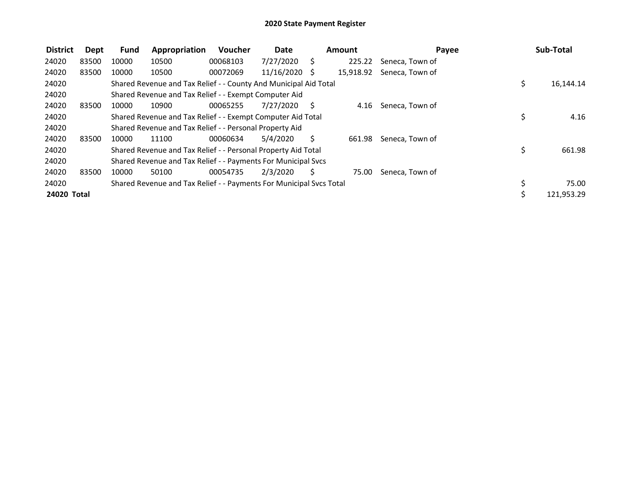| <b>District</b> | Dept  | <b>Fund</b> | Appropriation                                                       | <b>Voucher</b> | Date          |     | Amount    |                 | Payee | Sub-Total  |
|-----------------|-------|-------------|---------------------------------------------------------------------|----------------|---------------|-----|-----------|-----------------|-------|------------|
| 24020           | 83500 | 10000       | 10500                                                               | 00068103       | 7/27/2020     | S   | 225.22    | Seneca, Town of |       |            |
| 24020           | 83500 | 10000       | 10500                                                               | 00072069       | 11/16/2020 \$ |     | 15,918.92 | Seneca, Town of |       |            |
| 24020           |       |             | Shared Revenue and Tax Relief - - County And Municipal Aid Total    |                |               |     |           |                 | \$    | 16,144.14  |
| 24020           |       |             | Shared Revenue and Tax Relief - - Exempt Computer Aid               |                |               |     |           |                 |       |            |
| 24020           | 83500 | 10000       | 10900                                                               | 00065255       | 7/27/2020     | - S | 4.16      | Seneca, Town of |       |            |
| 24020           |       |             | Shared Revenue and Tax Relief - - Exempt Computer Aid Total         |                |               |     |           |                 | \$    | 4.16       |
| 24020           |       |             | Shared Revenue and Tax Relief - - Personal Property Aid             |                |               |     |           |                 |       |            |
| 24020           | 83500 | 10000       | 11100                                                               | 00060634       | 5/4/2020      | S   | 661.98    | Seneca, Town of |       |            |
| 24020           |       |             | Shared Revenue and Tax Relief - - Personal Property Aid Total       |                |               |     |           |                 | \$    | 661.98     |
| 24020           |       |             | Shared Revenue and Tax Relief - - Payments For Municipal Svcs       |                |               |     |           |                 |       |            |
| 24020           | 83500 | 10000       | 50100                                                               | 00054735       | 2/3/2020      | \$  | 75.00     | Seneca, Town of |       |            |
| 24020           |       |             | Shared Revenue and Tax Relief - - Payments For Municipal Svcs Total |                |               |     |           |                 | \$    | 75.00      |
| 24020 Total     |       |             |                                                                     |                |               |     |           |                 |       | 121,953.29 |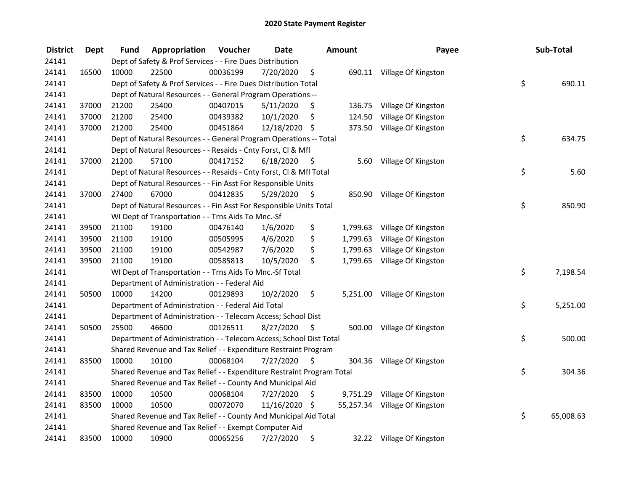| <b>District</b> | <b>Dept</b> | Fund  | Appropriation                                                         | Voucher  | <b>Date</b>   |      | <b>Amount</b> | Payee                         | Sub-Total       |
|-----------------|-------------|-------|-----------------------------------------------------------------------|----------|---------------|------|---------------|-------------------------------|-----------------|
| 24141           |             |       | Dept of Safety & Prof Services - - Fire Dues Distribution             |          |               |      |               |                               |                 |
| 24141           | 16500       | 10000 | 22500                                                                 | 00036199 | 7/20/2020     | \$   |               | 690.11 Village Of Kingston    |                 |
| 24141           |             |       | Dept of Safety & Prof Services - - Fire Dues Distribution Total       |          |               |      |               |                               | \$<br>690.11    |
| 24141           |             |       | Dept of Natural Resources - - General Program Operations --           |          |               |      |               |                               |                 |
| 24141           | 37000       | 21200 | 25400                                                                 | 00407015 | 5/11/2020     | \$   | 136.75        | Village Of Kingston           |                 |
| 24141           | 37000       | 21200 | 25400                                                                 | 00439382 | 10/1/2020     | \$   | 124.50        | Village Of Kingston           |                 |
| 24141           | 37000       | 21200 | 25400                                                                 | 00451864 | 12/18/2020 \$ |      |               | 373.50 Village Of Kingston    |                 |
| 24141           |             |       | Dept of Natural Resources - - General Program Operations -- Total     |          |               |      |               |                               | \$<br>634.75    |
| 24141           |             |       | Dept of Natural Resources - - Resaids - Cnty Forst, Cl & Mfl          |          |               |      |               |                               |                 |
| 24141           | 37000       | 21200 | 57100                                                                 | 00417152 | 6/18/2020     | - \$ |               | 5.60 Village Of Kingston      |                 |
| 24141           |             |       | Dept of Natural Resources - - Resaids - Cnty Forst, Cl & Mfl Total    |          |               |      |               |                               | \$<br>5.60      |
| 24141           |             |       | Dept of Natural Resources - - Fin Asst For Responsible Units          |          |               |      |               |                               |                 |
| 24141           | 37000       | 27400 | 67000                                                                 | 00412835 | 5/29/2020     | -\$  |               | 850.90 Village Of Kingston    |                 |
| 24141           |             |       | Dept of Natural Resources - - Fin Asst For Responsible Units Total    |          |               |      |               |                               | \$<br>850.90    |
| 24141           |             |       | WI Dept of Transportation - - Trns Aids To Mnc.-Sf                    |          |               |      |               |                               |                 |
| 24141           | 39500       | 21100 | 19100                                                                 | 00476140 | 1/6/2020      | \$   | 1,799.63      | Village Of Kingston           |                 |
| 24141           | 39500       | 21100 | 19100                                                                 | 00505995 | 4/6/2020      | \$   | 1,799.63      | Village Of Kingston           |                 |
| 24141           | 39500       | 21100 | 19100                                                                 | 00542987 | 7/6/2020      | \$   | 1,799.63      | Village Of Kingston           |                 |
| 24141           | 39500       | 21100 | 19100                                                                 | 00585813 | 10/5/2020     | \$   |               | 1,799.65 Village Of Kingston  |                 |
| 24141           |             |       | WI Dept of Transportation - - Trns Aids To Mnc.-Sf Total              |          |               |      |               |                               | \$<br>7,198.54  |
| 24141           |             |       | Department of Administration - - Federal Aid                          |          |               |      |               |                               |                 |
| 24141           | 50500       | 10000 | 14200                                                                 | 00129893 | 10/2/2020     | \$   |               | 5,251.00 Village Of Kingston  |                 |
| 24141           |             |       | Department of Administration - - Federal Aid Total                    |          |               |      |               |                               | \$<br>5,251.00  |
| 24141           |             |       | Department of Administration - - Telecom Access; School Dist          |          |               |      |               |                               |                 |
| 24141           | 50500       | 25500 | 46600                                                                 | 00126511 | 8/27/2020     | -S   |               | 500.00 Village Of Kingston    |                 |
| 24141           |             |       | Department of Administration - - Telecom Access; School Dist Total    |          |               |      |               |                               | \$<br>500.00    |
| 24141           |             |       | Shared Revenue and Tax Relief - - Expenditure Restraint Program       |          |               |      |               |                               |                 |
| 24141           | 83500       | 10000 | 10100                                                                 | 00068104 | 7/27/2020     | \$   |               | 304.36 Village Of Kingston    |                 |
| 24141           |             |       | Shared Revenue and Tax Relief - - Expenditure Restraint Program Total |          |               |      |               |                               | \$<br>304.36    |
| 24141           |             |       | Shared Revenue and Tax Relief - - County And Municipal Aid            |          |               |      |               |                               |                 |
| 24141           | 83500       | 10000 | 10500                                                                 | 00068104 | 7/27/2020     | \$   |               | 9,751.29 Village Of Kingston  |                 |
| 24141           | 83500       | 10000 | 10500                                                                 | 00072070 | 11/16/2020    | - \$ |               | 55,257.34 Village Of Kingston |                 |
| 24141           |             |       | Shared Revenue and Tax Relief - - County And Municipal Aid Total      |          |               |      |               |                               | \$<br>65,008.63 |
| 24141           |             |       | Shared Revenue and Tax Relief - - Exempt Computer Aid                 |          |               |      |               |                               |                 |
| 24141           | 83500       | 10000 | 10900                                                                 | 00065256 | 7/27/2020     | \$   |               | 32.22 Village Of Kingston     |                 |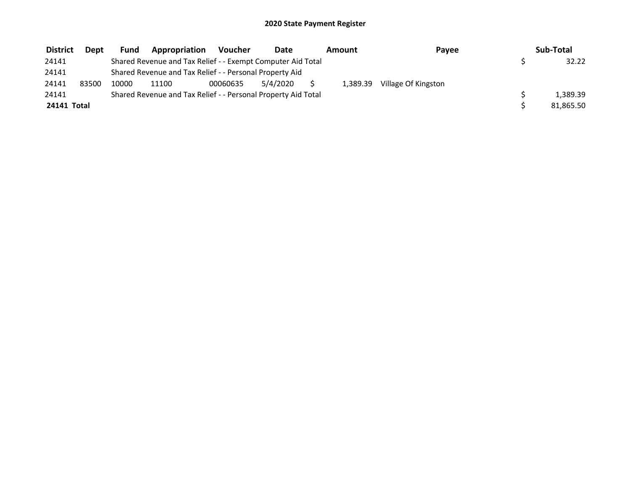| <b>District</b> | <b>Dept</b> | Fund  | Appropriation                                                 | <b>Voucher</b> | Date     | Amount   | Pavee               | Sub-Total |
|-----------------|-------------|-------|---------------------------------------------------------------|----------------|----------|----------|---------------------|-----------|
| 24141           |             |       | Shared Revenue and Tax Relief - - Exempt Computer Aid Total   |                |          |          |                     | 32.22     |
| 24141           |             |       | Shared Revenue and Tax Relief - - Personal Property Aid       |                |          |          |                     |           |
| 24141           | 83500       | 10000 | 11100                                                         | 00060635       | 5/4/2020 | 1,389.39 | Village Of Kingston |           |
| 24141           |             |       | Shared Revenue and Tax Relief - - Personal Property Aid Total |                |          |          |                     | 1.389.39  |
| 24141 Total     |             |       |                                                               |                |          |          |                     | 81,865.50 |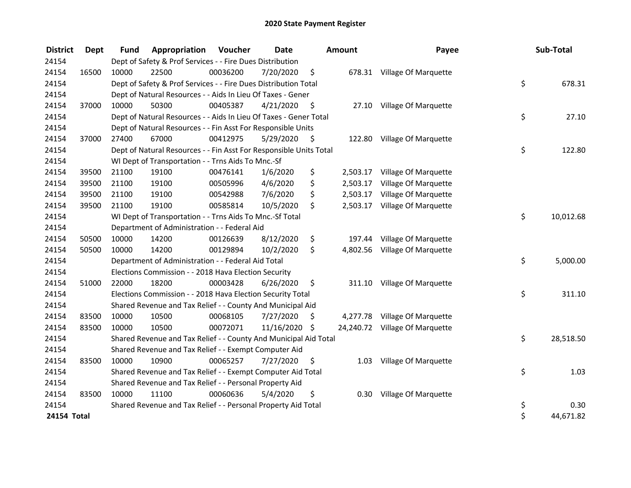| <b>District</b> | <b>Dept</b> | <b>Fund</b> | Appropriation                                                      | Voucher  | <b>Date</b> |      | Amount   | Payee                          | Sub-Total       |
|-----------------|-------------|-------------|--------------------------------------------------------------------|----------|-------------|------|----------|--------------------------------|-----------------|
| 24154           |             |             | Dept of Safety & Prof Services - - Fire Dues Distribution          |          |             |      |          |                                |                 |
| 24154           | 16500       | 10000       | 22500                                                              | 00036200 | 7/20/2020   | \$   |          | 678.31 Village Of Marquette    |                 |
| 24154           |             |             | Dept of Safety & Prof Services - - Fire Dues Distribution Total    |          |             |      |          |                                | \$<br>678.31    |
| 24154           |             |             | Dept of Natural Resources - - Aids In Lieu Of Taxes - Gener        |          |             |      |          |                                |                 |
| 24154           | 37000       | 10000       | 50300                                                              | 00405387 | 4/21/2020   | \$.  | 27.10    | Village Of Marquette           |                 |
| 24154           |             |             | Dept of Natural Resources - - Aids In Lieu Of Taxes - Gener Total  |          |             |      |          |                                | \$<br>27.10     |
| 24154           |             |             | Dept of Natural Resources - - Fin Asst For Responsible Units       |          |             |      |          |                                |                 |
| 24154           | 37000       | 27400       | 67000                                                              | 00412975 | 5/29/2020   | - \$ |          | 122.80 Village Of Marquette    |                 |
| 24154           |             |             | Dept of Natural Resources - - Fin Asst For Responsible Units Total |          |             |      |          |                                | \$<br>122.80    |
| 24154           |             |             | WI Dept of Transportation - - Trns Aids To Mnc.-Sf                 |          |             |      |          |                                |                 |
| 24154           | 39500       | 21100       | 19100                                                              | 00476141 | 1/6/2020    | \$   | 2,503.17 | Village Of Marquette           |                 |
| 24154           | 39500       | 21100       | 19100                                                              | 00505996 | 4/6/2020    | \$   | 2,503.17 | Village Of Marquette           |                 |
| 24154           | 39500       | 21100       | 19100                                                              | 00542988 | 7/6/2020    | \$   | 2,503.17 | Village Of Marquette           |                 |
| 24154           | 39500       | 21100       | 19100                                                              | 00585814 | 10/5/2020   | \$   | 2,503.17 | Village Of Marquette           |                 |
| 24154           |             |             | WI Dept of Transportation - - Trns Aids To Mnc.-Sf Total           |          |             |      |          |                                | \$<br>10,012.68 |
| 24154           |             |             | Department of Administration - - Federal Aid                       |          |             |      |          |                                |                 |
| 24154           | 50500       | 10000       | 14200                                                              | 00126639 | 8/12/2020   | \$   | 197.44   | Village Of Marquette           |                 |
| 24154           | 50500       | 10000       | 14200                                                              | 00129894 | 10/2/2020   | \$   |          | 4,802.56 Village Of Marquette  |                 |
| 24154           |             |             | Department of Administration - - Federal Aid Total                 |          |             |      |          |                                | \$<br>5,000.00  |
| 24154           |             |             | Elections Commission - - 2018 Hava Election Security               |          |             |      |          |                                |                 |
| 24154           | 51000       | 22000       | 18200                                                              | 00003428 | 6/26/2020   | \$   |          | 311.10 Village Of Marquette    |                 |
| 24154           |             |             | Elections Commission - - 2018 Hava Election Security Total         |          |             |      |          |                                | \$<br>311.10    |
| 24154           |             |             | Shared Revenue and Tax Relief - - County And Municipal Aid         |          |             |      |          |                                |                 |
| 24154           | 83500       | 10000       | 10500                                                              | 00068105 | 7/27/2020   | \$   |          | 4,277.78 Village Of Marquette  |                 |
| 24154           | 83500       | 10000       | 10500                                                              | 00072071 | 11/16/2020  | \$   |          | 24,240.72 Village Of Marquette |                 |
| 24154           |             |             | Shared Revenue and Tax Relief - - County And Municipal Aid Total   |          |             |      |          |                                | \$<br>28,518.50 |
| 24154           |             |             | Shared Revenue and Tax Relief - - Exempt Computer Aid              |          |             |      |          |                                |                 |
| 24154           | 83500       | 10000       | 10900                                                              | 00065257 | 7/27/2020   | \$   | 1.03     | Village Of Marquette           |                 |
| 24154           |             |             | Shared Revenue and Tax Relief - - Exempt Computer Aid Total        |          |             |      |          |                                | \$<br>1.03      |
| 24154           |             |             | Shared Revenue and Tax Relief - - Personal Property Aid            |          |             |      |          |                                |                 |
| 24154           | 83500       | 10000       | 11100                                                              | 00060636 | 5/4/2020    | \$   | 0.30     | Village Of Marquette           |                 |
| 24154           |             |             | Shared Revenue and Tax Relief - - Personal Property Aid Total      |          |             |      |          |                                | \$<br>0.30      |
| 24154 Total     |             |             |                                                                    |          |             |      |          |                                | \$<br>44,671.82 |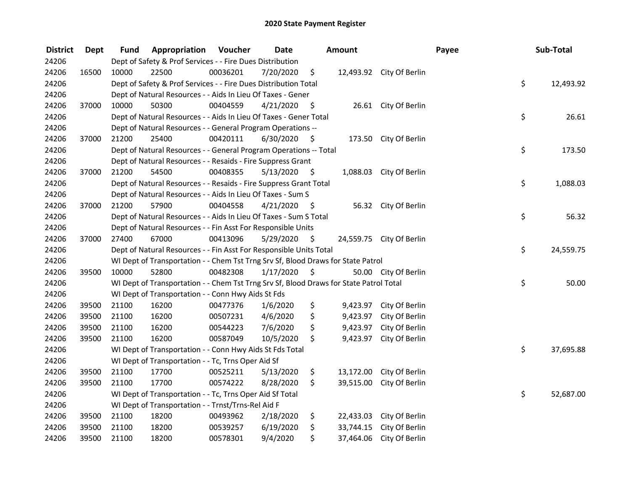| <b>District</b> | Dept  | Fund  | Appropriation                                                                          | Voucher  | <b>Date</b> |      | Amount    |                          | Payee | Sub-Total |
|-----------------|-------|-------|----------------------------------------------------------------------------------------|----------|-------------|------|-----------|--------------------------|-------|-----------|
| 24206           |       |       | Dept of Safety & Prof Services - - Fire Dues Distribution                              |          |             |      |           |                          |       |           |
| 24206           | 16500 | 10000 | 22500                                                                                  | 00036201 | 7/20/2020   | \$   |           | 12,493.92 City Of Berlin |       |           |
| 24206           |       |       | Dept of Safety & Prof Services - - Fire Dues Distribution Total                        |          |             |      |           |                          | \$    | 12,493.92 |
| 24206           |       |       | Dept of Natural Resources - - Aids In Lieu Of Taxes - Gener                            |          |             |      |           |                          |       |           |
| 24206           | 37000 | 10000 | 50300                                                                                  | 00404559 | 4/21/2020   | \$   |           | 26.61 City Of Berlin     |       |           |
| 24206           |       |       | Dept of Natural Resources - - Aids In Lieu Of Taxes - Gener Total                      |          |             |      |           |                          | \$    | 26.61     |
| 24206           |       |       | Dept of Natural Resources - - General Program Operations --                            |          |             |      |           |                          |       |           |
| 24206           | 37000 | 21200 | 25400                                                                                  | 00420111 | 6/30/2020   | - \$ |           | 173.50 City Of Berlin    |       |           |
| 24206           |       |       | Dept of Natural Resources - - General Program Operations -- Total                      |          |             |      |           |                          | \$    | 173.50    |
| 24206           |       |       | Dept of Natural Resources - - Resaids - Fire Suppress Grant                            |          |             |      |           |                          |       |           |
| 24206           | 37000 | 21200 | 54500                                                                                  | 00408355 | 5/13/2020   | - \$ |           | 1,088.03 City Of Berlin  |       |           |
| 24206           |       |       | Dept of Natural Resources - - Resaids - Fire Suppress Grant Total                      |          |             |      |           |                          | \$    | 1,088.03  |
| 24206           |       |       | Dept of Natural Resources - - Aids In Lieu Of Taxes - Sum S                            |          |             |      |           |                          |       |           |
| 24206           | 37000 | 21200 | 57900                                                                                  | 00404558 | 4/21/2020   | - \$ |           | 56.32 City Of Berlin     |       |           |
| 24206           |       |       | Dept of Natural Resources - - Aids In Lieu Of Taxes - Sum S Total                      |          |             |      |           |                          | \$    | 56.32     |
| 24206           |       |       | Dept of Natural Resources - - Fin Asst For Responsible Units                           |          |             |      |           |                          |       |           |
| 24206           | 37000 | 27400 | 67000                                                                                  | 00413096 | 5/29/2020   | \$   |           | 24,559.75 City Of Berlin |       |           |
| 24206           |       |       | Dept of Natural Resources - - Fin Asst For Responsible Units Total                     |          |             |      |           |                          | \$    | 24,559.75 |
| 24206           |       |       | WI Dept of Transportation - - Chem Tst Trng Srv Sf, Blood Draws for State Patrol       |          |             |      |           |                          |       |           |
| 24206           | 39500 | 10000 | 52800                                                                                  | 00482308 | 1/17/2020   | - \$ |           | 50.00 City Of Berlin     |       |           |
| 24206           |       |       | WI Dept of Transportation - - Chem Tst Trng Srv Sf, Blood Draws for State Patrol Total |          |             |      |           |                          | \$    | 50.00     |
| 24206           |       |       | WI Dept of Transportation - - Conn Hwy Aids St Fds                                     |          |             |      |           |                          |       |           |
| 24206           | 39500 | 21100 | 16200                                                                                  | 00477376 | 1/6/2020    | \$   |           | 9,423.97 City Of Berlin  |       |           |
| 24206           | 39500 | 21100 | 16200                                                                                  | 00507231 | 4/6/2020    | \$   | 9,423.97  | City Of Berlin           |       |           |
| 24206           | 39500 | 21100 | 16200                                                                                  | 00544223 | 7/6/2020    | \$   | 9,423.97  | City Of Berlin           |       |           |
| 24206           | 39500 | 21100 | 16200                                                                                  | 00587049 | 10/5/2020   | \$   | 9,423.97  | City Of Berlin           |       |           |
| 24206           |       |       | WI Dept of Transportation - - Conn Hwy Aids St Fds Total                               |          |             |      |           |                          | \$    | 37,695.88 |
| 24206           |       |       | WI Dept of Transportation - - Tc, Trns Oper Aid Sf                                     |          |             |      |           |                          |       |           |
| 24206           | 39500 | 21100 | 17700                                                                                  | 00525211 | 5/13/2020   | \$   | 13,172.00 | City Of Berlin           |       |           |
| 24206           | 39500 | 21100 | 17700                                                                                  | 00574222 | 8/28/2020   | \$   | 39,515.00 | City Of Berlin           |       |           |
| 24206           |       |       | WI Dept of Transportation - - Tc, Trns Oper Aid Sf Total                               |          |             |      |           |                          | \$    | 52,687.00 |
| 24206           |       |       | WI Dept of Transportation - - Trnst/Trns-Rel Aid F                                     |          |             |      |           |                          |       |           |
| 24206           | 39500 | 21100 | 18200                                                                                  | 00493962 | 2/18/2020   | \$   |           | 22,433.03 City Of Berlin |       |           |
| 24206           | 39500 | 21100 | 18200                                                                                  | 00539257 | 6/19/2020   | \$   | 33,744.15 | City Of Berlin           |       |           |
| 24206           | 39500 | 21100 | 18200                                                                                  | 00578301 | 9/4/2020    | \$   | 37,464.06 | City Of Berlin           |       |           |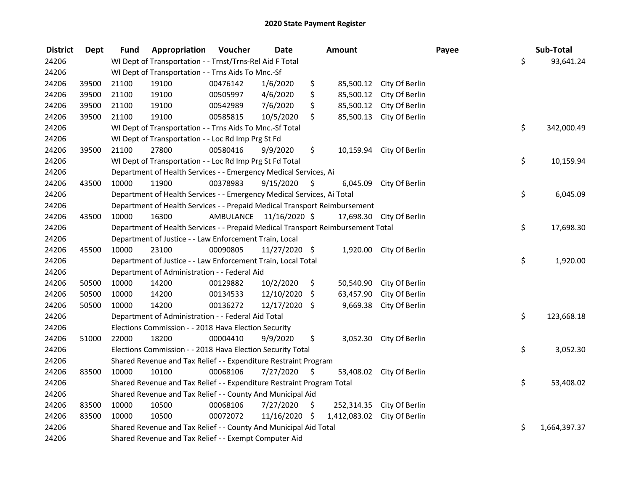| <b>District</b> | Dept  | <b>Fund</b> | Appropriation                                                                   | Voucher  | <b>Date</b>             | Amount                      |                           | Payee | Sub-Total          |
|-----------------|-------|-------------|---------------------------------------------------------------------------------|----------|-------------------------|-----------------------------|---------------------------|-------|--------------------|
| 24206           |       |             | WI Dept of Transportation - - Trnst/Trns-Rel Aid F Total                        |          |                         |                             |                           |       | \$<br>93,641.24    |
| 24206           |       |             | WI Dept of Transportation - - Trns Aids To Mnc.-Sf                              |          |                         |                             |                           |       |                    |
| 24206           | 39500 | 21100       | 19100                                                                           | 00476142 | 1/6/2020                | \$                          | 85,500.12 City Of Berlin  |       |                    |
| 24206           | 39500 | 21100       | 19100                                                                           | 00505997 | 4/6/2020                | \$<br>85,500.12             | City Of Berlin            |       |                    |
| 24206           | 39500 | 21100       | 19100                                                                           | 00542989 | 7/6/2020                | \$<br>85,500.12             | City Of Berlin            |       |                    |
| 24206           | 39500 | 21100       | 19100                                                                           | 00585815 | 10/5/2020               | \$<br>85,500.13             | City Of Berlin            |       |                    |
| 24206           |       |             | WI Dept of Transportation - - Trns Aids To Mnc.-Sf Total                        |          |                         |                             |                           |       | \$<br>342,000.49   |
| 24206           |       |             | WI Dept of Transportation - - Loc Rd Imp Prg St Fd                              |          |                         |                             |                           |       |                    |
| 24206           | 39500 | 21100       | 27800                                                                           | 00580416 | 9/9/2020                | \$                          | 10,159.94 City Of Berlin  |       |                    |
| 24206           |       |             | WI Dept of Transportation - - Loc Rd Imp Prg St Fd Total                        |          |                         |                             |                           |       | \$<br>10,159.94    |
| 24206           |       |             | Department of Health Services - - Emergency Medical Services, Ai                |          |                         |                             |                           |       |                    |
| 24206           | 43500 | 10000       | 11900                                                                           | 00378983 | 9/15/2020               | \$<br>6,045.09              | City Of Berlin            |       |                    |
| 24206           |       |             | Department of Health Services - - Emergency Medical Services, Ai Total          |          |                         |                             |                           |       | \$<br>6,045.09     |
| 24206           |       |             | Department of Health Services - - Prepaid Medical Transport Reimbursement       |          |                         |                             |                           |       |                    |
| 24206           | 43500 | 10000       | 16300                                                                           |          | AMBULANCE 11/16/2020 \$ | 17,698.30                   | City Of Berlin            |       |                    |
| 24206           |       |             | Department of Health Services - - Prepaid Medical Transport Reimbursement Total |          |                         |                             |                           |       | \$<br>17,698.30    |
| 24206           |       |             | Department of Justice - - Law Enforcement Train, Local                          |          |                         |                             |                           |       |                    |
| 24206           | 45500 | 10000       | 23100                                                                           | 00090805 | 11/27/2020 \$           | 1,920.00                    | City Of Berlin            |       |                    |
| 24206           |       |             | Department of Justice - - Law Enforcement Train, Local Total                    |          |                         |                             |                           |       | \$<br>1,920.00     |
| 24206           |       |             | Department of Administration - - Federal Aid                                    |          |                         |                             |                           |       |                    |
| 24206           | 50500 | 10000       | 14200                                                                           | 00129882 | 10/2/2020               | \$<br>50,540.90             | City Of Berlin            |       |                    |
| 24206           | 50500 | 10000       | 14200                                                                           | 00134533 | 12/10/2020              | \$<br>63,457.90             | City Of Berlin            |       |                    |
| 24206           | 50500 | 10000       | 14200                                                                           | 00136272 | 12/17/2020 \$           | 9,669.38                    | City Of Berlin            |       |                    |
| 24206           |       |             | Department of Administration - - Federal Aid Total                              |          |                         |                             |                           |       | \$<br>123,668.18   |
| 24206           |       |             | Elections Commission - - 2018 Hava Election Security                            |          |                         |                             |                           |       |                    |
| 24206           | 51000 | 22000       | 18200                                                                           | 00004410 | 9/9/2020                | \$                          | 3,052.30 City Of Berlin   |       |                    |
| 24206           |       |             | Elections Commission - - 2018 Hava Election Security Total                      |          |                         |                             |                           |       | \$<br>3,052.30     |
| 24206           |       |             | Shared Revenue and Tax Relief - - Expenditure Restraint Program                 |          |                         |                             |                           |       |                    |
| 24206           | 83500 | 10000       | 10100                                                                           | 00068106 | 7/27/2020               | \$<br>53,408.02             | City Of Berlin            |       |                    |
| 24206           |       |             | Shared Revenue and Tax Relief - - Expenditure Restraint Program Total           |          |                         |                             |                           |       | \$<br>53,408.02    |
| 24206           |       |             | Shared Revenue and Tax Relief - - County And Municipal Aid                      |          |                         |                             |                           |       |                    |
| 24206           | 83500 | 10000       | 10500                                                                           | 00068106 | 7/27/2020               | \$                          | 252,314.35 City Of Berlin |       |                    |
| 24206           | 83500 | 10000       | 10500                                                                           | 00072072 | 11/16/2020 \$           | 1,412,083.02 City Of Berlin |                           |       |                    |
| 24206           |       |             | Shared Revenue and Tax Relief - - County And Municipal Aid Total                |          |                         |                             |                           |       | \$<br>1,664,397.37 |
| 24206           |       |             | Shared Revenue and Tax Relief - - Exempt Computer Aid                           |          |                         |                             |                           |       |                    |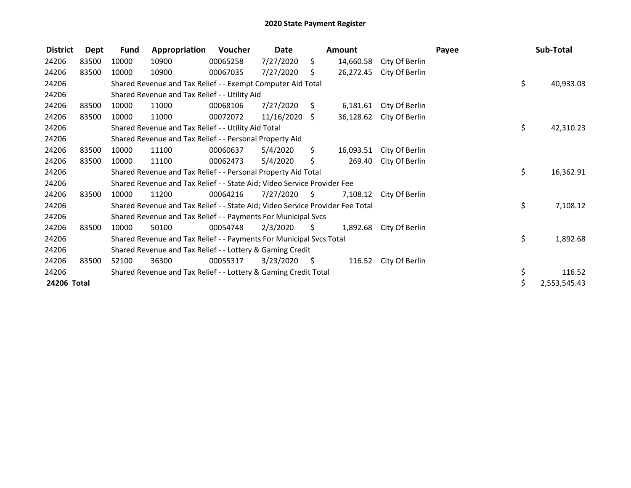| <b>District</b> | Dept  | <b>Fund</b>                                               | Appropriation                                                                 | Voucher  | Date       |      | Amount    |                | Payee |    | Sub-Total    |
|-----------------|-------|-----------------------------------------------------------|-------------------------------------------------------------------------------|----------|------------|------|-----------|----------------|-------|----|--------------|
| 24206           | 83500 | 10000                                                     | 10900                                                                         | 00065258 | 7/27/2020  | \$.  | 14,660.58 | City Of Berlin |       |    |              |
| 24206           | 83500 | 10000                                                     | 10900                                                                         | 00067035 | 7/27/2020  | S    | 26,272.45 | City Of Berlin |       |    |              |
| 24206           |       |                                                           | Shared Revenue and Tax Relief - - Exempt Computer Aid Total                   |          |            |      |           |                |       | \$ | 40,933.03    |
| 24206           |       |                                                           | Shared Revenue and Tax Relief - - Utility Aid                                 |          |            |      |           |                |       |    |              |
| 24206           | 83500 | 10000                                                     | 11000                                                                         | 00068106 | 7/27/2020  | S.   | 6,181.61  | City Of Berlin |       |    |              |
| 24206           | 83500 | 10000                                                     | 11000                                                                         | 00072072 | 11/16/2020 | Ŝ.   | 36,128.62 | City Of Berlin |       |    |              |
| 24206           |       |                                                           | Shared Revenue and Tax Relief - - Utility Aid Total                           |          |            |      |           |                |       |    |              |
| 24206           |       |                                                           | Shared Revenue and Tax Relief - - Personal Property Aid                       |          |            |      |           |                |       |    |              |
| 24206           | 83500 | 10000                                                     | 11100                                                                         | 00060637 | 5/4/2020   | \$.  | 16,093.51 | City Of Berlin |       |    |              |
| 24206           | 83500 | 10000                                                     | 11100                                                                         | 00062473 | 5/4/2020   | \$   | 269.40    | City Of Berlin |       |    |              |
| 24206           |       |                                                           | Shared Revenue and Tax Relief - - Personal Property Aid Total                 |          |            |      |           |                |       | \$ | 16,362.91    |
| 24206           |       |                                                           | Shared Revenue and Tax Relief - - State Aid; Video Service Provider Fee       |          |            |      |           |                |       |    |              |
| 24206           | 83500 | 10000                                                     | 11200                                                                         | 00064216 | 7/27/2020  | - S  | 7,108.12  | City Of Berlin |       |    |              |
| 24206           |       |                                                           | Shared Revenue and Tax Relief - - State Aid; Video Service Provider Fee Total |          |            |      |           |                |       | \$ | 7,108.12     |
| 24206           |       |                                                           | Shared Revenue and Tax Relief - - Payments For Municipal Svcs                 |          |            |      |           |                |       |    |              |
| 24206           | 83500 | 10000                                                     | 50100                                                                         | 00054748 | 2/3/2020   | S.   | 1,892.68  | City Of Berlin |       |    |              |
| 24206           |       |                                                           | Shared Revenue and Tax Relief - - Payments For Municipal Svcs Total           |          |            |      |           |                |       | \$ | 1,892.68     |
| 24206           |       | Shared Revenue and Tax Relief - - Lottery & Gaming Credit |                                                                               |          |            |      |           |                |       |    |              |
| 24206           | 83500 | 52100                                                     | 36300                                                                         | 00055317 | 3/23/2020  | - \$ | 116.52    | City Of Berlin |       |    |              |
| 24206           |       |                                                           | Shared Revenue and Tax Relief - - Lottery & Gaming Credit Total               |          |            |      |           |                |       | \$ | 116.52       |
| 24206 Total     |       |                                                           |                                                                               |          |            |      |           |                |       | \$ | 2,553,545.43 |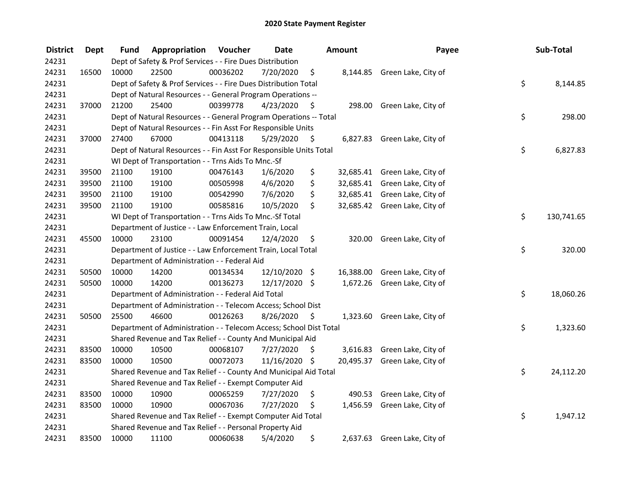| <b>District</b> | <b>Dept</b> | Fund  | Appropriation                                                      | Voucher  | <b>Date</b>   |      | <b>Amount</b> | Payee                         | Sub-Total        |
|-----------------|-------------|-------|--------------------------------------------------------------------|----------|---------------|------|---------------|-------------------------------|------------------|
| 24231           |             |       | Dept of Safety & Prof Services - - Fire Dues Distribution          |          |               |      |               |                               |                  |
| 24231           | 16500       | 10000 | 22500                                                              | 00036202 | 7/20/2020     | \$   |               | 8,144.85 Green Lake, City of  |                  |
| 24231           |             |       | Dept of Safety & Prof Services - - Fire Dues Distribution Total    |          |               |      |               |                               | \$<br>8,144.85   |
| 24231           |             |       | Dept of Natural Resources - - General Program Operations --        |          |               |      |               |                               |                  |
| 24231           | 37000       | 21200 | 25400                                                              | 00399778 | 4/23/2020     | \$   |               | 298.00 Green Lake, City of    |                  |
| 24231           |             |       | Dept of Natural Resources - - General Program Operations -- Total  |          |               |      |               |                               | \$<br>298.00     |
| 24231           |             |       | Dept of Natural Resources - - Fin Asst For Responsible Units       |          |               |      |               |                               |                  |
| 24231           | 37000       | 27400 | 67000                                                              | 00413118 | 5/29/2020     | - \$ |               | 6,827.83 Green Lake, City of  |                  |
| 24231           |             |       | Dept of Natural Resources - - Fin Asst For Responsible Units Total |          |               |      |               |                               | \$<br>6,827.83   |
| 24231           |             |       | WI Dept of Transportation - - Trns Aids To Mnc.-Sf                 |          |               |      |               |                               |                  |
| 24231           | 39500       | 21100 | 19100                                                              | 00476143 | 1/6/2020      | \$   |               | 32,685.41 Green Lake, City of |                  |
| 24231           | 39500       | 21100 | 19100                                                              | 00505998 | 4/6/2020      | \$   |               | 32,685.41 Green Lake, City of |                  |
| 24231           | 39500       | 21100 | 19100                                                              | 00542990 | 7/6/2020      | \$   |               | 32,685.41 Green Lake, City of |                  |
| 24231           | 39500       | 21100 | 19100                                                              | 00585816 | 10/5/2020     | \$   |               | 32,685.42 Green Lake, City of |                  |
| 24231           |             |       | WI Dept of Transportation - - Trns Aids To Mnc.-Sf Total           |          |               |      |               |                               | \$<br>130,741.65 |
| 24231           |             |       | Department of Justice - - Law Enforcement Train, Local             |          |               |      |               |                               |                  |
| 24231           | 45500       | 10000 | 23100                                                              | 00091454 | 12/4/2020     | \$   | 320.00        | Green Lake, City of           |                  |
| 24231           |             |       | Department of Justice - - Law Enforcement Train, Local Total       |          |               |      |               |                               | \$<br>320.00     |
| 24231           |             |       | Department of Administration - - Federal Aid                       |          |               |      |               |                               |                  |
| 24231           | 50500       | 10000 | 14200                                                              | 00134534 | 12/10/2020 \$ |      |               | 16,388.00 Green Lake, City of |                  |
| 24231           | 50500       | 10000 | 14200                                                              | 00136273 | 12/17/2020 \$ |      |               | 1,672.26 Green Lake, City of  |                  |
| 24231           |             |       | Department of Administration - - Federal Aid Total                 |          |               |      |               |                               | \$<br>18,060.26  |
| 24231           |             |       | Department of Administration - - Telecom Access; School Dist       |          |               |      |               |                               |                  |
| 24231           | 50500       | 25500 | 46600                                                              | 00126263 | 8/26/2020     | \$   |               | 1,323.60 Green Lake, City of  |                  |
| 24231           |             |       | Department of Administration - - Telecom Access; School Dist Total |          |               |      |               |                               | \$<br>1,323.60   |
| 24231           |             |       | Shared Revenue and Tax Relief - - County And Municipal Aid         |          |               |      |               |                               |                  |
| 24231           | 83500       | 10000 | 10500                                                              | 00068107 | 7/27/2020     | \$   |               | 3,616.83 Green Lake, City of  |                  |
| 24231           | 83500       | 10000 | 10500                                                              | 00072073 | 11/16/2020 \$ |      |               | 20,495.37 Green Lake, City of |                  |
| 24231           |             |       | Shared Revenue and Tax Relief - - County And Municipal Aid Total   |          |               |      |               |                               | \$<br>24,112.20  |
| 24231           |             |       | Shared Revenue and Tax Relief - - Exempt Computer Aid              |          |               |      |               |                               |                  |
| 24231           | 83500       | 10000 | 10900                                                              | 00065259 | 7/27/2020     | \$   |               | 490.53 Green Lake, City of    |                  |
| 24231           | 83500       | 10000 | 10900                                                              | 00067036 | 7/27/2020     | \$   |               | 1,456.59 Green Lake, City of  |                  |
| 24231           |             |       | Shared Revenue and Tax Relief - - Exempt Computer Aid Total        |          |               |      |               |                               | \$<br>1,947.12   |
| 24231           |             |       | Shared Revenue and Tax Relief - - Personal Property Aid            |          |               |      |               |                               |                  |
| 24231           | 83500       | 10000 | 11100                                                              | 00060638 | 5/4/2020      | \$   |               | 2,637.63 Green Lake, City of  |                  |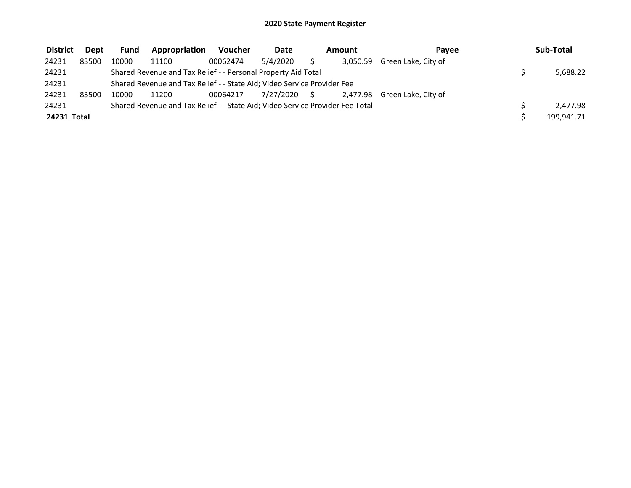| <b>District</b> | Dept  | Fund  | Appropriation                                                                 | Voucher  | Date         | Pavee<br>Amount |          | Sub-Total                    |  |            |  |
|-----------------|-------|-------|-------------------------------------------------------------------------------|----------|--------------|-----------------|----------|------------------------------|--|------------|--|
| 24231           | 83500 | 10000 | 11100                                                                         | 00062474 | 5/4/2020     |                 | 3.050.59 | Green Lake, City of          |  |            |  |
| 24231           |       |       | Shared Revenue and Tax Relief - - Personal Property Aid Total                 |          |              |                 |          |                              |  | 5,688.22   |  |
| 24231           |       |       | Shared Revenue and Tax Relief - - State Aid; Video Service Provider Fee       |          |              |                 |          |                              |  |            |  |
| 24231           | 83500 | 10000 | 11200                                                                         | 00064217 | 7/27/2020 \$ |                 |          | 2,477.98 Green Lake, City of |  |            |  |
| 24231           |       |       | Shared Revenue and Tax Relief - - State Aid; Video Service Provider Fee Total |          |              |                 |          |                              |  | 2,477.98   |  |
| 24231 Total     |       |       |                                                                               |          |              |                 |          |                              |  | 199,941.71 |  |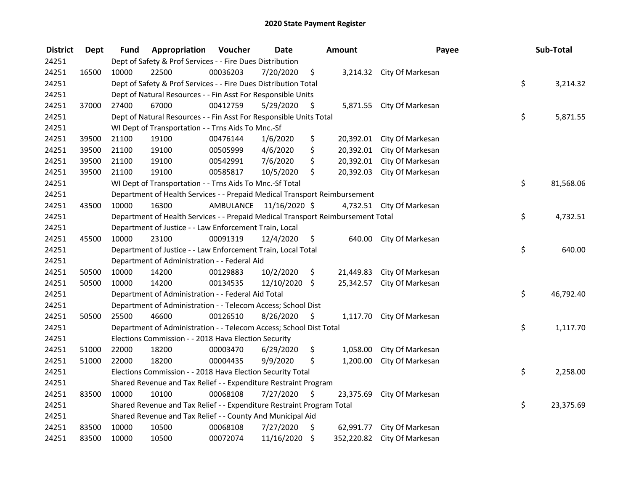| <b>District</b> | <b>Dept</b> | Fund                                                                  | Appropriation                                                                   | Voucher   | <b>Date</b>   |                    | <b>Amount</b> | Payee                       |    | Sub-Total |
|-----------------|-------------|-----------------------------------------------------------------------|---------------------------------------------------------------------------------|-----------|---------------|--------------------|---------------|-----------------------------|----|-----------|
| 24251           |             |                                                                       | Dept of Safety & Prof Services - - Fire Dues Distribution                       |           |               |                    |               |                             |    |           |
| 24251           | 16500       | 10000                                                                 | 22500                                                                           | 00036203  | 7/20/2020     | \$                 |               | 3,214.32 City Of Markesan   |    |           |
| 24251           |             |                                                                       | Dept of Safety & Prof Services - - Fire Dues Distribution Total                 |           |               |                    |               |                             | \$ | 3,214.32  |
| 24251           |             |                                                                       | Dept of Natural Resources - - Fin Asst For Responsible Units                    |           |               |                    |               |                             |    |           |
| 24251           | 37000       | 27400                                                                 | 67000                                                                           | 00412759  | 5/29/2020     | \$                 |               | 5,871.55 City Of Markesan   |    |           |
| 24251           |             |                                                                       | Dept of Natural Resources - - Fin Asst For Responsible Units Total              |           |               |                    |               |                             | \$ | 5,871.55  |
| 24251           |             |                                                                       | WI Dept of Transportation - - Trns Aids To Mnc.-Sf                              |           |               |                    |               |                             |    |           |
| 24251           | 39500       | 21100                                                                 | 19100                                                                           | 00476144  | 1/6/2020      | \$                 |               | 20,392.01 City Of Markesan  |    |           |
| 24251           | 39500       | 21100                                                                 | 19100                                                                           | 00505999  | 4/6/2020      | \$                 |               | 20,392.01 City Of Markesan  |    |           |
| 24251           | 39500       | 21100                                                                 | 19100                                                                           | 00542991  | 7/6/2020      | \$                 |               | 20,392.01 City Of Markesan  |    |           |
| 24251           | 39500       | 21100                                                                 | 19100                                                                           | 00585817  | 10/5/2020     | \$                 | 20,392.03     | City Of Markesan            |    |           |
| 24251           |             |                                                                       | WI Dept of Transportation - - Trns Aids To Mnc.-Sf Total                        |           |               |                    |               |                             | \$ | 81,568.06 |
| 24251           |             |                                                                       | Department of Health Services - - Prepaid Medical Transport Reimbursement       |           |               |                    |               |                             |    |           |
| 24251           | 43500       | 10000                                                                 | 16300                                                                           | AMBULANCE | 11/16/2020 \$ |                    |               | 4,732.51 City Of Markesan   |    |           |
| 24251           |             |                                                                       | Department of Health Services - - Prepaid Medical Transport Reimbursement Total |           |               |                    |               |                             | \$ | 4,732.51  |
| 24251           |             |                                                                       | Department of Justice - - Law Enforcement Train, Local                          |           |               |                    |               |                             |    |           |
| 24251           | 45500       | 10000                                                                 | 23100                                                                           | 00091319  | 12/4/2020     | \$                 | 640.00        | City Of Markesan            |    |           |
| 24251           |             |                                                                       | Department of Justice - - Law Enforcement Train, Local Total                    |           |               |                    |               |                             | \$ | 640.00    |
| 24251           |             |                                                                       | Department of Administration - - Federal Aid                                    |           |               |                    |               |                             |    |           |
| 24251           | 50500       | 10000                                                                 | 14200                                                                           | 00129883  | 10/2/2020     | \$                 | 21,449.83     | City Of Markesan            |    |           |
| 24251           | 50500       | 10000                                                                 | 14200                                                                           | 00134535  | 12/10/2020 \$ |                    |               | 25,342.57 City Of Markesan  |    |           |
| 24251           |             |                                                                       | Department of Administration - - Federal Aid Total                              |           |               |                    |               |                             | \$ | 46,792.40 |
| 24251           |             |                                                                       | Department of Administration - - Telecom Access; School Dist                    |           |               |                    |               |                             |    |           |
| 24251           | 50500       | 25500                                                                 | 46600                                                                           | 00126510  | 8/26/2020     | - \$               |               | 1,117.70 City Of Markesan   |    |           |
| 24251           |             |                                                                       | Department of Administration - - Telecom Access; School Dist Total              |           |               |                    |               |                             | \$ | 1,117.70  |
| 24251           |             |                                                                       | Elections Commission - - 2018 Hava Election Security                            |           |               |                    |               |                             |    |           |
| 24251           | 51000       | 22000                                                                 | 18200                                                                           | 00003470  | 6/29/2020     | \$                 | 1,058.00      | City Of Markesan            |    |           |
| 24251           | 51000       | 22000                                                                 | 18200                                                                           | 00004435  | 9/9/2020      | \$                 | 1,200.00      | City Of Markesan            |    |           |
| 24251           |             |                                                                       | Elections Commission - - 2018 Hava Election Security Total                      |           |               |                    |               |                             | \$ | 2,258.00  |
| 24251           |             |                                                                       | Shared Revenue and Tax Relief - - Expenditure Restraint Program                 |           |               |                    |               |                             |    |           |
| 24251           | 83500       | 10000                                                                 | 10100                                                                           | 00068108  | 7/27/2020     | \$                 | 23,375.69     | City Of Markesan            | \$ |           |
| 24251           |             | Shared Revenue and Tax Relief - - Expenditure Restraint Program Total |                                                                                 |           |               |                    |               |                             |    | 23,375.69 |
| 24251           |             |                                                                       | Shared Revenue and Tax Relief - - County And Municipal Aid                      |           |               |                    |               |                             |    |           |
| 24251           | 83500       | 10000                                                                 | 10500                                                                           | 00068108  | 7/27/2020     | \$                 | 62,991.77     | City Of Markesan            |    |           |
| 24251           | 83500       | 10000                                                                 | 10500                                                                           | 00072074  | 11/16/2020    | $\ddot{\varsigma}$ |               | 352,220.82 City Of Markesan |    |           |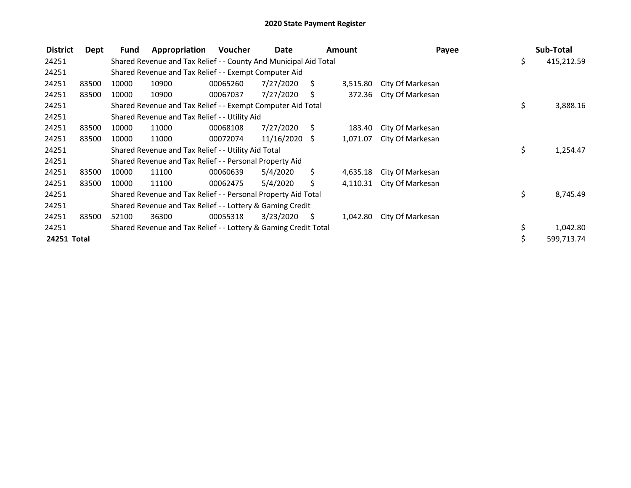| <b>District</b> | Dept  | Fund  | Appropriation                                                    | Voucher  | Date            |      | <b>Amount</b> | Payee            | Sub-Total        |
|-----------------|-------|-------|------------------------------------------------------------------|----------|-----------------|------|---------------|------------------|------------------|
| 24251           |       |       | Shared Revenue and Tax Relief - - County And Municipal Aid Total |          |                 |      |               |                  | \$<br>415,212.59 |
| 24251           |       |       | Shared Revenue and Tax Relief - - Exempt Computer Aid            |          |                 |      |               |                  |                  |
| 24251           | 83500 | 10000 | 10900                                                            | 00065260 | 7/27/2020       | S.   | 3,515.80      | City Of Markesan |                  |
| 24251           | 83500 | 10000 | 10900                                                            | 00067037 | 7/27/2020       | S    | 372.36        | City Of Markesan |                  |
| 24251           |       |       | Shared Revenue and Tax Relief - - Exempt Computer Aid Total      |          |                 |      |               |                  | \$<br>3,888.16   |
| 24251           |       |       | Shared Revenue and Tax Relief - - Utility Aid                    |          |                 |      |               |                  |                  |
| 24251           | 83500 | 10000 | 11000                                                            | 00068108 | 7/27/2020       | - S  | 183.40        | City Of Markesan |                  |
| 24251           | 83500 | 10000 | 11000                                                            | 00072074 | $11/16/2020$ \$ |      | 1,071.07      | City Of Markesan |                  |
| 24251           |       |       | Shared Revenue and Tax Relief - - Utility Aid Total              |          |                 |      |               |                  | \$<br>1,254.47   |
| 24251           |       |       | Shared Revenue and Tax Relief - - Personal Property Aid          |          |                 |      |               |                  |                  |
| 24251           | 83500 | 10000 | 11100                                                            | 00060639 | 5/4/2020        | \$.  | 4,635.18      | City Of Markesan |                  |
| 24251           | 83500 | 10000 | 11100                                                            | 00062475 | 5/4/2020        | Ś.   | 4,110.31      | City Of Markesan |                  |
| 24251           |       |       | Shared Revenue and Tax Relief - - Personal Property Aid Total    |          |                 |      |               |                  | \$<br>8,745.49   |
| 24251           |       |       | Shared Revenue and Tax Relief - - Lottery & Gaming Credit        |          |                 |      |               |                  |                  |
| 24251           | 83500 | 52100 | 36300                                                            | 00055318 | 3/23/2020       | - \$ | 1,042.80      | City Of Markesan |                  |
| 24251           |       |       | Shared Revenue and Tax Relief - - Lottery & Gaming Credit Total  |          |                 |      |               |                  | \$<br>1,042.80   |
| 24251 Total     |       |       |                                                                  |          |                 |      |               |                  | 599,713.74       |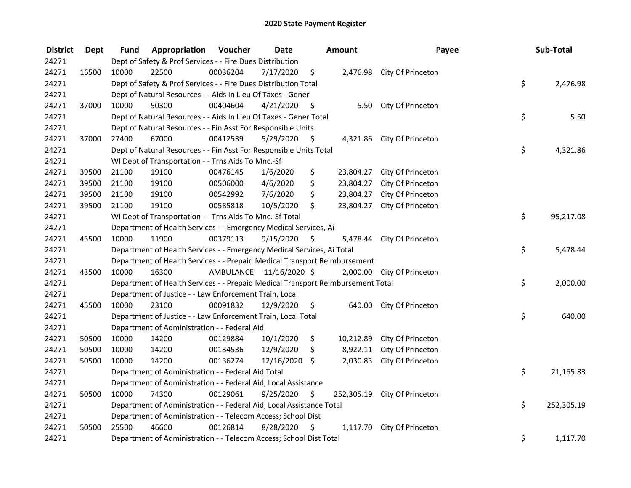| <b>District</b> | <b>Dept</b> | Fund  | Appropriation                                                                   | Voucher  | <b>Date</b>             |      | <b>Amount</b> | Payee                        |    | Sub-Total  |
|-----------------|-------------|-------|---------------------------------------------------------------------------------|----------|-------------------------|------|---------------|------------------------------|----|------------|
| 24271           |             |       | Dept of Safety & Prof Services - - Fire Dues Distribution                       |          |                         |      |               |                              |    |            |
| 24271           | 16500       | 10000 | 22500                                                                           | 00036204 | 7/17/2020               | \$   |               | 2,476.98 City Of Princeton   |    |            |
| 24271           |             |       | Dept of Safety & Prof Services - - Fire Dues Distribution Total                 |          |                         |      |               |                              | \$ | 2,476.98   |
| 24271           |             |       | Dept of Natural Resources - - Aids In Lieu Of Taxes - Gener                     |          |                         |      |               |                              |    |            |
| 24271           | 37000       | 10000 | 50300                                                                           | 00404604 | 4/21/2020               | - \$ |               | 5.50 City Of Princeton       |    |            |
| 24271           |             |       | Dept of Natural Resources - - Aids In Lieu Of Taxes - Gener Total               |          |                         |      |               |                              | \$ | 5.50       |
| 24271           |             |       | Dept of Natural Resources - - Fin Asst For Responsible Units                    |          |                         |      |               |                              |    |            |
| 24271           | 37000       | 27400 | 67000                                                                           | 00412539 | 5/29/2020               | - \$ |               | 4,321.86 City Of Princeton   |    |            |
| 24271           |             |       | Dept of Natural Resources - - Fin Asst For Responsible Units Total              |          |                         |      |               |                              | \$ | 4,321.86   |
| 24271           |             |       | WI Dept of Transportation - - Trns Aids To Mnc.-Sf                              |          |                         |      |               |                              |    |            |
| 24271           | 39500       | 21100 | 19100                                                                           | 00476145 | 1/6/2020                | \$   |               | 23,804.27 City Of Princeton  |    |            |
| 24271           | 39500       | 21100 | 19100                                                                           | 00506000 | 4/6/2020                | \$   | 23,804.27     | City Of Princeton            |    |            |
| 24271           | 39500       | 21100 | 19100                                                                           | 00542992 | 7/6/2020                | \$   | 23,804.27     | City Of Princeton            |    |            |
| 24271           | 39500       | 21100 | 19100                                                                           | 00585818 | 10/5/2020               | \$   | 23,804.27     | City Of Princeton            |    |            |
| 24271           |             |       | WI Dept of Transportation - - Trns Aids To Mnc.-Sf Total                        |          |                         |      |               |                              | \$ | 95,217.08  |
| 24271           |             |       | Department of Health Services - - Emergency Medical Services, Ai                |          |                         |      |               |                              |    |            |
| 24271           | 43500       | 10000 | 11900                                                                           | 00379113 | 9/15/2020               | \$   |               | 5,478.44 City Of Princeton   |    |            |
| 24271           |             |       | Department of Health Services - - Emergency Medical Services, Ai Total          |          |                         |      |               |                              | \$ | 5,478.44   |
| 24271           |             |       | Department of Health Services - - Prepaid Medical Transport Reimbursement       |          |                         |      |               |                              |    |            |
| 24271           | 43500       | 10000 | 16300                                                                           |          | AMBULANCE 11/16/2020 \$ |      | 2,000.00      | City Of Princeton            |    |            |
| 24271           |             |       | Department of Health Services - - Prepaid Medical Transport Reimbursement Total |          |                         |      |               |                              | \$ | 2,000.00   |
| 24271           |             |       | Department of Justice - - Law Enforcement Train, Local                          |          |                         |      |               |                              |    |            |
| 24271           | 45500       | 10000 | 23100                                                                           | 00091832 | 12/9/2020               | \$   |               | 640.00 City Of Princeton     |    |            |
| 24271           |             |       | Department of Justice - - Law Enforcement Train, Local Total                    |          |                         |      |               |                              | \$ | 640.00     |
| 24271           |             |       | Department of Administration - - Federal Aid                                    |          |                         |      |               |                              |    |            |
| 24271           | 50500       | 10000 | 14200                                                                           | 00129884 | 10/1/2020               | \$   |               | 10,212.89 City Of Princeton  |    |            |
| 24271           | 50500       | 10000 | 14200                                                                           | 00134536 | 12/9/2020               | \$   | 8,922.11      | City Of Princeton            |    |            |
| 24271           | 50500       | 10000 | 14200                                                                           | 00136274 | 12/16/2020 \$           |      | 2,030.83      | City Of Princeton            |    |            |
| 24271           |             |       | Department of Administration - - Federal Aid Total                              |          |                         |      |               |                              | \$ | 21,165.83  |
| 24271           |             |       | Department of Administration - - Federal Aid, Local Assistance                  |          |                         |      |               |                              |    |            |
| 24271           | 50500       | 10000 | 74300                                                                           | 00129061 | 9/25/2020               | \$   |               | 252,305.19 City Of Princeton |    |            |
| 24271           |             |       | Department of Administration - - Federal Aid, Local Assistance Total            |          |                         |      |               |                              | \$ | 252,305.19 |
| 24271           |             |       | Department of Administration - - Telecom Access; School Dist                    |          |                         |      |               |                              |    |            |
| 24271           | 50500       | 25500 | 46600                                                                           | 00126814 | 8/28/2020               | \$   | 1,117.70      | City Of Princeton            |    |            |
| 24271           |             |       | Department of Administration - - Telecom Access; School Dist Total              |          |                         |      |               |                              | \$ | 1,117.70   |